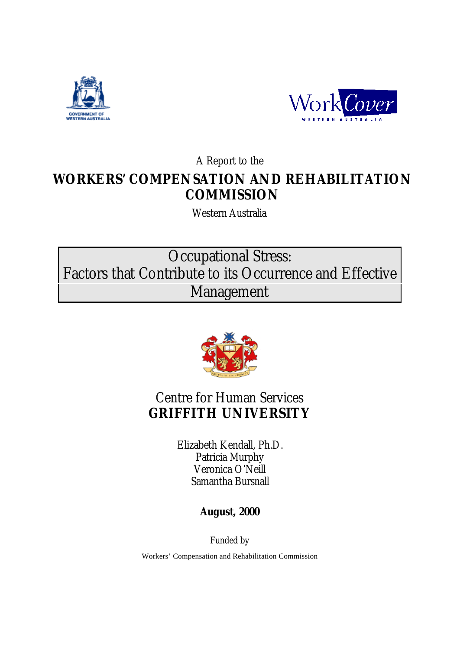



A Report to the

## **WORKERS' COMPENSATION AND REHABILITATION COMMISSION**

Western Australia

Occupational Stress: Factors that Contribute to its Occurrence and Effective Management



### Centre for Human Services **GRIFFITH UNIVERSITY**

Elizabeth Kendall, Ph.D. Patricia Murphy Veronica O'Neill Samantha Bursnall

**August, 2000**

Funded by

Workers' Compensation and Rehabilitation Commission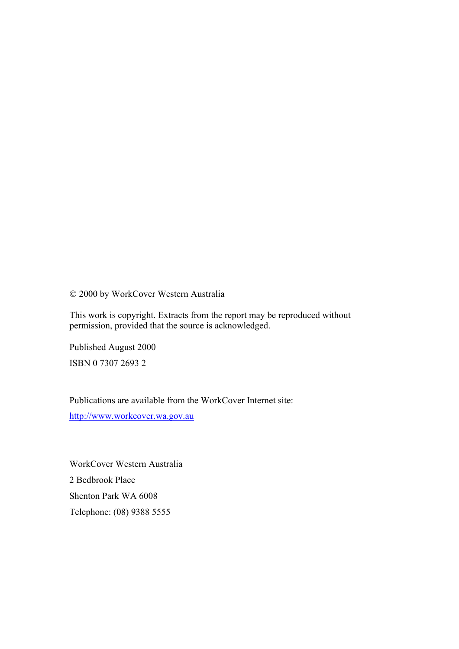2000 by WorkCover Western Australia

This work is copyright. Extracts from the report may be reproduced without permission, provided that the source is acknowledged.

Published August 2000 ISBN 0 7307 2693 2

Publications are available from the WorkCover Internet site: http://www.workcover.wa.gov.au

WorkCover Western Australia 2 Bedbrook Place Shenton Park WA 6008 Telephone: (08) 9388 5555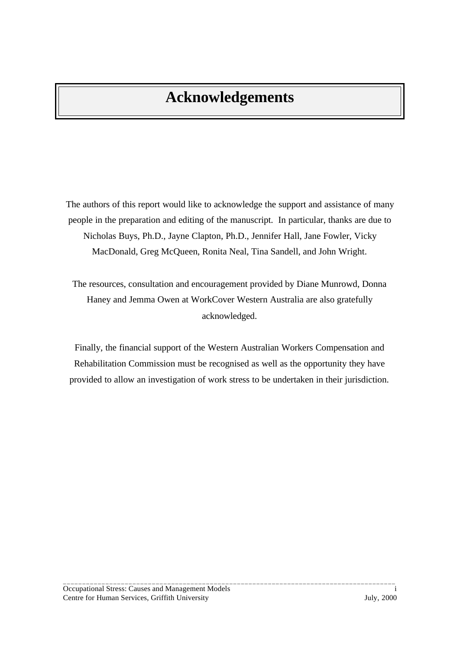## **Acknowledgements**

The authors of this report would like to acknowledge the support and assistance of many people in the preparation and editing of the manuscript. In particular, thanks are due to Nicholas Buys, Ph.D., Jayne Clapton, Ph.D., Jennifer Hall, Jane Fowler, Vicky MacDonald, Greg McQueen, Ronita Neal, Tina Sandell, and John Wright.

The resources, consultation and encouragement provided by Diane Munrowd, Donna Haney and Jemma Owen at WorkCover Western Australia are also gratefully acknowledged.

Finally, the financial support of the Western Australian Workers Compensation and Rehabilitation Commission must be recognised as well as the opportunity they have provided to allow an investigation of work stress to be undertaken in their jurisdiction.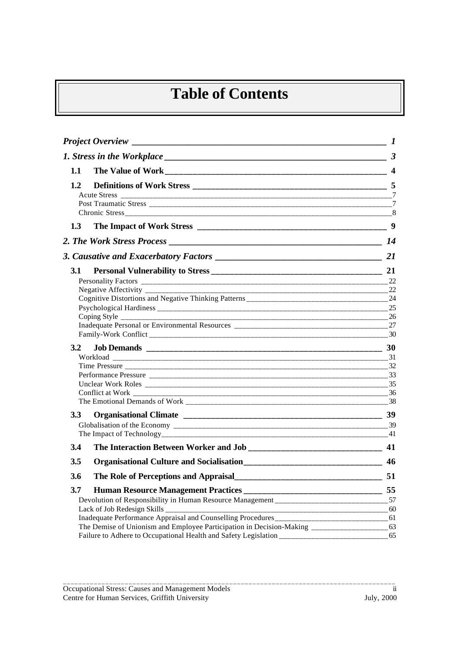# **Table of Contents**

| Project Overview $\qquad \qquad$ 1 |                                                                                         |     |
|------------------------------------|-----------------------------------------------------------------------------------------|-----|
|                                    |                                                                                         |     |
| 1.1                                |                                                                                         |     |
| 1.2                                |                                                                                         |     |
|                                    |                                                                                         |     |
|                                    |                                                                                         |     |
|                                    |                                                                                         | 8   |
| 1.3                                |                                                                                         |     |
|                                    |                                                                                         |     |
|                                    |                                                                                         | 21  |
| <b>3.1</b>                         |                                                                                         |     |
|                                    |                                                                                         | 22  |
|                                    |                                                                                         |     |
|                                    |                                                                                         | 25  |
|                                    |                                                                                         | -26 |
|                                    |                                                                                         |     |
|                                    |                                                                                         |     |
| 3.2                                |                                                                                         | 30  |
|                                    |                                                                                         |     |
|                                    |                                                                                         | 32  |
|                                    |                                                                                         | 35  |
|                                    | Conflict at Work _________                                                              | -36 |
|                                    |                                                                                         |     |
| 3.3 <sub>1</sub>                   |                                                                                         |     |
|                                    |                                                                                         |     |
|                                    |                                                                                         |     |
| 3.4                                |                                                                                         |     |
| 3.5                                |                                                                                         |     |
| 3.6                                |                                                                                         |     |
| 3.7                                |                                                                                         |     |
|                                    | Devolution of Responsibility in Human Resource Management ___________________________57 |     |
|                                    |                                                                                         |     |
|                                    |                                                                                         |     |
|                                    |                                                                                         | 65  |
|                                    |                                                                                         |     |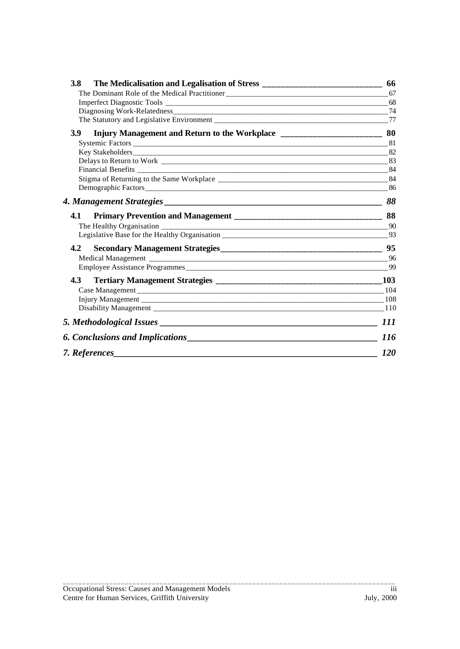| The Medicalisation and Legalisation of Stress __________________________________<br><b>3.8</b> | 66         |
|------------------------------------------------------------------------------------------------|------------|
|                                                                                                |            |
|                                                                                                |            |
|                                                                                                | 74         |
|                                                                                                |            |
| 3.9<br>Injury Management and Return to the Workplace ___________________________________       | 80         |
|                                                                                                |            |
|                                                                                                |            |
|                                                                                                |            |
|                                                                                                |            |
|                                                                                                |            |
|                                                                                                |            |
|                                                                                                | 88         |
| 4.1                                                                                            | 88         |
|                                                                                                | -90        |
| Legislative Base for the Healthy Organisation ___________________________________              | 93         |
| 4.2                                                                                            |            |
|                                                                                                |            |
|                                                                                                | 99         |
| 4.3                                                                                            |            |
|                                                                                                |            |
|                                                                                                |            |
|                                                                                                |            |
|                                                                                                |            |
|                                                                                                | <i>116</i> |
| 7. References                                                                                  | <i>120</i> |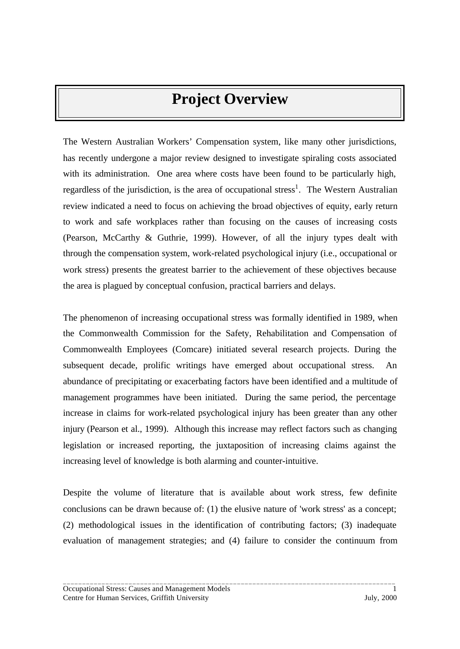## **Project Overview**

<span id="page-5-0"></span>The Western Australian Workers' Compensation system, like many other jurisdictions, has recently undergone a major review designed to investigate spiraling costs associated with its administration. One area where costs have been found to be particularly high, regardless of the jurisdiction, is the area of occupational stress<sup>1</sup>. The Western Australian review indicated a need to focus on achieving the broad objectives of equity, early return to work and safe workplaces rather than focusing on the causes of increasing costs (Pearson, McCarthy & Guthrie, 1999). However, of all the injury types dealt with through the compensation system, work-related psychological injury (i.e., occupational or work stress) presents the greatest barrier to the achievement of these objectives because the area is plagued by conceptual confusion, practical barriers and delays.

The phenomenon of increasing occupational stress was formally identified in 1989, when the Commonwealth Commission for the Safety, Rehabilitation and Compensation of Commonwealth Employees (Comcare) initiated several research projects. During the subsequent decade, prolific writings have emerged about occupational stress. An abundance of precipitating or exacerbating factors have been identified and a multitude of management programmes have been initiated. During the same period, the percentage increase in claims for work-related psychological injury has been greater than any other injury (Pearson et al., 1999). Although this increase may reflect factors such as changing legislation or increased reporting, the juxtaposition of increasing claims against the increasing level of knowledge is both alarming and counter-intuitive.

Despite the volume of literature that is available about work stress, few definite conclusions can be drawn because of: (1) the elusive nature of 'work stress' as a concept; (2) methodological issues in the identification of contributing factors; (3) inadequate evaluation of management strategies; and (4) failure to consider the continuum from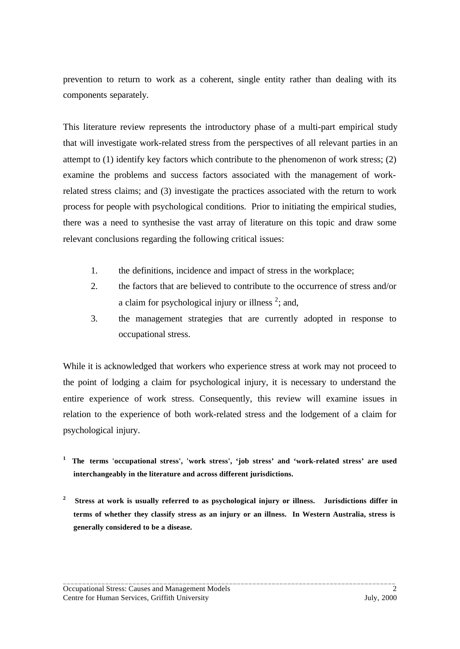prevention to return to work as a coherent, single entity rather than dealing with its components separately.

This literature review represents the introductory phase of a multi-part empirical study that will investigate work-related stress from the perspectives of all relevant parties in an attempt to (1) identify key factors which contribute to the phenomenon of work stress; (2) examine the problems and success factors associated with the management of workrelated stress claims; and (3) investigate the practices associated with the return to work process for people with psychological conditions. Prior to initiating the empirical studies, there was a need to synthesise the vast array of literature on this topic and draw some relevant conclusions regarding the following critical issues:

- 1. the definitions, incidence and impact of stress in the workplace;
- 2. the factors that are believed to contribute to the occurrence of stress and/or a claim for psychological injury or illness  $2$ ; and,
- 3. the management strategies that are currently adopted in response to occupational stress.

While it is acknowledged that workers who experience stress at work may not proceed to the point of lodging a claim for psychological injury, it is necessary to understand the entire experience of work stress. Consequently, this review will examine issues in relation to the experience of both work-related stress and the lodgement of a claim for psychological injury.

- **1 The terms 'occupational stress', 'work stress', 'job stress' and 'work-related stress' are used interchangeably in the literature and across different jurisdictions.**
- **2 Stress at work is usually referred to as psychological injury or illness. Jurisdictions differ in terms of whether they classify stress as an injury or an illness. In Western Australia, stress is generally considered to be a disease.**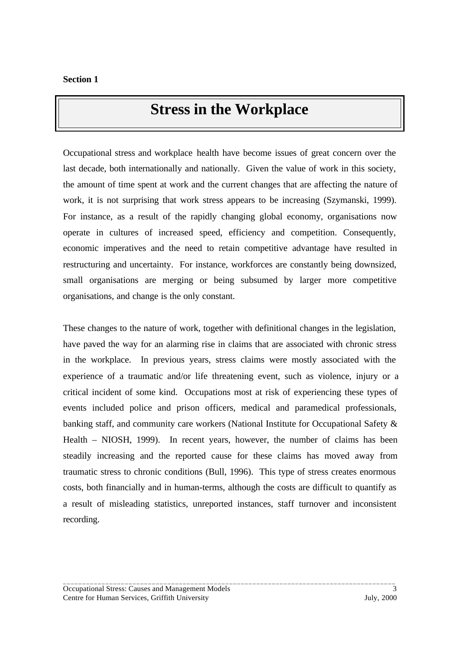### **Stress in the Workplace**

<span id="page-7-0"></span>Occupational stress and workplace health have become issues of great concern over the last decade, both internationally and nationally. Given the value of work in this society, the amount of time spent at work and the current changes that are affecting the nature of work, it is not surprising that work stress appears to be increasing (Szymanski, 1999). For instance, as a result of the rapidly changing global economy, organisations now operate in cultures of increased speed, efficiency and competition. Consequently, economic imperatives and the need to retain competitive advantage have resulted in restructuring and uncertainty. For instance, workforces are constantly being downsized, small organisations are merging or being subsumed by larger more competitive organisations, and change is the only constant.

These changes to the nature of work, together with definitional changes in the legislation, have paved the way for an alarming rise in claims that are associated with chronic stress in the workplace. In previous years, stress claims were mostly associated with the experience of a traumatic and/or life threatening event, such as violence, injury or a critical incident of some kind. Occupations most at risk of experiencing these types of events included police and prison officers, medical and paramedical professionals, banking staff, and community care workers (National Institute for Occupational Safety & Health – NIOSH, 1999). In recent years, however, the number of claims has been steadily increasing and the reported cause for these claims has moved away from traumatic stress to chronic conditions (Bull, 1996). This type of stress creates enormous costs, both financially and in human-terms, although the costs are difficult to quantify as a result of misleading statistics, unreported instances, staff turnover and inconsistent recording.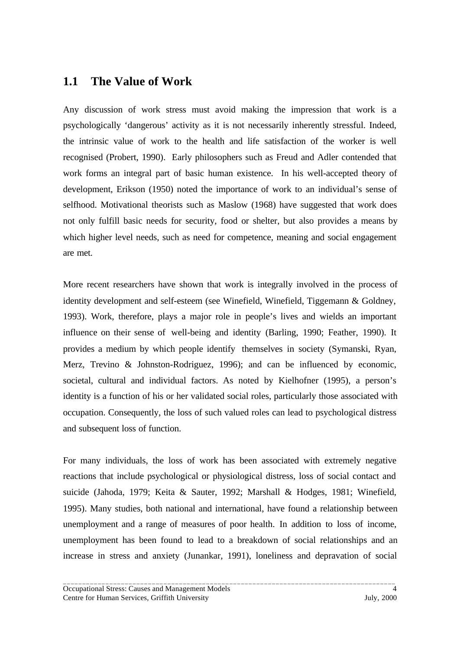### <span id="page-8-0"></span>**1.1 The Value of Work**

Any discussion of work stress must avoid making the impression that work is a psychologically 'dangerous' activity as it is not necessarily inherently stressful. Indeed, the intrinsic value of work to the health and life satisfaction of the worker is well recognised (Probert, 1990). Early philosophers such as Freud and Adler contended that work forms an integral part of basic human existence. In his well-accepted theory of development, Erikson (1950) noted the importance of work to an individual's sense of selfhood. Motivational theorists such as Maslow (1968) have suggested that work does not only fulfill basic needs for security, food or shelter, but also provides a means by which higher level needs, such as need for competence, meaning and social engagement are met.

More recent researchers have shown that work is integrally involved in the process of identity development and self-esteem (see Winefield, Winefield, Tiggemann & Goldney, 1993). Work, therefore, plays a major role in people's lives and wields an important influence on their sense of well-being and identity (Barling, 1990; Feather, 1990). It provides a medium by which people identify themselves in society (Symanski, Ryan, Merz, Trevino & Johnston-Rodriguez, 1996); and can be influenced by economic, societal, cultural and individual factors. As noted by Kielhofner (1995), a person's identity is a function of his or her validated social roles, particularly those associated with occupation. Consequently, the loss of such valued roles can lead to psychological distress and subsequent loss of function.

For many individuals, the loss of work has been associated with extremely negative reactions that include psychological or physiological distress, loss of social contact and suicide (Jahoda, 1979; Keita & Sauter, 1992; Marshall & Hodges, 1981; Winefield, 1995). Many studies, both national and international, have found a relationship between unemployment and a range of measures of poor health. In addition to loss of income, unemployment has been found to lead to a breakdown of social relationships and an increase in stress and anxiety (Junankar, 1991), loneliness and depravation of social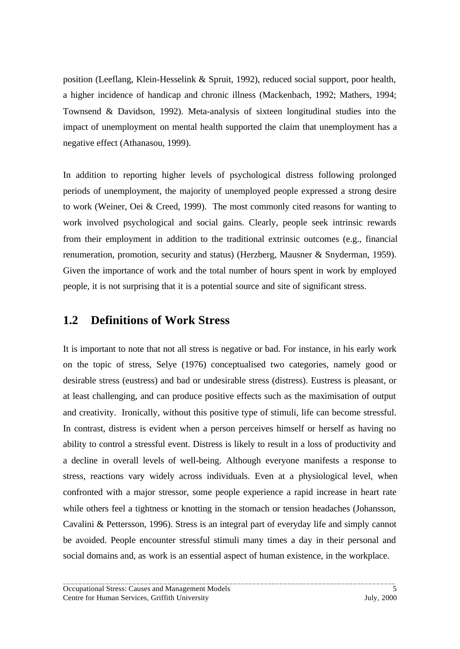<span id="page-9-0"></span>position (Leeflang, Klein-Hesselink & Spruit, 1992), reduced social support, poor health, a higher incidence of handicap and chronic illness (Mackenbach, 1992; Mathers, 1994; Townsend & Davidson, 1992). Meta-analysis of sixteen longitudinal studies into the impact of unemployment on mental health supported the claim that unemployment has a negative effect (Athanasou, 1999).

In addition to reporting higher levels of psychological distress following prolonged periods of unemployment, the majority of unemployed people expressed a strong desire to work (Weiner, Oei & Creed, 1999). The most commonly cited reasons for wanting to work involved psychological and social gains. Clearly, people seek intrinsic rewards from their employment in addition to the traditional extrinsic outcomes (e.g., financial renumeration, promotion, security and status) (Herzberg, Mausner & Snyderman, 1959). Given the importance of work and the total number of hours spent in work by employed people, it is not surprising that it is a potential source and site of significant stress.

### **1.2 Definitions of Work Stress**

It is important to note that not all stress is negative or bad. For instance, in his early work on the topic of stress, Selye (1976) conceptualised two categories, namely good or desirable stress (eustress) and bad or undesirable stress (distress). Eustress is pleasant, or at least challenging, and can produce positive effects such as the maximisation of output and creativity. Ironically, without this positive type of stimuli, life can become stressful. In contrast, distress is evident when a person perceives himself or herself as having no ability to control a stressful event. Distress is likely to result in a loss of productivity and a decline in overall levels of well-being. Although everyone manifests a response to stress, reactions vary widely across individuals. Even at a physiological level, when confronted with a major stressor, some people experience a rapid increase in heart rate while others feel a tightness or knotting in the stomach or tension headaches (Johansson, Cavalini & Pettersson, 1996). Stress is an integral part of everyday life and simply cannot be avoided. People encounter stressful stimuli many times a day in their personal and social domains and, as work is an essential aspect of human existence, in the workplace.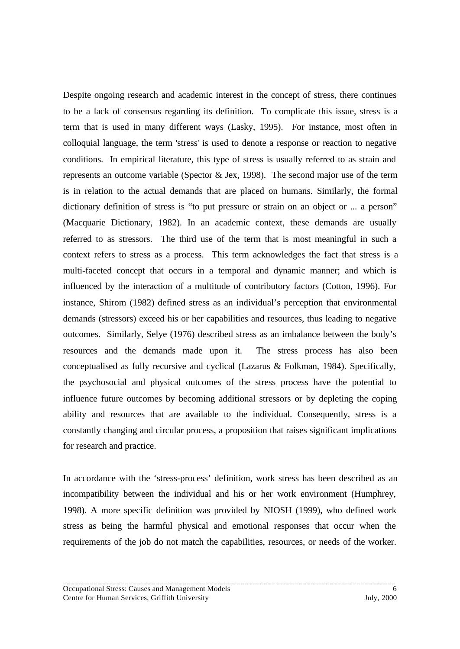Despite ongoing research and academic interest in the concept of stress, there continues to be a lack of consensus regarding its definition. To complicate this issue, stress is a term that is used in many different ways (Lasky, 1995). For instance, most often in colloquial language, the term 'stress' is used to denote a response or reaction to negative conditions. In empirical literature, this type of stress is usually referred to as strain and represents an outcome variable (Spector & Jex, 1998). The second major use of the term is in relation to the actual demands that are placed on humans. Similarly, the formal dictionary definition of stress is "to put pressure or strain on an object or ... a person" (Macquarie Dictionary, 1982). In an academic context, these demands are usually referred to as stressors. The third use of the term that is most meaningful in such a context refers to stress as a process. This term acknowledges the fact that stress is a multi-faceted concept that occurs in a temporal and dynamic manner; and which is influenced by the interaction of a multitude of contributory factors (Cotton, 1996). For instance, Shirom (1982) defined stress as an individual's perception that environmental demands (stressors) exceed his or her capabilities and resources, thus leading to negative outcomes. Similarly, Selye (1976) described stress as an imbalance between the body's resources and the demands made upon it. The stress process has also been conceptualised as fully recursive and cyclical (Lazarus & Folkman, 1984). Specifically, the psychosocial and physical outcomes of the stress process have the potential to influence future outcomes by becoming additional stressors or by depleting the coping ability and resources that are available to the individual. Consequently, stress is a constantly changing and circular process, a proposition that raises significant implications for research and practice.

In accordance with the 'stress-process' definition, work stress has been described as an incompatibility between the individual and his or her work environment (Humphrey, 1998). A more specific definition was provided by NIOSH (1999), who defined work stress as being the harmful physical and emotional responses that occur when the requirements of the job do not match the capabilities, resources, or needs of the worker.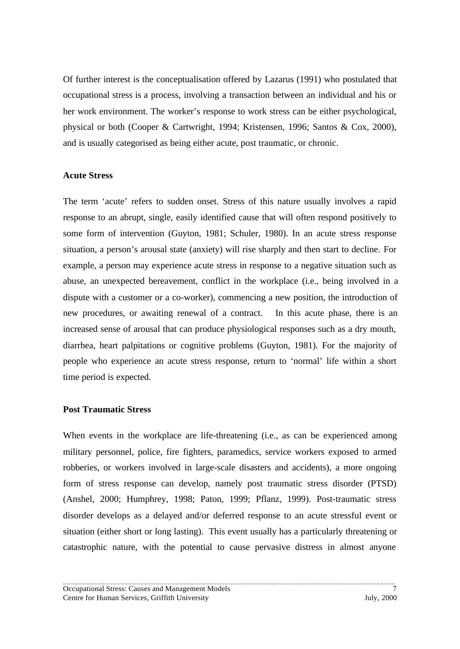Of further interest is the conceptualisation offered by Lazarus (1991) who postulated that occupational stress is a process, involving a transaction between an individual and his or her work environment. The worker's response to work stress can be either psychological, physical or both (Cooper & Cartwright, 1994; Kristensen, 1996; Santos & Cox, 2000), and is usually categorised as being either acute, post traumatic, or chronic.

#### **Acute Stress**

The term 'acute' refers to sudden onset. Stress of this nature usually involves a rapid response to an abrupt, single, easily identified cause that will often respond positively to some form of intervention (Guyton, 1981; Schuler, 1980). In an acute stress response situation, a person's arousal state (anxiety) will rise sharply and then start to decline. For example, a person may experience acute stress in response to a negative situation such as abuse, an unexpected bereavement, conflict in the workplace (i.e., being involved in a dispute with a customer or a co-worker), commencing a new position, the introduction of new procedures, or awaiting renewal of a contract. In this acute phase, there is an increased sense of arousal that can produce physiological responses such as a dry mouth, diarrhea, heart palpitations or cognitive problems (Guyton, 1981). For the majority of people who experience an acute stress response, return to 'normal' life within a short time period is expected.

#### **Post Traumatic Stress**

When events in the workplace are life-threatening (i.e., as can be experienced among military personnel, police, fire fighters, paramedics, service workers exposed to armed robberies, or workers involved in large-scale disasters and accidents), a more ongoing form of stress response can develop, namely post traumatic stress disorder (PTSD) (Anshel, 2000; Humphrey, 1998; Paton, 1999; Pflanz, 1999). Post-traumatic stress disorder develops as a delayed and/or deferred response to an acute stressful event or situation (either short or long lasting). This event usually has a particularly threatening or catastrophic nature, with the potential to cause pervasive distress in almost anyone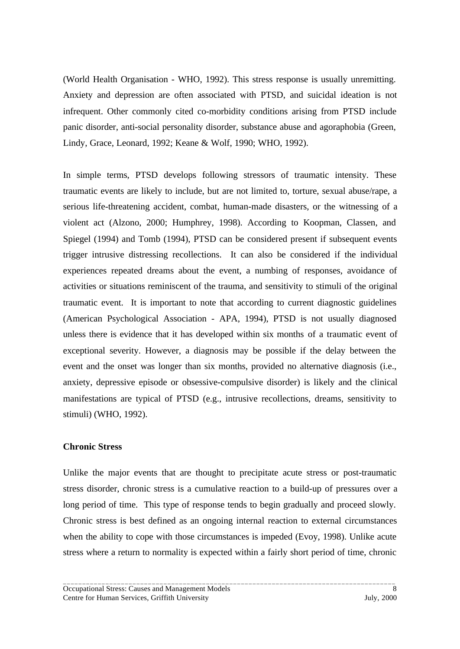(World Health Organisation - WHO, 1992). This stress response is usually unremitting. Anxiety and depression are often associated with PTSD, and suicidal ideation is not infrequent. Other commonly cited co-morbidity conditions arising from PTSD include panic disorder, anti-social personality disorder, substance abuse and agoraphobia (Green, Lindy, Grace, Leonard, 1992; Keane & Wolf, 1990; WHO, 1992).

In simple terms, PTSD develops following stressors of traumatic intensity. These traumatic events are likely to include, but are not limited to, torture, sexual abuse/rape, a serious life-threatening accident, combat, human-made disasters, or the witnessing of a violent act (Alzono, 2000; Humphrey, 1998). According to Koopman, Classen, and Spiegel (1994) and Tomb (1994), PTSD can be considered present if subsequent events trigger intrusive distressing recollections. It can also be considered if the individual experiences repeated dreams about the event, a numbing of responses, avoidance of activities or situations reminiscent of the trauma, and sensitivity to stimuli of the original traumatic event. It is important to note that according to current diagnostic guidelines (American Psychological Association - APA, 1994), PTSD is not usually diagnosed unless there is evidence that it has developed within six months of a traumatic event of exceptional severity. However, a diagnosis may be possible if the delay between the event and the onset was longer than six months, provided no alternative diagnosis (i.e., anxiety, depressive episode or obsessive-compulsive disorder) is likely and the clinical manifestations are typical of PTSD (e.g., intrusive recollections, dreams, sensitivity to stimuli) (WHO, 1992).

#### **Chronic Stress**

Unlike the major events that are thought to precipitate acute stress or post-traumatic stress disorder, chronic stress is a cumulative reaction to a build-up of pressures over a long period of time. This type of response tends to begin gradually and proceed slowly. Chronic stress is best defined as an ongoing internal reaction to external circumstances when the ability to cope with those circumstances is impeded (Evoy, 1998). Unlike acute stress where a return to normality is expected within a fairly short period of time, chronic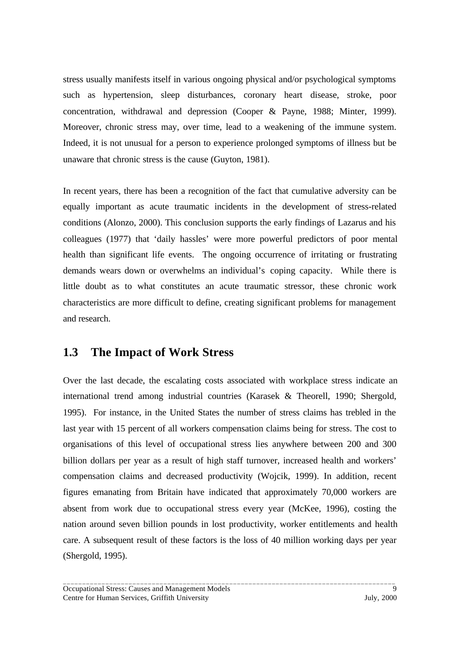<span id="page-13-0"></span>stress usually manifests itself in various ongoing physical and/or psychological symptoms such as hypertension, sleep disturbances, coronary heart disease, stroke, poor concentration, withdrawal and depression (Cooper & Payne, 1988; Minter, 1999). Moreover, chronic stress may, over time, lead to a weakening of the immune system. Indeed, it is not unusual for a person to experience prolonged symptoms of illness but be unaware that chronic stress is the cause (Guyton, 1981).

In recent years, there has been a recognition of the fact that cumulative adversity can be equally important as acute traumatic incidents in the development of stress-related conditions (Alonzo, 2000). This conclusion supports the early findings of Lazarus and his colleagues (1977) that 'daily hassles' were more powerful predictors of poor mental health than significant life events. The ongoing occurrence of irritating or frustrating demands wears down or overwhelms an individual's coping capacity. While there is little doubt as to what constitutes an acute traumatic stressor, these chronic work characteristics are more difficult to define, creating significant problems for management and research.

### **1.3 The Impact of Work Stress**

Over the last decade, the escalating costs associated with workplace stress indicate an international trend among industrial countries (Karasek & Theorell, 1990; Shergold, 1995). For instance, in the United States the number of stress claims has trebled in the last year with 15 percent of all workers compensation claims being for stress. The cost to organisations of this level of occupational stress lies anywhere between 200 and 300 billion dollars per year as a result of high staff turnover, increased health and workers' compensation claims and decreased productivity (Wojcik, 1999). In addition, recent figures emanating from Britain have indicated that approximately 70,000 workers are absent from work due to occupational stress every year (McKee, 1996), costing the nation around seven billion pounds in lost productivity, worker entitlements and health care. A subsequent result of these factors is the loss of 40 million working days per year (Shergold, 1995).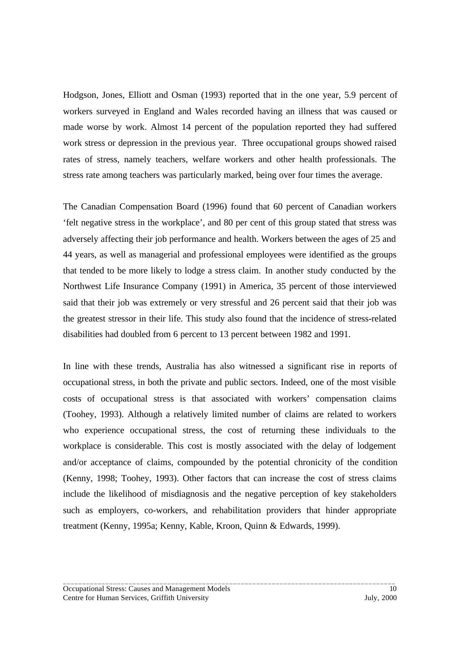Hodgson, Jones, Elliott and Osman (1993) reported that in the one year, 5.9 percent of workers surveyed in England and Wales recorded having an illness that was caused or made worse by work. Almost 14 percent of the population reported they had suffered work stress or depression in the previous year. Three occupational groups showed raised rates of stress, namely teachers, welfare workers and other health professionals. The stress rate among teachers was particularly marked, being over four times the average.

The Canadian Compensation Board (1996) found that 60 percent of Canadian workers 'felt negative stress in the workplace', and 80 per cent of this group stated that stress was adversely affecting their job performance and health. Workers between the ages of 25 and 44 years, as well as managerial and professional employees were identified as the groups that tended to be more likely to lodge a stress claim. In another study conducted by the Northwest Life Insurance Company (1991) in America, 35 percent of those interviewed said that their job was extremely or very stressful and 26 percent said that their job was the greatest stressor in their life. This study also found that the incidence of stress-related disabilities had doubled from 6 percent to 13 percent between 1982 and 1991.

In line with these trends, Australia has also witnessed a significant rise in reports of occupational stress, in both the private and public sectors. Indeed, one of the most visible costs of occupational stress is that associated with workers' compensation claims (Toohey, 1993). Although a relatively limited number of claims are related to workers who experience occupational stress, the cost of returning these individuals to the workplace is considerable. This cost is mostly associated with the delay of lodgement and/or acceptance of claims, compounded by the potential chronicity of the condition (Kenny, 1998; Toohey, 1993). Other factors that can increase the cost of stress claims include the likelihood of misdiagnosis and the negative perception of key stakeholders such as employers, co-workers, and rehabilitation providers that hinder appropriate treatment (Kenny, 1995a; Kenny, Kable, Kroon, Quinn & Edwards, 1999).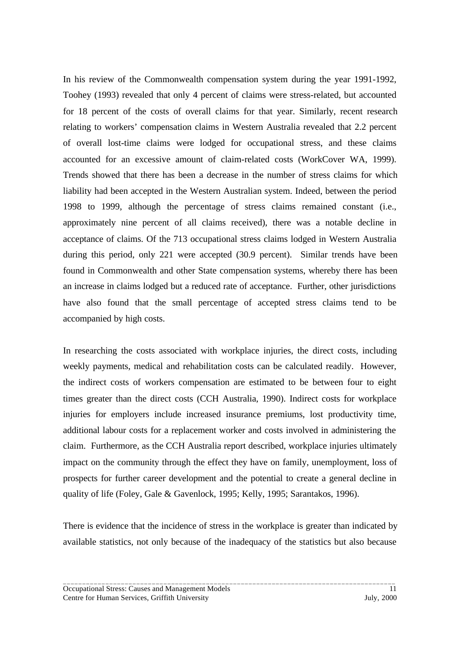In his review of the Commonwealth compensation system during the year 1991-1992, Toohey (1993) revealed that only 4 percent of claims were stress-related, but accounted for 18 percent of the costs of overall claims for that year. Similarly, recent research relating to workers' compensation claims in Western Australia revealed that 2.2 percent of overall lost-time claims were lodged for occupational stress, and these claims accounted for an excessive amount of claim-related costs (WorkCover WA, 1999). Trends showed that there has been a decrease in the number of stress claims for which liability had been accepted in the Western Australian system. Indeed, between the period 1998 to 1999, although the percentage of stress claims remained constant (i.e., approximately nine percent of all claims received), there was a notable decline in acceptance of claims. Of the 713 occupational stress claims lodged in Western Australia during this period, only 221 were accepted (30.9 percent). Similar trends have been found in Commonwealth and other State compensation systems, whereby there has been an increase in claims lodged but a reduced rate of acceptance. Further, other jurisdictions have also found that the small percentage of accepted stress claims tend to be accompanied by high costs.

In researching the costs associated with workplace injuries, the direct costs, including weekly payments, medical and rehabilitation costs can be calculated readily. However, the indirect costs of workers compensation are estimated to be between four to eight times greater than the direct costs (CCH Australia, 1990). Indirect costs for workplace injuries for employers include increased insurance premiums, lost productivity time, additional labour costs for a replacement worker and costs involved in administering the claim. Furthermore, as the CCH Australia report described, workplace injuries ultimately impact on the community through the effect they have on family, unemployment, loss of prospects for further career development and the potential to create a general decline in quality of life (Foley, Gale & Gavenlock, 1995; Kelly, 1995; Sarantakos, 1996).

There is evidence that the incidence of stress in the workplace is greater than indicated by available statistics, not only because of the inadequacy of the statistics but also because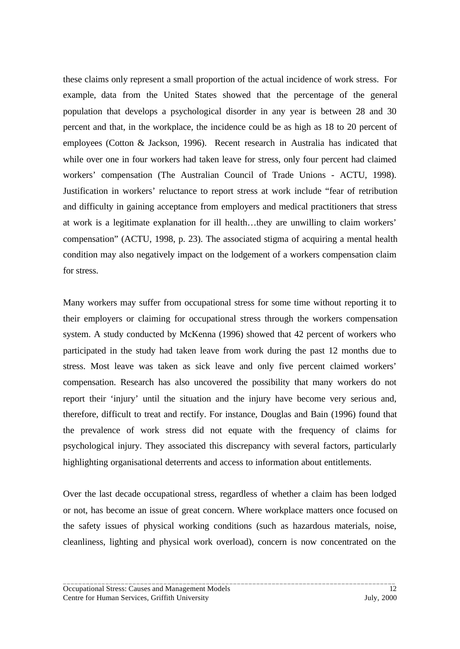these claims only represent a small proportion of the actual incidence of work stress. For example, data from the United States showed that the percentage of the general population that develops a psychological disorder in any year is between 28 and 30 percent and that, in the workplace, the incidence could be as high as 18 to 20 percent of employees (Cotton & Jackson, 1996). Recent research in Australia has indicated that while over one in four workers had taken leave for stress, only four percent had claimed workers' compensation (The Australian Council of Trade Unions - ACTU, 1998). Justification in workers' reluctance to report stress at work include "fear of retribution and difficulty in gaining acceptance from employers and medical practitioners that stress at work is a legitimate explanation for ill health…they are unwilling to claim workers' compensation" (ACTU, 1998, p. 23). The associated stigma of acquiring a mental health condition may also negatively impact on the lodgement of a workers compensation claim for stress.

Many workers may suffer from occupational stress for some time without reporting it to their employers or claiming for occupational stress through the workers compensation system. A study conducted by McKenna (1996) showed that 42 percent of workers who participated in the study had taken leave from work during the past 12 months due to stress. Most leave was taken as sick leave and only five percent claimed workers' compensation. Research has also uncovered the possibility that many workers do not report their 'injury' until the situation and the injury have become very serious and, therefore, difficult to treat and rectify. For instance, Douglas and Bain (1996) found that the prevalence of work stress did not equate with the frequency of claims for psychological injury. They associated this discrepancy with several factors, particularly highlighting organisational deterrents and access to information about entitlements.

Over the last decade occupational stress, regardless of whether a claim has been lodged or not, has become an issue of great concern. Where workplace matters once focused on the safety issues of physical working conditions (such as hazardous materials, noise, cleanliness, lighting and physical work overload), concern is now concentrated on the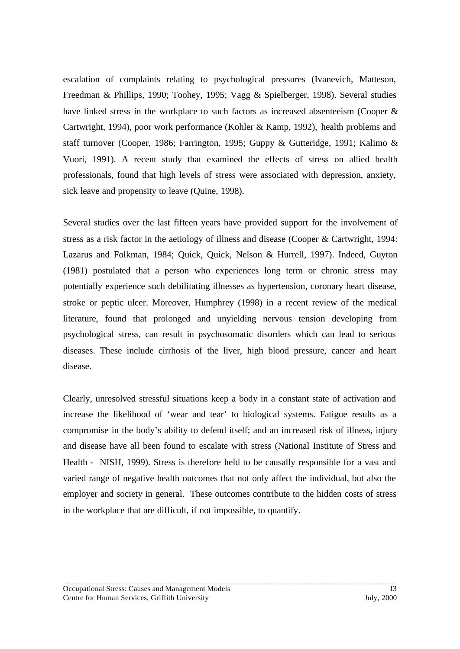escalation of complaints relating to psychological pressures (Ivanevich, Matteson, Freedman & Phillips, 1990; Toohey, 1995; Vagg & Spielberger, 1998). Several studies have linked stress in the workplace to such factors as increased absenteeism (Cooper & Cartwright, 1994), poor work performance (Kohler & Kamp, 1992), health problems and staff turnover (Cooper, 1986; Farrington, 1995; Guppy & Gutteridge, 1991; Kalimo & Vuori, 1991). A recent study that examined the effects of stress on allied health professionals, found that high levels of stress were associated with depression, anxiety, sick leave and propensity to leave (Quine, 1998).

Several studies over the last fifteen years have provided support for the involvement of stress as a risk factor in the aetiology of illness and disease (Cooper & Cartwright, 1994: Lazarus and Folkman, 1984; Quick, Quick, Nelson & Hurrell, 1997). Indeed, Guyton (1981) postulated that a person who experiences long term or chronic stress may potentially experience such debilitating illnesses as hypertension, coronary heart disease, stroke or peptic ulcer. Moreover, Humphrey (1998) in a recent review of the medical literature, found that prolonged and unyielding nervous tension developing from psychological stress, can result in psychosomatic disorders which can lead to serious diseases. These include cirrhosis of the liver, high blood pressure, cancer and heart disease.

Clearly, unresolved stressful situations keep a body in a constant state of activation and increase the likelihood of 'wear and tear' to biological systems. Fatigue results as a compromise in the body's ability to defend itself; and an increased risk of illness, injury and disease have all been found to escalate with stress (National Institute of Stress and Health - NISH, 1999). Stress is therefore held to be causally responsible for a vast and varied range of negative health outcomes that not only affect the individual, but also the employer and society in general. These outcomes contribute to the hidden costs of stress in the workplace that are difficult, if not impossible, to quantify.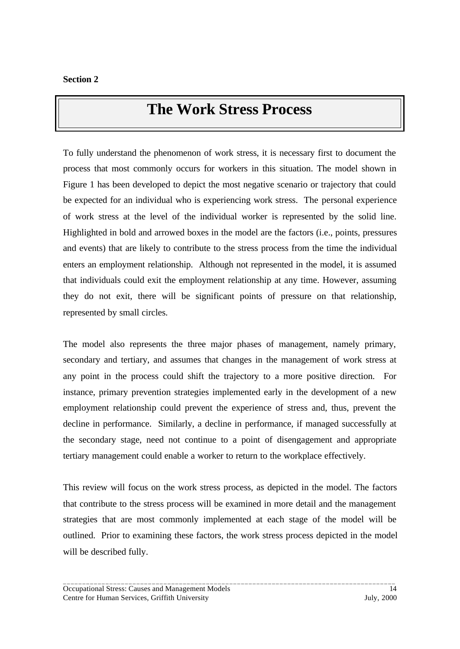## **The Work Stress Process**

<span id="page-18-0"></span>To fully understand the phenomenon of work stress, it is necessary first to document the process that most commonly occurs for workers in this situation. The model shown in Figure 1 has been developed to depict the most negative scenario or trajectory that could be expected for an individual who is experiencing work stress. The personal experience of work stress at the level of the individual worker is represented by the solid line. Highlighted in bold and arrowed boxes in the model are the factors (i.e., points, pressures and events) that are likely to contribute to the stress process from the time the individual enters an employment relationship. Although not represented in the model, it is assumed that individuals could exit the employment relationship at any time. However, assuming they do not exit, there will be significant points of pressure on that relationship, represented by small circles.

The model also represents the three major phases of management, namely primary, secondary and tertiary, and assumes that changes in the management of work stress at any point in the process could shift the trajectory to a more positive direction. For instance, primary prevention strategies implemented early in the development of a new employment relationship could prevent the experience of stress and, thus, prevent the decline in performance. Similarly, a decline in performance, if managed successfully at the secondary stage, need not continue to a point of disengagement and appropriate tertiary management could enable a worker to return to the workplace effectively.

This review will focus on the work stress process, as depicted in the model. The factors that contribute to the stress process will be examined in more detail and the management strategies that are most commonly implemented at each stage of the model will be outlined. Prior to examining these factors, the work stress process depicted in the model will be described fully.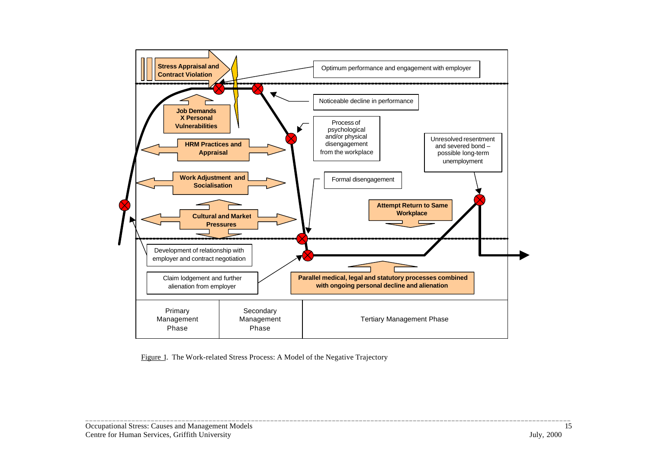

\_\_\_\_\_\_\_\_\_\_\_\_\_\_\_\_\_\_\_\_\_\_\_\_\_\_\_\_\_\_\_\_\_\_\_\_\_\_\_\_\_\_\_\_\_\_\_\_\_\_\_\_\_\_\_\_\_\_\_\_\_\_\_\_\_\_\_\_\_\_\_\_\_\_\_\_\_\_\_\_\_\_\_\_\_\_\_\_\_\_\_\_\_\_\_\_\_\_\_\_\_\_\_\_\_\_\_\_\_\_\_\_\_\_\_\_\_\_\_\_\_\_\_\_\_\_

Figure 1. The Work-related Stress Process: A Model of the Negative Trajectory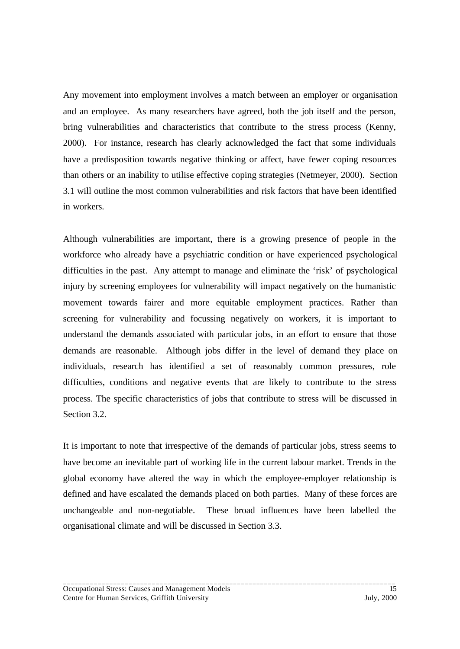Any movement into employment involves a match between an employer or organisation and an employee. As many researchers have agreed, both the job itself and the person, bring vulnerabilities and characteristics that contribute to the stress process (Kenny, 2000). For instance, research has clearly acknowledged the fact that some individuals have a predisposition towards negative thinking or affect, have fewer coping resources than others or an inability to utilise effective coping strategies (Netmeyer, 2000). Section 3.1 will outline the most common vulnerabilities and risk factors that have been identified in workers.

Although vulnerabilities are important, there is a growing presence of people in the workforce who already have a psychiatric condition or have experienced psychological difficulties in the past. Any attempt to manage and eliminate the 'risk' of psychological injury by screening employees for vulnerability will impact negatively on the humanistic movement towards fairer and more equitable employment practices. Rather than screening for vulnerability and focussing negatively on workers, it is important to understand the demands associated with particular jobs, in an effort to ensure that those demands are reasonable. Although jobs differ in the level of demand they place on individuals, research has identified a set of reasonably common pressures, role difficulties, conditions and negative events that are likely to contribute to the stress process. The specific characteristics of jobs that contribute to stress will be discussed in Section 3.2.

It is important to note that irrespective of the demands of particular jobs, stress seems to have become an inevitable part of working life in the current labour market. Trends in the global economy have altered the way in which the employee-employer relationship is defined and have escalated the demands placed on both parties. Many of these forces are unchangeable and non-negotiable. These broad influences have been labelled the organisational climate and will be discussed in Section 3.3.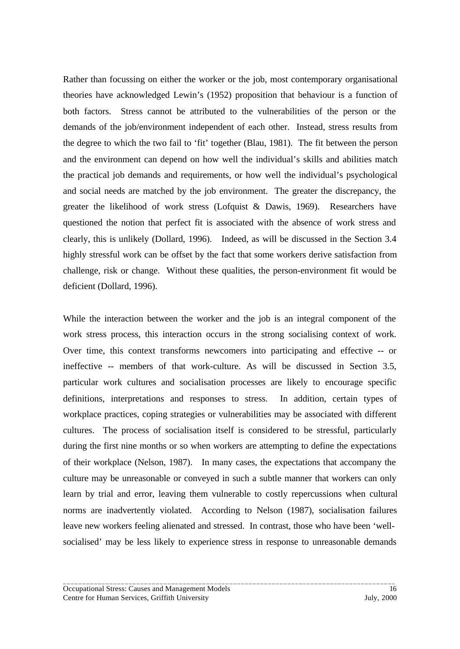Rather than focussing on either the worker or the job, most contemporary organisational theories have acknowledged Lewin's (1952) proposition that behaviour is a function of both factors. Stress cannot be attributed to the vulnerabilities of the person or the demands of the job/environment independent of each other. Instead, stress results from the degree to which the two fail to 'fit' together (Blau, 1981). The fit between the person and the environment can depend on how well the individual's skills and abilities match the practical job demands and requirements, or how well the individual's psychological and social needs are matched by the job environment. The greater the discrepancy, the greater the likelihood of work stress (Lofquist & Dawis, 1969). Researchers have questioned the notion that perfect fit is associated with the absence of work stress and clearly, this is unlikely (Dollard, 1996). Indeed, as will be discussed in the Section 3.4 highly stressful work can be offset by the fact that some workers derive satisfaction from challenge, risk or change. Without these qualities, the person-environment fit would be deficient (Dollard, 1996).

While the interaction between the worker and the job is an integral component of the work stress process, this interaction occurs in the strong socialising context of work. Over time, this context transforms newcomers into participating and effective -- or ineffective -- members of that work-culture. As will be discussed in Section 3.5, particular work cultures and socialisation processes are likely to encourage specific definitions, interpretations and responses to stress. In addition, certain types of workplace practices, coping strategies or vulnerabilities may be associated with different cultures. The process of socialisation itself is considered to be stressful, particularly during the first nine months or so when workers are attempting to define the expectations of their workplace (Nelson, 1987). In many cases, the expectations that accompany the culture may be unreasonable or conveyed in such a subtle manner that workers can only learn by trial and error, leaving them vulnerable to costly repercussions when cultural norms are inadvertently violated. According to Nelson (1987), socialisation failures leave new workers feeling alienated and stressed. In contrast, those who have been 'wellsocialised' may be less likely to experience stress in response to unreasonable demands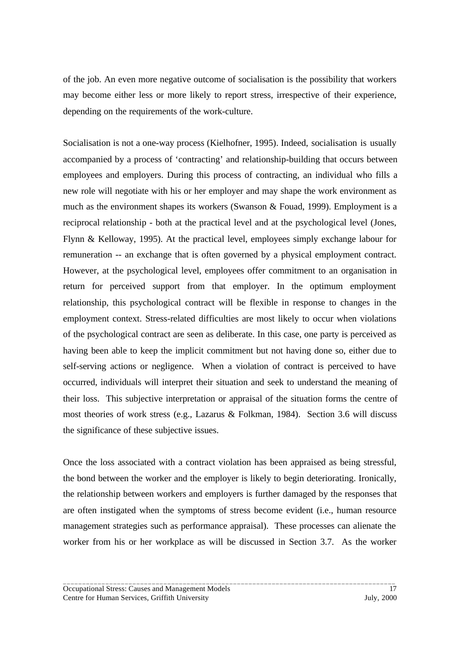of the job. An even more negative outcome of socialisation is the possibility that workers may become either less or more likely to report stress, irrespective of their experience, depending on the requirements of the work-culture.

Socialisation is not a one-way process (Kielhofner, 1995). Indeed, socialisation is usually accompanied by a process of 'contracting' and relationship-building that occurs between employees and employers. During this process of contracting, an individual who fills a new role will negotiate with his or her employer and may shape the work environment as much as the environment shapes its workers (Swanson & Fouad, 1999). Employment is a reciprocal relationship - both at the practical level and at the psychological level (Jones, Flynn & Kelloway, 1995). At the practical level, employees simply exchange labour for remuneration -- an exchange that is often governed by a physical employment contract. However, at the psychological level, employees offer commitment to an organisation in return for perceived support from that employer. In the optimum employment relationship, this psychological contract will be flexible in response to changes in the employment context. Stress-related difficulties are most likely to occur when violations of the psychological contract are seen as deliberate. In this case, one party is perceived as having been able to keep the implicit commitment but not having done so, either due to self-serving actions or negligence. When a violation of contract is perceived to have occurred, individuals will interpret their situation and seek to understand the meaning of their loss. This subjective interpretation or appraisal of the situation forms the centre of most theories of work stress (e.g., Lazarus & Folkman, 1984). Section 3.6 will discuss the significance of these subjective issues.

Once the loss associated with a contract violation has been appraised as being stressful, the bond between the worker and the employer is likely to begin deteriorating. Ironically, the relationship between workers and employers is further damaged by the responses that are often instigated when the symptoms of stress become evident (i.e., human resource management strategies such as performance appraisal). These processes can alienate the worker from his or her workplace as will be discussed in Section 3.7. As the worker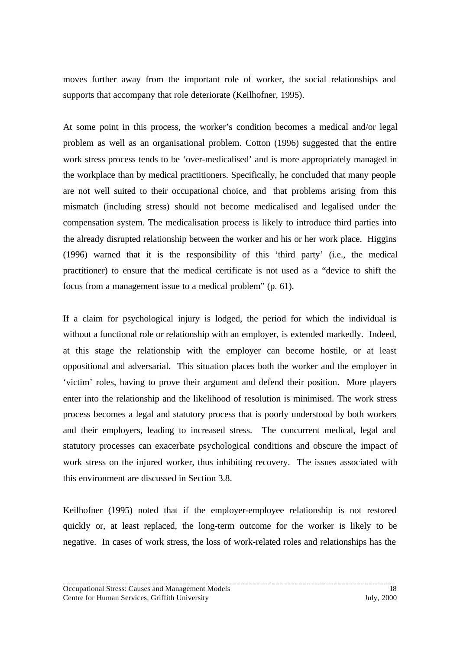moves further away from the important role of worker, the social relationships and supports that accompany that role deteriorate (Keilhofner, 1995).

At some point in this process, the worker's condition becomes a medical and/or legal problem as well as an organisational problem. Cotton (1996) suggested that the entire work stress process tends to be 'over-medicalised' and is more appropriately managed in the workplace than by medical practitioners. Specifically, he concluded that many people are not well suited to their occupational choice, and that problems arising from this mismatch (including stress) should not become medicalised and legalised under the compensation system. The medicalisation process is likely to introduce third parties into the already disrupted relationship between the worker and his or her work place. Higgins (1996) warned that it is the responsibility of this 'third party' (i.e., the medical practitioner) to ensure that the medical certificate is not used as a "device to shift the focus from a management issue to a medical problem" (p. 61).

If a claim for psychological injury is lodged, the period for which the individual is without a functional role or relationship with an employer, is extended markedly. Indeed, at this stage the relationship with the employer can become hostile, or at least oppositional and adversarial. This situation places both the worker and the employer in 'victim' roles, having to prove their argument and defend their position. More players enter into the relationship and the likelihood of resolution is minimised. The work stress process becomes a legal and statutory process that is poorly understood by both workers and their employers, leading to increased stress. The concurrent medical, legal and statutory processes can exacerbate psychological conditions and obscure the impact of work stress on the injured worker, thus inhibiting recovery. The issues associated with this environment are discussed in Section 3.8.

Keilhofner (1995) noted that if the employer-employee relationship is not restored quickly or, at least replaced, the long-term outcome for the worker is likely to be negative. In cases of work stress, the loss of work-related roles and relationships has the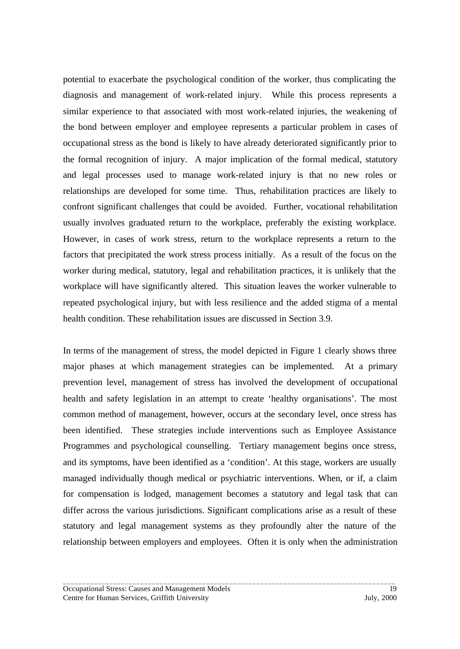potential to exacerbate the psychological condition of the worker, thus complicating the diagnosis and management of work-related injury. While this process represents a similar experience to that associated with most work-related injuries, the weakening of the bond between employer and employee represents a particular problem in cases of occupational stress as the bond is likely to have already deteriorated significantly prior to the formal recognition of injury. A major implication of the formal medical, statutory and legal processes used to manage work-related injury is that no new roles or relationships are developed for some time. Thus, rehabilitation practices are likely to confront significant challenges that could be avoided. Further, vocational rehabilitation usually involves graduated return to the workplace, preferably the existing workplace. However, in cases of work stress, return to the workplace represents a return to the factors that precipitated the work stress process initially. As a result of the focus on the worker during medical, statutory, legal and rehabilitation practices, it is unlikely that the workplace will have significantly altered. This situation leaves the worker vulnerable to repeated psychological injury, but with less resilience and the added stigma of a mental health condition. These rehabilitation issues are discussed in Section 3.9.

In terms of the management of stress, the model depicted in Figure 1 clearly shows three major phases at which management strategies can be implemented. At a primary prevention level, management of stress has involved the development of occupational health and safety legislation in an attempt to create 'healthy organisations'. The most common method of management, however, occurs at the secondary level, once stress has been identified. These strategies include interventions such as Employee Assistance Programmes and psychological counselling. Tertiary management begins once stress, and its symptoms, have been identified as a 'condition'. At this stage, workers are usually managed individually though medical or psychiatric interventions. When, or if, a claim for compensation is lodged, management becomes a statutory and legal task that can differ across the various jurisdictions. Significant complications arise as a result of these statutory and legal management systems as they profoundly alter the nature of the relationship between employers and employees. Often it is only when the administration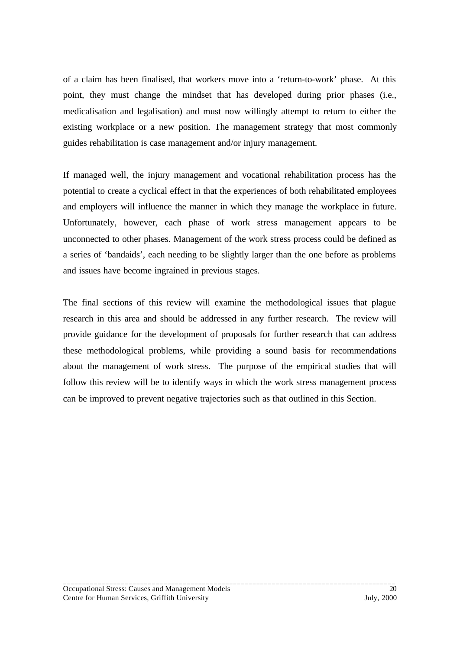of a claim has been finalised, that workers move into a 'return-to-work' phase. At this point, they must change the mindset that has developed during prior phases (i.e., medicalisation and legalisation) and must now willingly attempt to return to either the existing workplace or a new position. The management strategy that most commonly guides rehabilitation is case management and/or injury management.

If managed well, the injury management and vocational rehabilitation process has the potential to create a cyclical effect in that the experiences of both rehabilitated employees and employers will influence the manner in which they manage the workplace in future. Unfortunately, however, each phase of work stress management appears to be unconnected to other phases. Management of the work stress process could be defined as a series of 'bandaids', each needing to be slightly larger than the one before as problems and issues have become ingrained in previous stages.

The final sections of this review will examine the methodological issues that plague research in this area and should be addressed in any further research. The review will provide guidance for the development of proposals for further research that can address these methodological problems, while providing a sound basis for recommendations about the management of work stress. The purpose of the empirical studies that will follow this review will be to identify ways in which the work stress management process can be improved to prevent negative trajectories such as that outlined in this Section.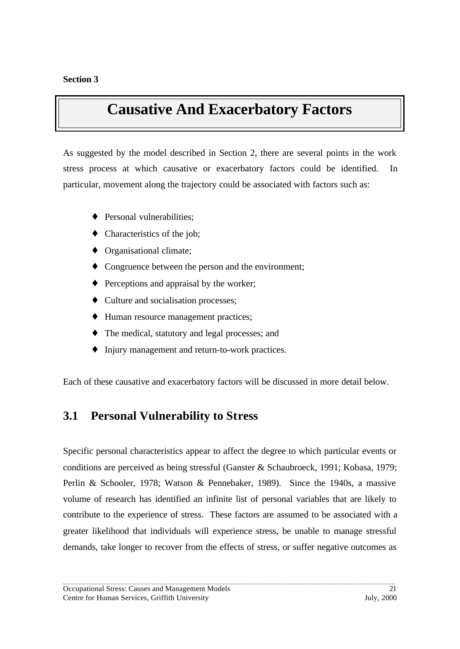## <span id="page-26-0"></span>**Causative And Exacerbatory Factors**

As suggested by the model described in Section 2, there are several points in the work stress process at which causative or exacerbatory factors could be identified. In particular, movement along the trajectory could be associated with factors such as:

- ♦ Personal vulnerabilities;
- ♦ Characteristics of the job;
- ♦ Organisational climate;
- ♦ Congruence between the person and the environment;
- ♦ Perceptions and appraisal by the worker;
- ♦ Culture and socialisation processes;
- ♦ Human resource management practices;
- ♦ The medical, statutory and legal processes; and
- ♦ Injury management and return-to-work practices.

Each of these causative and exacerbatory factors will be discussed in more detail below.

### **3.1 Personal Vulnerability to Stress**

Specific personal characteristics appear to affect the degree to which particular events or conditions are perceived as being stressful (Ganster & Schaubroeck, 1991; Kobasa, 1979; Perlin & Schooler, 1978; Watson & Pennebaker, 1989). Since the 1940s, a massive volume of research has identified an infinite list of personal variables that are likely to contribute to the experience of stress. These factors are assumed to be associated with a greater likelihood that individuals will experience stress, be unable to manage stressful demands, take longer to recover from the effects of stress, or suffer negative outcomes as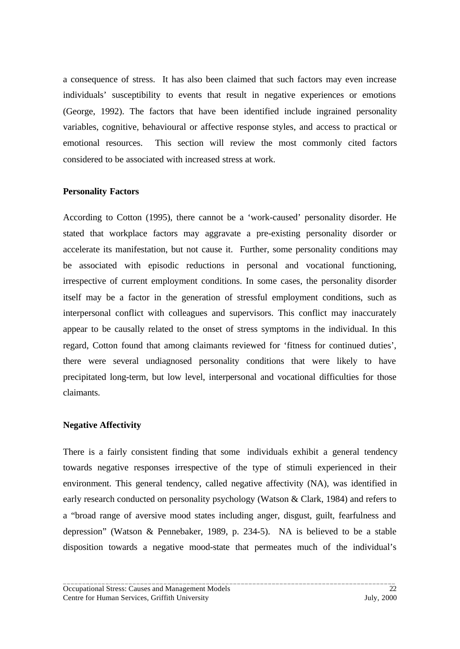a consequence of stress. It has also been claimed that such factors may even increase individuals' susceptibility to events that result in negative experiences or emotions (George, 1992). The factors that have been identified include ingrained personality variables, cognitive, behavioural or affective response styles, and access to practical or emotional resources. This section will review the most commonly cited factors considered to be associated with increased stress at work.

#### **Personality Factors**

According to Cotton (1995), there cannot be a 'work-caused' personality disorder. He stated that workplace factors may aggravate a pre-existing personality disorder or accelerate its manifestation, but not cause it. Further, some personality conditions may be associated with episodic reductions in personal and vocational functioning, irrespective of current employment conditions. In some cases, the personality disorder itself may be a factor in the generation of stressful employment conditions, such as interpersonal conflict with colleagues and supervisors. This conflict may inaccurately appear to be causally related to the onset of stress symptoms in the individual. In this regard, Cotton found that among claimants reviewed for 'fitness for continued duties', there were several undiagnosed personality conditions that were likely to have precipitated long-term, but low level, interpersonal and vocational difficulties for those claimants.

#### **Negative Affectivity**

There is a fairly consistent finding that some individuals exhibit a general tendency towards negative responses irrespective of the type of stimuli experienced in their environment. This general tendency, called negative affectivity (NA), was identified in early research conducted on personality psychology (Watson & Clark, 1984) and refers to a "broad range of aversive mood states including anger, disgust, guilt, fearfulness and depression" (Watson & Pennebaker, 1989, p. 234-5). NA is believed to be a stable disposition towards a negative mood-state that permeates much of the individual's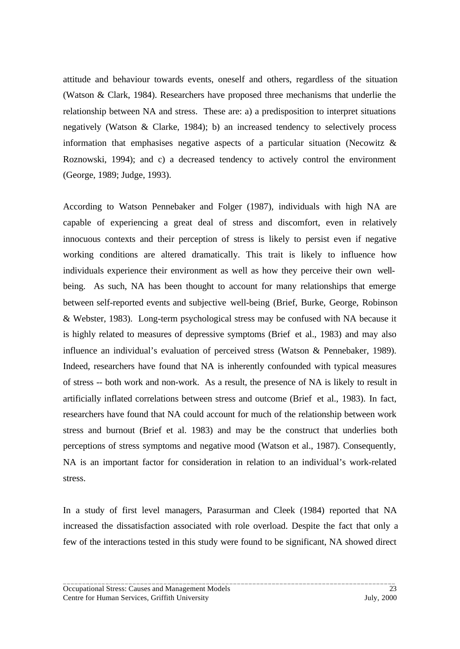attitude and behaviour towards events, oneself and others, regardless of the situation (Watson & Clark, 1984). Researchers have proposed three mechanisms that underlie the relationship between NA and stress. These are: a) a predisposition to interpret situations negatively (Watson & Clarke, 1984); b) an increased tendency to selectively process information that emphasises negative aspects of a particular situation (Necowitz  $\&$ Roznowski, 1994); and c) a decreased tendency to actively control the environment (George, 1989; Judge, 1993).

According to Watson Pennebaker and Folger (1987), individuals with high NA are capable of experiencing a great deal of stress and discomfort, even in relatively innocuous contexts and their perception of stress is likely to persist even if negative working conditions are altered dramatically. This trait is likely to influence how individuals experience their environment as well as how they perceive their own wellbeing. As such, NA has been thought to account for many relationships that emerge between self-reported events and subjective well-being (Brief, Burke, George, Robinson & Webster, 1983). Long-term psychological stress may be confused with NA because it is highly related to measures of depressive symptoms (Brief et al., 1983) and may also influence an individual's evaluation of perceived stress (Watson & Pennebaker, 1989). Indeed, researchers have found that NA is inherently confounded with typical measures of stress -- both work and non-work. As a result, the presence of NA is likely to result in artificially inflated correlations between stress and outcome (Brief et al., 1983). In fact, researchers have found that NA could account for much of the relationship between work stress and burnout (Brief et al. 1983) and may be the construct that underlies both perceptions of stress symptoms and negative mood (Watson et al., 1987). Consequently, NA is an important factor for consideration in relation to an individual's work-related stress.

In a study of first level managers, Parasurman and Cleek (1984) reported that NA increased the dissatisfaction associated with role overload. Despite the fact that only a few of the interactions tested in this study were found to be significant, NA showed direct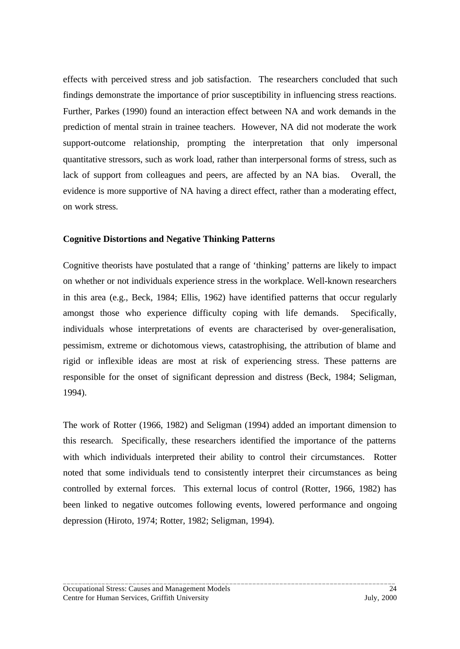effects with perceived stress and job satisfaction. The researchers concluded that such findings demonstrate the importance of prior susceptibility in influencing stress reactions. Further, Parkes (1990) found an interaction effect between NA and work demands in the prediction of mental strain in trainee teachers. However, NA did not moderate the work support-outcome relationship, prompting the interpretation that only impersonal quantitative stressors, such as work load, rather than interpersonal forms of stress, such as lack of support from colleagues and peers, are affected by an NA bias. Overall, the evidence is more supportive of NA having a direct effect, rather than a moderating effect, on work stress.

### **Cognitive Distortions and Negative Thinking Patterns**

Cognitive theorists have postulated that a range of 'thinking' patterns are likely to impact on whether or not individuals experience stress in the workplace. Well-known researchers in this area (e.g., Beck, 1984; Ellis, 1962) have identified patterns that occur regularly amongst those who experience difficulty coping with life demands. Specifically, individuals whose interpretations of events are characterised by over-generalisation, pessimism, extreme or dichotomous views, catastrophising, the attribution of blame and rigid or inflexible ideas are most at risk of experiencing stress. These patterns are responsible for the onset of significant depression and distress (Beck, 1984; Seligman, 1994).

The work of Rotter (1966, 1982) and Seligman (1994) added an important dimension to this research. Specifically, these researchers identified the importance of the patterns with which individuals interpreted their ability to control their circumstances. Rotter noted that some individuals tend to consistently interpret their circumstances as being controlled by external forces. This external locus of control (Rotter, 1966, 1982) has been linked to negative outcomes following events, lowered performance and ongoing depression (Hiroto, 1974; Rotter, 1982; Seligman, 1994).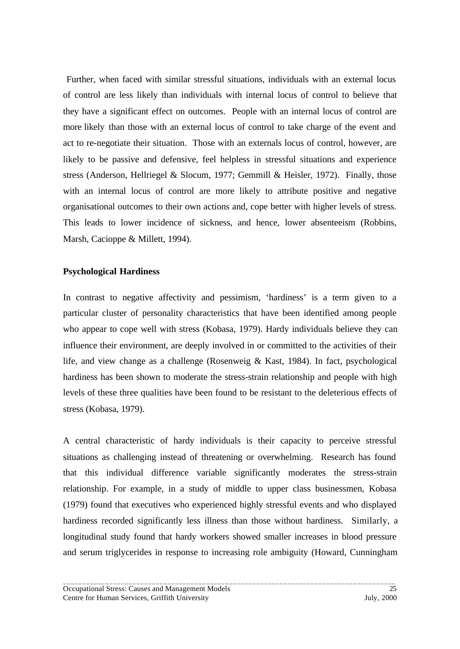Further, when faced with similar stressful situations, individuals with an external locus of control are less likely than individuals with internal locus of control to believe that they have a significant effect on outcomes. People with an internal locus of control are more likely than those with an external locus of control to take charge of the event and act to re-negotiate their situation. Those with an externals locus of control, however, are likely to be passive and defensive, feel helpless in stressful situations and experience stress (Anderson, Hellriegel & Slocum, 1977; Gemmill & Heisler, 1972). Finally, those with an internal locus of control are more likely to attribute positive and negative organisational outcomes to their own actions and, cope better with higher levels of stress. This leads to lower incidence of sickness, and hence, lower absenteeism (Robbins, Marsh, Cacioppe & Millett, 1994).

### **Psychological Hardiness**

In contrast to negative affectivity and pessimism, 'hardiness' is a term given to a particular cluster of personality characteristics that have been identified among people who appear to cope well with stress (Kobasa, 1979). Hardy individuals believe they can influence their environment, are deeply involved in or committed to the activities of their life, and view change as a challenge (Rosenweig & Kast, 1984). In fact, psychological hardiness has been shown to moderate the stress-strain relationship and people with high levels of these three qualities have been found to be resistant to the deleterious effects of stress (Kobasa, 1979).

A central characteristic of hardy individuals is their capacity to perceive stressful situations as challenging instead of threatening or overwhelming. Research has found that this individual difference variable significantly moderates the stress-strain relationship. For example, in a study of middle to upper class businessmen, Kobasa (1979) found that executives who experienced highly stressful events and who displayed hardiness recorded significantly less illness than those without hardiness. Similarly, a longitudinal study found that hardy workers showed smaller increases in blood pressure and serum triglycerides in response to increasing role ambiguity (Howard, Cunningham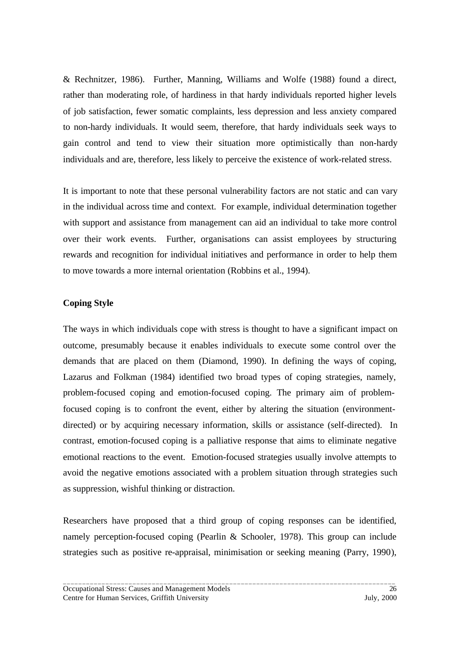& Rechnitzer, 1986). Further, Manning, Williams and Wolfe (1988) found a direct, rather than moderating role, of hardiness in that hardy individuals reported higher levels of job satisfaction, fewer somatic complaints, less depression and less anxiety compared to non-hardy individuals. It would seem, therefore, that hardy individuals seek ways to gain control and tend to view their situation more optimistically than non-hardy individuals and are, therefore, less likely to perceive the existence of work-related stress.

It is important to note that these personal vulnerability factors are not static and can vary in the individual across time and context. For example, individual determination together with support and assistance from management can aid an individual to take more control over their work events. Further, organisations can assist employees by structuring rewards and recognition for individual initiatives and performance in order to help them to move towards a more internal orientation (Robbins et al., 1994).

### **Coping Style**

The ways in which individuals cope with stress is thought to have a significant impact on outcome, presumably because it enables individuals to execute some control over the demands that are placed on them (Diamond, 1990). In defining the ways of coping, Lazarus and Folkman (1984) identified two broad types of coping strategies, namely, problem-focused coping and emotion-focused coping. The primary aim of problemfocused coping is to confront the event, either by altering the situation (environmentdirected) or by acquiring necessary information, skills or assistance (self-directed). In contrast, emotion-focused coping is a palliative response that aims to eliminate negative emotional reactions to the event. Emotion-focused strategies usually involve attempts to avoid the negative emotions associated with a problem situation through strategies such as suppression, wishful thinking or distraction.

Researchers have proposed that a third group of coping responses can be identified, namely perception-focused coping (Pearlin & Schooler, 1978). This group can include strategies such as positive re-appraisal, minimisation or seeking meaning (Parry, 1990),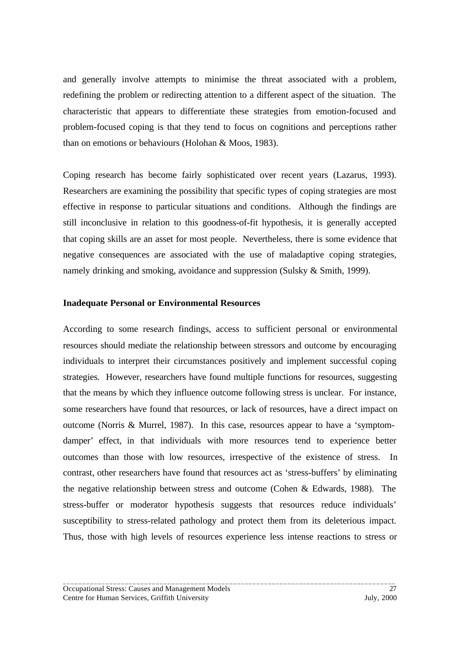and generally involve attempts to minimise the threat associated with a problem, redefining the problem or redirecting attention to a different aspect of the situation. The characteristic that appears to differentiate these strategies from emotion-focused and problem-focused coping is that they tend to focus on cognitions and perceptions rather than on emotions or behaviours (Holohan & Moos, 1983).

Coping research has become fairly sophisticated over recent years (Lazarus, 1993). Researchers are examining the possibility that specific types of coping strategies are most effective in response to particular situations and conditions. Although the findings are still inconclusive in relation to this goodness-of-fit hypothesis, it is generally accepted that coping skills are an asset for most people. Nevertheless, there is some evidence that negative consequences are associated with the use of maladaptive coping strategies, namely drinking and smoking, avoidance and suppression (Sulsky & Smith, 1999).

#### **Inadequate Personal or Environmental Resources**

According to some research findings, access to sufficient personal or environmental resources should mediate the relationship between stressors and outcome by encouraging individuals to interpret their circumstances positively and implement successful coping strategies. However, researchers have found multiple functions for resources, suggesting that the means by which they influence outcome following stress is unclear. For instance, some researchers have found that resources, or lack of resources, have a direct impact on outcome (Norris & Murrel, 1987). In this case, resources appear to have a 'symptomdamper' effect, in that individuals with more resources tend to experience better outcomes than those with low resources, irrespective of the existence of stress. In contrast, other researchers have found that resources act as 'stress-buffers' by eliminating the negative relationship between stress and outcome (Cohen & Edwards, 1988). The stress-buffer or moderator hypothesis suggests that resources reduce individuals' susceptibility to stress-related pathology and protect them from its deleterious impact. Thus, those with high levels of resources experience less intense reactions to stress or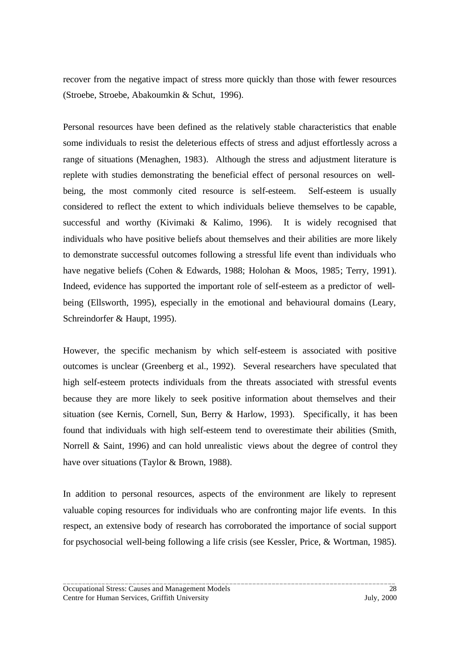recover from the negative impact of stress more quickly than those with fewer resources (Stroebe, Stroebe, Abakoumkin & Schut, 1996).

Personal resources have been defined as the relatively stable characteristics that enable some individuals to resist the deleterious effects of stress and adjust effortlessly across a range of situations (Menaghen, 1983). Although the stress and adjustment literature is replete with studies demonstrating the beneficial effect of personal resources on wellbeing, the most commonly cited resource is self-esteem. Self-esteem is usually considered to reflect the extent to which individuals believe themselves to be capable, successful and worthy (Kivimaki & Kalimo, 1996). It is widely recognised that individuals who have positive beliefs about themselves and their abilities are more likely to demonstrate successful outcomes following a stressful life event than individuals who have negative beliefs (Cohen & Edwards, 1988; Holohan & Moos, 1985; Terry, 1991). Indeed, evidence has supported the important role of self-esteem as a predictor of wellbeing (Ellsworth, 1995), especially in the emotional and behavioural domains (Leary, Schreindorfer & Haupt, 1995).

However, the specific mechanism by which self-esteem is associated with positive outcomes is unclear (Greenberg et al., 1992). Several researchers have speculated that high self-esteem protects individuals from the threats associated with stressful events because they are more likely to seek positive information about themselves and their situation (see Kernis, Cornell, Sun, Berry & Harlow, 1993). Specifically, it has been found that individuals with high self-esteem tend to overestimate their abilities (Smith, Norrell & Saint, 1996) and can hold unrealistic views about the degree of control they have over situations (Taylor & Brown, 1988).

In addition to personal resources, aspects of the environment are likely to represent valuable coping resources for individuals who are confronting major life events. In this respect, an extensive body of research has corroborated the importance of social support for psychosocial well-being following a life crisis (see Kessler, Price, & Wortman, 1985).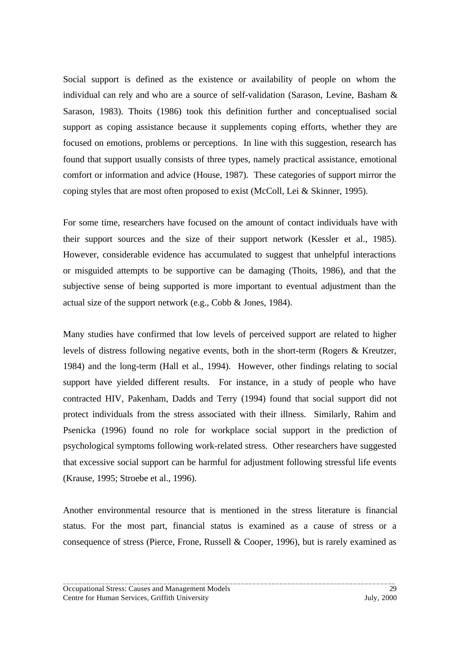Social support is defined as the existence or availability of people on whom the individual can rely and who are a source of self-validation (Sarason, Levine, Basham & Sarason, 1983). Thoits (1986) took this definition further and conceptualised social support as coping assistance because it supplements coping efforts, whether they are focused on emotions, problems or perceptions. In line with this suggestion, research has found that support usually consists of three types, namely practical assistance, emotional comfort or information and advice (House, 1987). These categories of support mirror the coping styles that are most often proposed to exist (McColl, Lei & Skinner, 1995).

For some time, researchers have focused on the amount of contact individuals have with their support sources and the size of their support network (Kessler et al., 1985). However, considerable evidence has accumulated to suggest that unhelpful interactions or misguided attempts to be supportive can be damaging (Thoits, 1986), and that the subjective sense of being supported is more important to eventual adjustment than the actual size of the support network (e.g., Cobb & Jones, 1984).

Many studies have confirmed that low levels of perceived support are related to higher levels of distress following negative events, both in the short-term (Rogers & Kreutzer, 1984) and the long-term (Hall et al., 1994). However, other findings relating to social support have yielded different results. For instance, in a study of people who have contracted HIV, Pakenham, Dadds and Terry (1994) found that social support did not protect individuals from the stress associated with their illness. Similarly, Rahim and Psenicka (1996) found no role for workplace social support in the prediction of psychological symptoms following work-related stress. Other researchers have suggested that excessive social support can be harmful for adjustment following stressful life events (Krause, 1995; Stroebe et al., 1996).

Another environmental resource that is mentioned in the stress literature is financial status. For the most part, financial status is examined as a cause of stress or a consequence of stress (Pierce, Frone, Russell & Cooper, 1996), but is rarely examined as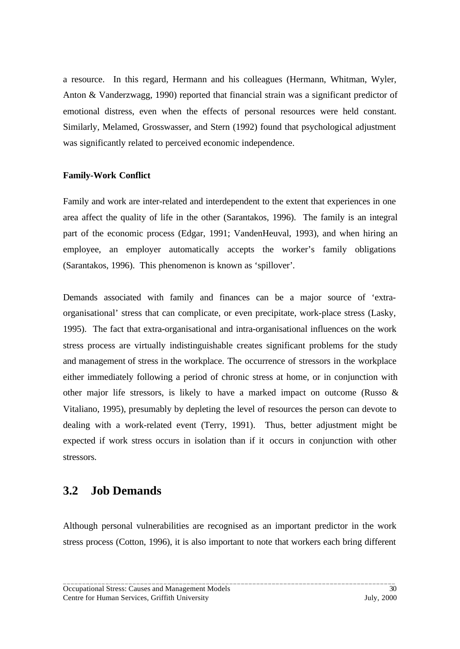<span id="page-35-0"></span>a resource. In this regard, Hermann and his colleagues (Hermann, Whitman, Wyler, Anton & Vanderzwagg, 1990) reported that financial strain was a significant predictor of emotional distress, even when the effects of personal resources were held constant. Similarly, Melamed, Grosswasser, and Stern (1992) found that psychological adjustment was significantly related to perceived economic independence.

#### **Family-Work Conflict**

Family and work are inter-related and interdependent to the extent that experiences in one area affect the quality of life in the other (Sarantakos, 1996). The family is an integral part of the economic process (Edgar, 1991; VandenHeuval, 1993), and when hiring an employee, an employer automatically accepts the worker's family obligations (Sarantakos, 1996). This phenomenon is known as 'spillover'*.*

Demands associated with family and finances can be a major source of 'extraorganisational' stress that can complicate, or even precipitate, work-place stress (Lasky, 1995). The fact that extra-organisational and intra-organisational influences on the work stress process are virtually indistinguishable creates significant problems for the study and management of stress in the workplace. The occurrence of stressors in the workplace either immediately following a period of chronic stress at home, or in conjunction with other major life stressors, is likely to have a marked impact on outcome (Russo & Vitaliano, 1995), presumably by depleting the level of resources the person can devote to dealing with a work-related event (Terry, 1991). Thus, better adjustment might be expected if work stress occurs in isolation than if it occurs in conjunction with other stressors.

### **3.2 Job Demands**

Although personal vulnerabilities are recognised as an important predictor in the work stress process (Cotton, 1996), it is also important to note that workers each bring different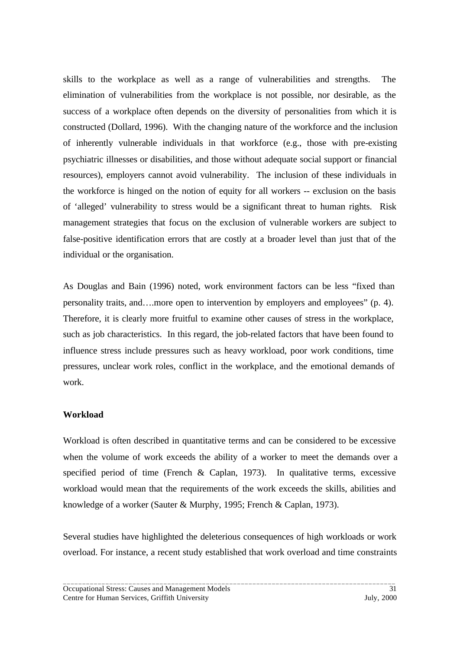skills to the workplace as well as a range of vulnerabilities and strengths. The elimination of vulnerabilities from the workplace is not possible, nor desirable, as the success of a workplace often depends on the diversity of personalities from which it is constructed (Dollard, 1996). With the changing nature of the workforce and the inclusion of inherently vulnerable individuals in that workforce (e.g., those with pre-existing psychiatric illnesses or disabilities, and those without adequate social support or financial resources), employers cannot avoid vulnerability. The inclusion of these individuals in the workforce is hinged on the notion of equity for all workers -- exclusion on the basis of 'alleged' vulnerability to stress would be a significant threat to human rights. Risk management strategies that focus on the exclusion of vulnerable workers are subject to false-positive identification errors that are costly at a broader level than just that of the individual or the organisation.

As Douglas and Bain (1996) noted, work environment factors can be less "fixed than personality traits, and….more open to intervention by employers and employees" (p. 4). Therefore, it is clearly more fruitful to examine other causes of stress in the workplace, such as job characteristics. In this regard, the job-related factors that have been found to influence stress include pressures such as heavy workload, poor work conditions, time pressures, unclear work roles, conflict in the workplace, and the emotional demands of work.

## **Workload**

Workload is often described in quantitative terms and can be considered to be excessive when the volume of work exceeds the ability of a worker to meet the demands over a specified period of time (French & Caplan, 1973). In qualitative terms, excessive workload would mean that the requirements of the work exceeds the skills, abilities and knowledge of a worker (Sauter & Murphy, 1995; French & Caplan, 1973).

Several studies have highlighted the deleterious consequences of high workloads or work overload. For instance, a recent study established that work overload and time constraints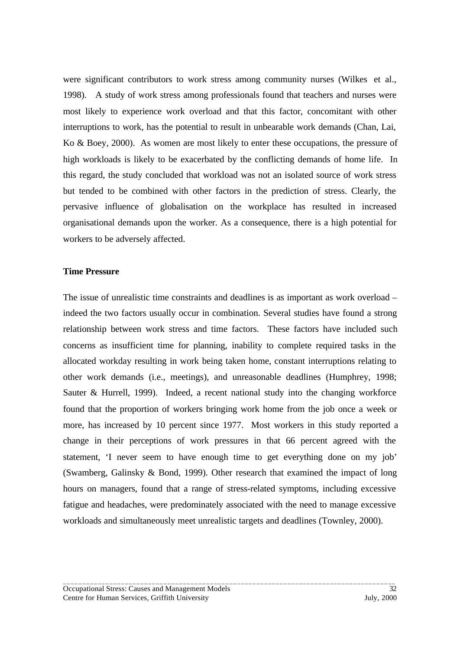were significant contributors to work stress among community nurses (Wilkes et al., 1998). A study of work stress among professionals found that teachers and nurses were most likely to experience work overload and that this factor, concomitant with other interruptions to work, has the potential to result in unbearable work demands (Chan, Lai, Ko & Boey, 2000). As women are most likely to enter these occupations, the pressure of high workloads is likely to be exacerbated by the conflicting demands of home life. In this regard, the study concluded that workload was not an isolated source of work stress but tended to be combined with other factors in the prediction of stress. Clearly, the pervasive influence of globalisation on the workplace has resulted in increased organisational demands upon the worker. As a consequence, there is a high potential for workers to be adversely affected.

#### **Time Pressure**

The issue of unrealistic time constraints and deadlines is as important as work overload – indeed the two factors usually occur in combination. Several studies have found a strong relationship between work stress and time factors. These factors have included such concerns as insufficient time for planning, inability to complete required tasks in the allocated workday resulting in work being taken home, constant interruptions relating to other work demands (i.e., meetings), and unreasonable deadlines (Humphrey, 1998; Sauter & Hurrell, 1999). Indeed, a recent national study into the changing workforce found that the proportion of workers bringing work home from the job once a week or more, has increased by 10 percent since 1977. Most workers in this study reported a change in their perceptions of work pressures in that 66 percent agreed with the statement, 'I never seem to have enough time to get everything done on my job' (Swamberg, Galinsky & Bond, 1999). Other research that examined the impact of long hours on managers, found that a range of stress-related symptoms, including excessive fatigue and headaches, were predominately associated with the need to manage excessive workloads and simultaneously meet unrealistic targets and deadlines (Townley, 2000).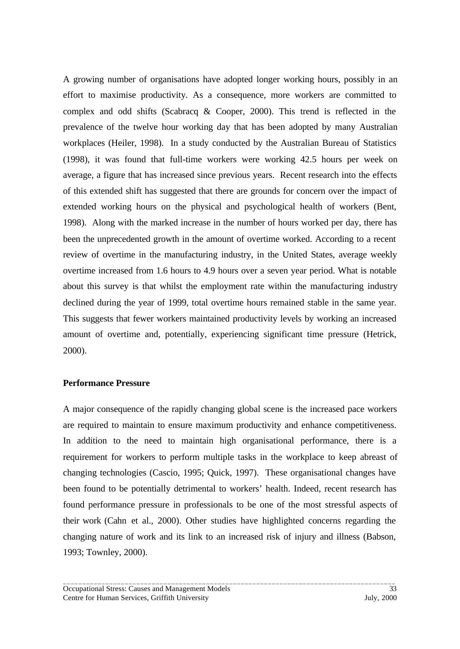A growing number of organisations have adopted longer working hours, possibly in an effort to maximise productivity. As a consequence, more workers are committed to complex and odd shifts (Scabracq & Cooper, 2000). This trend is reflected in the prevalence of the twelve hour working day that has been adopted by many Australian workplaces (Heiler, 1998). In a study conducted by the Australian Bureau of Statistics (1998), it was found that full-time workers were working 42.5 hours per week on average, a figure that has increased since previous years. Recent research into the effects of this extended shift has suggested that there are grounds for concern over the impact of extended working hours on the physical and psychological health of workers (Bent, 1998). Along with the marked increase in the number of hours worked per day, there has been the unprecedented growth in the amount of overtime worked. According to a recent review of overtime in the manufacturing industry, in the United States, average weekly overtime increased from 1.6 hours to 4.9 hours over a seven year period. What is notable about this survey is that whilst the employment rate within the manufacturing industry declined during the year of 1999, total overtime hours remained stable in the same year. This suggests that fewer workers maintained productivity levels by working an increased amount of overtime and, potentially, experiencing significant time pressure (Hetrick, 2000).

### **Performance Pressure**

A major consequence of the rapidly changing global scene is the increased pace workers are required to maintain to ensure maximum productivity and enhance competitiveness. In addition to the need to maintain high organisational performance, there is a requirement for workers to perform multiple tasks in the workplace to keep abreast of changing technologies (Cascio, 1995; Quick, 1997). These organisational changes have been found to be potentially detrimental to workers' health. Indeed, recent research has found performance pressure in professionals to be one of the most stressful aspects of their work (Cahn et al., 2000). Other studies have highlighted concerns regarding the changing nature of work and its link to an increased risk of injury and illness (Babson, 1993; Townley, 2000).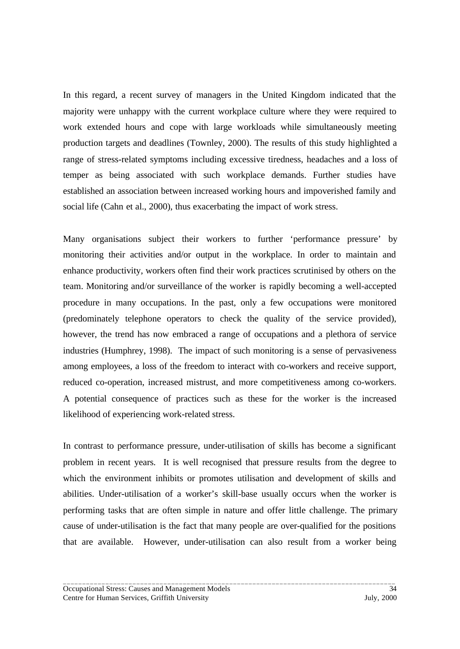In this regard, a recent survey of managers in the United Kingdom indicated that the majority were unhappy with the current workplace culture where they were required to work extended hours and cope with large workloads while simultaneously meeting production targets and deadlines (Townley, 2000). The results of this study highlighted a range of stress-related symptoms including excessive tiredness, headaches and a loss of temper as being associated with such workplace demands. Further studies have established an association between increased working hours and impoverished family and social life (Cahn et al., 2000), thus exacerbating the impact of work stress.

Many organisations subject their workers to further 'performance pressure' by monitoring their activities and/or output in the workplace. In order to maintain and enhance productivity, workers often find their work practices scrutinised by others on the team. Monitoring and/or surveillance of the worker is rapidly becoming a well-accepted procedure in many occupations. In the past, only a few occupations were monitored (predominately telephone operators to check the quality of the service provided), however, the trend has now embraced a range of occupations and a plethora of service industries (Humphrey, 1998). The impact of such monitoring is a sense of pervasiveness among employees, a loss of the freedom to interact with co-workers and receive support, reduced co-operation, increased mistrust, and more competitiveness among co-workers. A potential consequence of practices such as these for the worker is the increased likelihood of experiencing work-related stress.

In contrast to performance pressure, under-utilisation of skills has become a significant problem in recent years. It is well recognised that pressure results from the degree to which the environment inhibits or promotes utilisation and development of skills and abilities. Under-utilisation of a worker's skill-base usually occurs when the worker is performing tasks that are often simple in nature and offer little challenge. The primary cause of under-utilisation is the fact that many people are over-qualified for the positions that are available. However, under-utilisation can also result from a worker being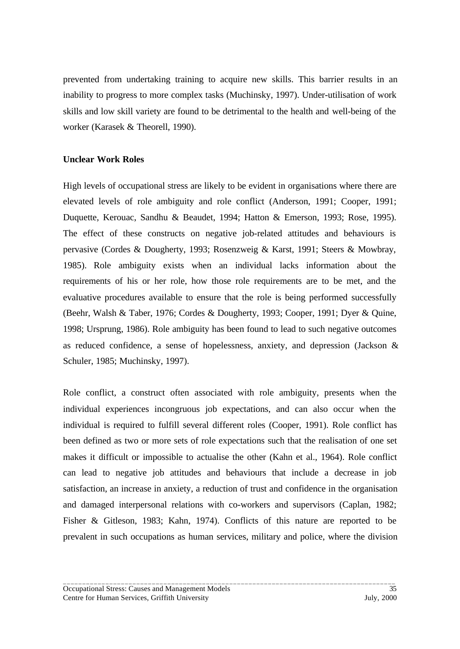prevented from undertaking training to acquire new skills. This barrier results in an inability to progress to more complex tasks (Muchinsky, 1997). Under-utilisation of work skills and low skill variety are found to be detrimental to the health and well-being of the worker (Karasek & Theorell, 1990).

### **Unclear Work Roles**

High levels of occupational stress are likely to be evident in organisations where there are elevated levels of role ambiguity and role conflict (Anderson, 1991; Cooper, 1991; Duquette, Kerouac, Sandhu & Beaudet, 1994; Hatton & Emerson, 1993; Rose, 1995). The effect of these constructs on negative job-related attitudes and behaviours is pervasive (Cordes & Dougherty, 1993; Rosenzweig & Karst, 1991; Steers & Mowbray, 1985). Role ambiguity exists when an individual lacks information about the requirements of his or her role, how those role requirements are to be met, and the evaluative procedures available to ensure that the role is being performed successfully (Beehr, Walsh & Taber, 1976; Cordes & Dougherty, 1993; Cooper, 1991; Dyer & Quine, 1998; Ursprung, 1986). Role ambiguity has been found to lead to such negative outcomes as reduced confidence, a sense of hopelessness, anxiety, and depression (Jackson & Schuler, 1985; Muchinsky, 1997).

Role conflict, a construct often associated with role ambiguity, presents when the individual experiences incongruous job expectations, and can also occur when the individual is required to fulfill several different roles (Cooper, 1991). Role conflict has been defined as two or more sets of role expectations such that the realisation of one set makes it difficult or impossible to actualise the other (Kahn et al., 1964). Role conflict can lead to negative job attitudes and behaviours that include a decrease in job satisfaction, an increase in anxiety, a reduction of trust and confidence in the organisation and damaged interpersonal relations with co-workers and supervisors (Caplan, 1982; Fisher & Gitleson, 1983; Kahn, 1974). Conflicts of this nature are reported to be prevalent in such occupations as human services, military and police, where the division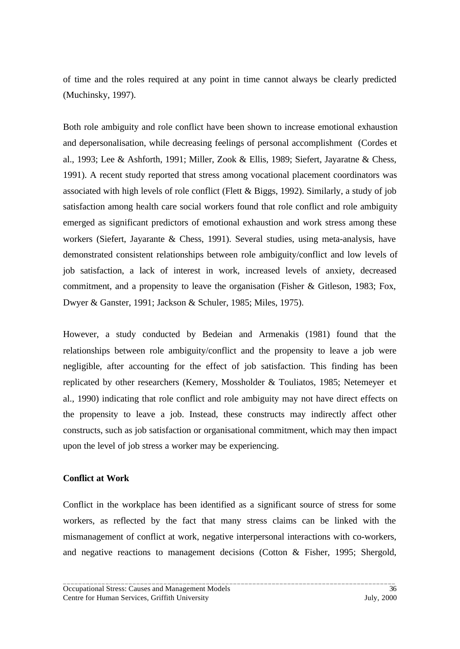of time and the roles required at any point in time cannot always be clearly predicted (Muchinsky, 1997).

Both role ambiguity and role conflict have been shown to increase emotional exhaustion and depersonalisation, while decreasing feelings of personal accomplishment (Cordes et al., 1993; Lee & Ashforth, 1991; Miller, Zook & Ellis, 1989; Siefert, Jayaratne & Chess, 1991). A recent study reported that stress among vocational placement coordinators was associated with high levels of role conflict (Flett & Biggs, 1992). Similarly, a study of job satisfaction among health care social workers found that role conflict and role ambiguity emerged as significant predictors of emotional exhaustion and work stress among these workers (Siefert, Jayarante & Chess, 1991). Several studies, using meta-analysis, have demonstrated consistent relationships between role ambiguity/conflict and low levels of job satisfaction, a lack of interest in work, increased levels of anxiety, decreased commitment, and a propensity to leave the organisation (Fisher & Gitleson, 1983; Fox, Dwyer & Ganster, 1991; Jackson & Schuler, 1985; Miles, 1975).

However, a study conducted by Bedeian and Armenakis (1981) found that the relationships between role ambiguity/conflict and the propensity to leave a job were negligible, after accounting for the effect of job satisfaction. This finding has been replicated by other researchers (Kemery, Mossholder & Touliatos, 1985; Netemeyer et al., 1990) indicating that role conflict and role ambiguity may not have direct effects on the propensity to leave a job. Instead, these constructs may indirectly affect other constructs, such as job satisfaction or organisational commitment, which may then impact upon the level of job stress a worker may be experiencing.

### **Conflict at Work**

Conflict in the workplace has been identified as a significant source of stress for some workers, as reflected by the fact that many stress claims can be linked with the mismanagement of conflict at work, negative interpersonal interactions with co-workers, and negative reactions to management decisions (Cotton & Fisher, 1995; Shergold,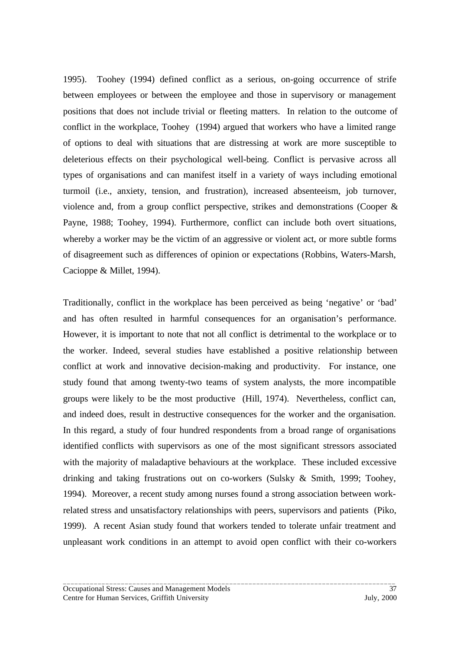1995). Toohey (1994) defined conflict as a serious, on-going occurrence of strife between employees or between the employee and those in supervisory or management positions that does not include trivial or fleeting matters. In relation to the outcome of conflict in the workplace, Toohey (1994) argued that workers who have a limited range of options to deal with situations that are distressing at work are more susceptible to deleterious effects on their psychological well-being. Conflict is pervasive across all types of organisations and can manifest itself in a variety of ways including emotional turmoil (i.e., anxiety, tension, and frustration), increased absenteeism, job turnover, violence and, from a group conflict perspective, strikes and demonstrations (Cooper & Payne, 1988; Toohey, 1994). Furthermore, conflict can include both overt situations, whereby a worker may be the victim of an aggressive or violent act, or more subtle forms of disagreement such as differences of opinion or expectations (Robbins, Waters-Marsh, Cacioppe & Millet, 1994).

Traditionally, conflict in the workplace has been perceived as being 'negative' or 'bad' and has often resulted in harmful consequences for an organisation's performance. However, it is important to note that not all conflict is detrimental to the workplace or to the worker. Indeed, several studies have established a positive relationship between conflict at work and innovative decision-making and productivity. For instance, one study found that among twenty-two teams of system analysts, the more incompatible groups were likely to be the most productive (Hill, 1974). Nevertheless, conflict can, and indeed does, result in destructive consequences for the worker and the organisation. In this regard, a study of four hundred respondents from a broad range of organisations identified conflicts with supervisors as one of the most significant stressors associated with the majority of maladaptive behaviours at the workplace. These included excessive drinking and taking frustrations out on co-workers (Sulsky & Smith, 1999; Toohey, 1994). Moreover, a recent study among nurses found a strong association between workrelated stress and unsatisfactory relationships with peers, supervisors and patients (Piko, 1999). A recent Asian study found that workers tended to tolerate unfair treatment and unpleasant work conditions in an attempt to avoid open conflict with their co-workers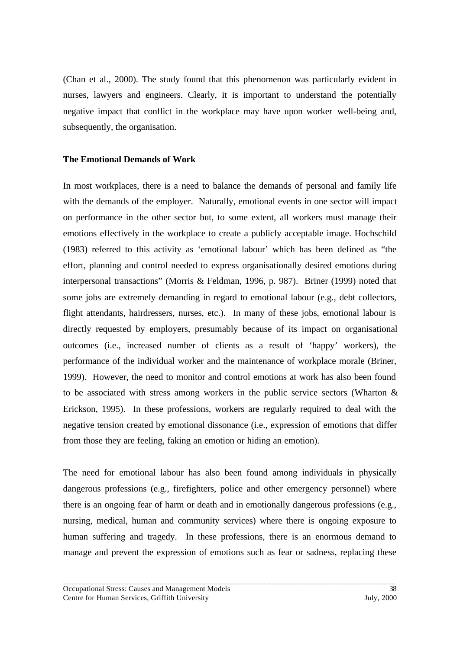(Chan et al., 2000). The study found that this phenomenon was particularly evident in nurses, lawyers and engineers. Clearly, it is important to understand the potentially negative impact that conflict in the workplace may have upon worker well-being and, subsequently, the organisation.

#### **The Emotional Demands of Work**

In most workplaces, there is a need to balance the demands of personal and family life with the demands of the employer. Naturally, emotional events in one sector will impact on performance in the other sector but, to some extent, all workers must manage their emotions effectively in the workplace to create a publicly acceptable image. Hochschild (1983) referred to this activity as 'emotional labour' which has been defined as "the effort, planning and control needed to express organisationally desired emotions during interpersonal transactions" (Morris & Feldman, 1996, p. 987). Briner (1999) noted that some jobs are extremely demanding in regard to emotional labour (e.g., debt collectors, flight attendants, hairdressers, nurses, etc.). In many of these jobs, emotional labour is directly requested by employers, presumably because of its impact on organisational outcomes (i.e., increased number of clients as a result of 'happy' workers), the performance of the individual worker and the maintenance of workplace morale (Briner, 1999). However, the need to monitor and control emotions at work has also been found to be associated with stress among workers in the public service sectors (Wharton & Erickson, 1995). In these professions, workers are regularly required to deal with the negative tension created by emotional dissonance (i.e., expression of emotions that differ from those they are feeling, faking an emotion or hiding an emotion).

The need for emotional labour has also been found among individuals in physically dangerous professions (e.g., firefighters, police and other emergency personnel) where there is an ongoing fear of harm or death and in emotionally dangerous professions (e.g., nursing, medical, human and community services) where there is ongoing exposure to human suffering and tragedy. In these professions, there is an enormous demand to manage and prevent the expression of emotions such as fear or sadness, replacing these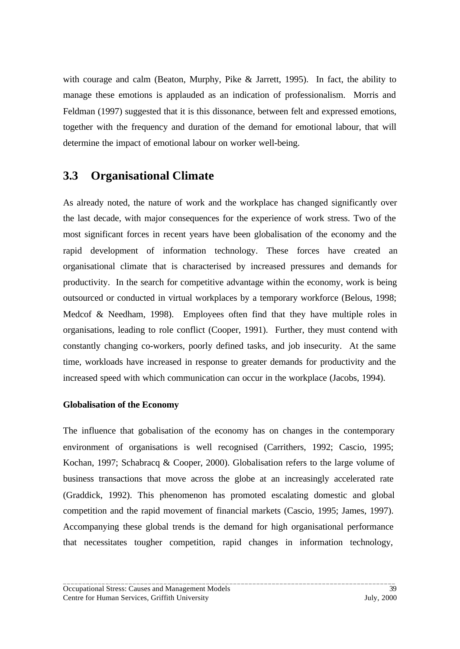with courage and calm (Beaton, Murphy, Pike & Jarrett, 1995). In fact, the ability to manage these emotions is applauded as an indication of professionalism. Morris and Feldman (1997) suggested that it is this dissonance, between felt and expressed emotions, together with the frequency and duration of the demand for emotional labour, that will determine the impact of emotional labour on worker well-being.

# **3.3 Organisational Climate**

As already noted, the nature of work and the workplace has changed significantly over the last decade, with major consequences for the experience of work stress. Two of the most significant forces in recent years have been globalisation of the economy and the rapid development of information technology. These forces have created an organisational climate that is characterised by increased pressures and demands for productivity. In the search for competitive advantage within the economy, work is being outsourced or conducted in virtual workplaces by a temporary workforce (Belous, 1998; Medcof & Needham, 1998). Employees often find that they have multiple roles in organisations, leading to role conflict (Cooper, 1991). Further, they must contend with constantly changing co-workers, poorly defined tasks, and job insecurity. At the same time, workloads have increased in response to greater demands for productivity and the increased speed with which communication can occur in the workplace (Jacobs, 1994).

## **Globalisation of the Economy**

The influence that gobalisation of the economy has on changes in the contemporary environment of organisations is well recognised (Carrithers, 1992; Cascio, 1995; Kochan, 1997; Schabracq & Cooper, 2000). Globalisation refers to the large volume of business transactions that move across the globe at an increasingly accelerated rate (Graddick, 1992). This phenomenon has promoted escalating domestic and global competition and the rapid movement of financial markets (Cascio, 1995; James, 1997). Accompanying these global trends is the demand for high organisational performance that necessitates tougher competition, rapid changes in information technology,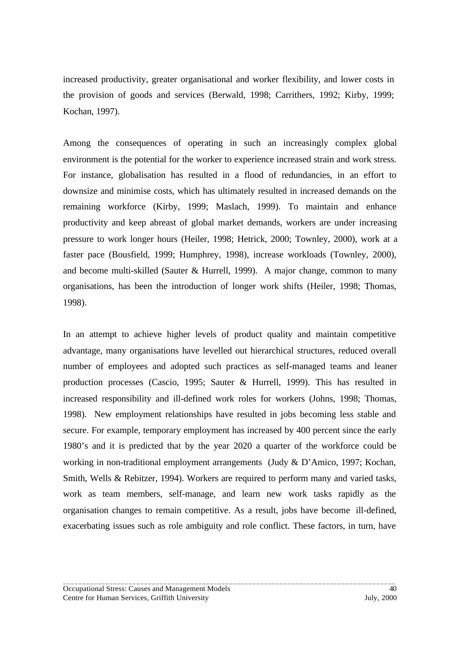increased productivity, greater organisational and worker flexibility, and lower costs in the provision of goods and services (Berwald, 1998; Carrithers, 1992; Kirby, 1999; Kochan, 1997).

Among the consequences of operating in such an increasingly complex global environment is the potential for the worker to experience increased strain and work stress. For instance, globalisation has resulted in a flood of redundancies, in an effort to downsize and minimise costs, which has ultimately resulted in increased demands on the remaining workforce (Kirby, 1999; Maslach, 1999). To maintain and enhance productivity and keep abreast of global market demands, workers are under increasing pressure to work longer hours (Heiler, 1998; Hetrick, 2000; Townley, 2000), work at a faster pace (Bousfield, 1999; Humphrey, 1998), increase workloads (Townley, 2000), and become multi-skilled (Sauter & Hurrell, 1999). A major change, common to many organisations, has been the introduction of longer work shifts (Heiler, 1998; Thomas, 1998).

In an attempt to achieve higher levels of product quality and maintain competitive advantage, many organisations have levelled out hierarchical structures, reduced overall number of employees and adopted such practices as self-managed teams and leaner production processes (Cascio, 1995; Sauter & Hurrell, 1999). This has resulted in increased responsibility and ill-defined work roles for workers (Johns, 1998; Thomas, 1998). New employment relationships have resulted in jobs becoming less stable and secure. For example, temporary employment has increased by 400 percent since the early 1980's and it is predicted that by the year 2020 a quarter of the workforce could be working in non-traditional employment arrangements (Judy & D'Amico, 1997; Kochan, Smith, Wells & Rebitzer, 1994). Workers are required to perform many and varied tasks, work as team members, self-manage, and learn new work tasks rapidly as the organisation changes to remain competitive. As a result, jobs have become ill-defined, exacerbating issues such as role ambiguity and role conflict. These factors, in turn, have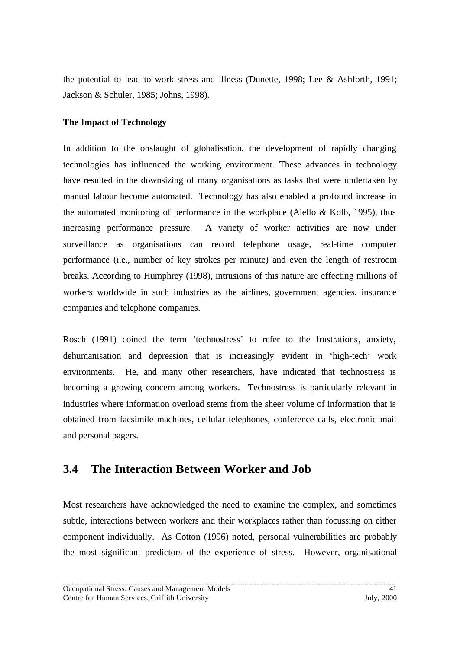the potential to lead to work stress and illness (Dunette, 1998; Lee & Ashforth, 1991; Jackson & Schuler, 1985; Johns, 1998).

### **The Impact of Technology**

In addition to the onslaught of globalisation, the development of rapidly changing technologies has influenced the working environment. These advances in technology have resulted in the downsizing of many organisations as tasks that were undertaken by manual labour become automated. Technology has also enabled a profound increase in the automated monitoring of performance in the workplace (Aiello & Kolb, 1995), thus increasing performance pressure. A variety of worker activities are now under surveillance as organisations can record telephone usage, real-time computer performance (i.e., number of key strokes per minute) and even the length of restroom breaks. According to Humphrey (1998), intrusions of this nature are effecting millions of workers worldwide in such industries as the airlines, government agencies, insurance companies and telephone companies.

Rosch (1991) coined the term 'technostress' to refer to the frustrations, anxiety, dehumanisation and depression that is increasingly evident in 'high-tech' work environments. He, and many other researchers, have indicated that technostress is becoming a growing concern among workers. Technostress is particularly relevant in industries where information overload stems from the sheer volume of information that is obtained from facsimile machines, cellular telephones, conference calls, electronic mail and personal pagers.

## **3.4 The Interaction Between Worker and Job**

Most researchers have acknowledged the need to examine the complex, and sometimes subtle, interactions between workers and their workplaces rather than focussing on either component individually. As Cotton (1996) noted, personal vulnerabilities are probably the most significant predictors of the experience of stress. However, organisational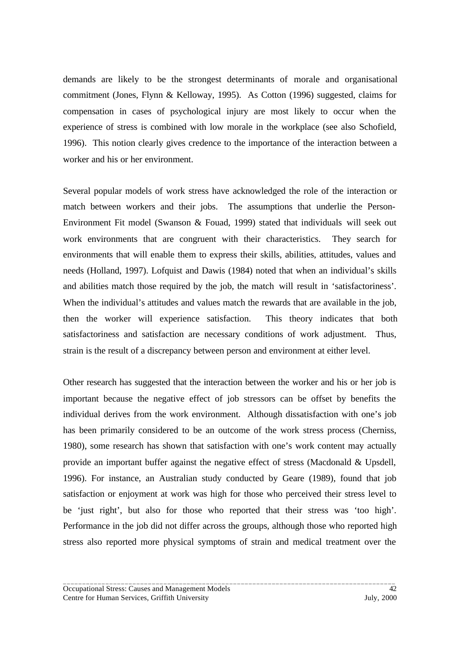demands are likely to be the strongest determinants of morale and organisational commitment (Jones, Flynn & Kelloway, 1995). As Cotton (1996) suggested, claims for compensation in cases of psychological injury are most likely to occur when the experience of stress is combined with low morale in the workplace (see also Schofield, 1996). This notion clearly gives credence to the importance of the interaction between a worker and his or her environment.

Several popular models of work stress have acknowledged the role of the interaction or match between workers and their jobs. The assumptions that underlie the Person-Environment Fit model (Swanson & Fouad, 1999) stated that individuals will seek out work environments that are congruent with their characteristics. They search for environments that will enable them to express their skills, abilities, attitudes, values and needs (Holland, 1997). Lofquist and Dawis (1984) noted that when an individual's skills and abilities match those required by the job, the match will result in 'satisfactoriness'. When the individual's attitudes and values match the rewards that are available in the job, then the worker will experience satisfaction. This theory indicates that both satisfactoriness and satisfaction are necessary conditions of work adjustment. Thus, strain is the result of a discrepancy between person and environment at either level.

Other research has suggested that the interaction between the worker and his or her job is important because the negative effect of job stressors can be offset by benefits the individual derives from the work environment. Although dissatisfaction with one's job has been primarily considered to be an outcome of the work stress process (Cherniss, 1980), some research has shown that satisfaction with one's work content may actually provide an important buffer against the negative effect of stress (Macdonald & Upsdell, 1996). For instance, an Australian study conducted by Geare (1989), found that job satisfaction or enjoyment at work was high for those who perceived their stress level to be 'just right', but also for those who reported that their stress was 'too high'. Performance in the job did not differ across the groups, although those who reported high stress also reported more physical symptoms of strain and medical treatment over the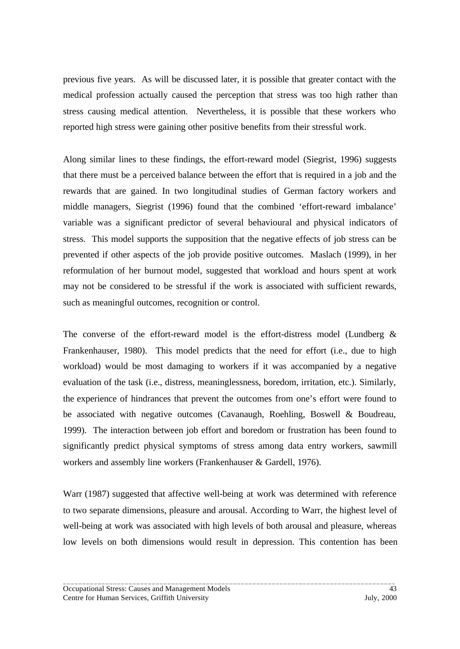previous five years. As will be discussed later, it is possible that greater contact with the medical profession actually caused the perception that stress was too high rather than stress causing medical attention. Nevertheless, it is possible that these workers who reported high stress were gaining other positive benefits from their stressful work.

Along similar lines to these findings, the effort-reward model (Siegrist, 1996) suggests that there must be a perceived balance between the effort that is required in a job and the rewards that are gained. In two longitudinal studies of German factory workers and middle managers, Siegrist (1996) found that the combined 'effort-reward imbalance' variable was a significant predictor of several behavioural and physical indicators of stress. This model supports the supposition that the negative effects of job stress can be prevented if other aspects of the job provide positive outcomes. Maslach (1999), in her reformulation of her burnout model, suggested that workload and hours spent at work may not be considered to be stressful if the work is associated with sufficient rewards, such as meaningful outcomes, recognition or control.

The converse of the effort-reward model is the effort-distress model (Lundberg  $\&$ Frankenhauser, 1980). This model predicts that the need for effort (i.e., due to high workload) would be most damaging to workers if it was accompanied by a negative evaluation of the task (i.e., distress, meaninglessness, boredom, irritation, etc.). Similarly, the experience of hindrances that prevent the outcomes from one's effort were found to be associated with negative outcomes (Cavanaugh, Roehling, Boswell & Boudreau, 1999). The interaction between job effort and boredom or frustration has been found to significantly predict physical symptoms of stress among data entry workers, sawmill workers and assembly line workers (Frankenhauser & Gardell, 1976).

Warr (1987) suggested that affective well-being at work was determined with reference to two separate dimensions, pleasure and arousal. According to Warr, the highest level of well-being at work was associated with high levels of both arousal and pleasure, whereas low levels on both dimensions would result in depression. This contention has been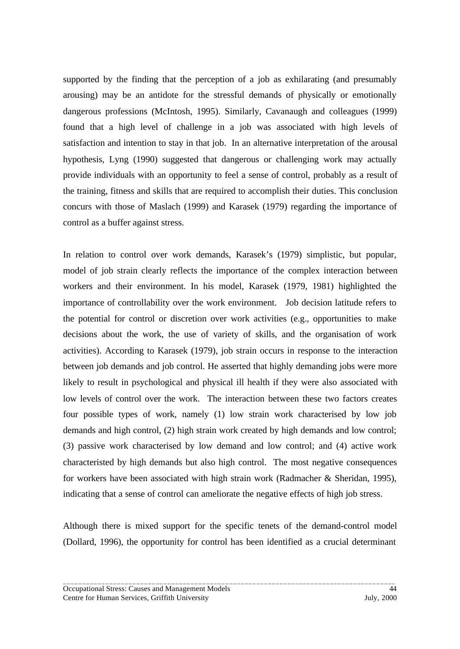supported by the finding that the perception of a job as exhilarating (and presumably arousing) may be an antidote for the stressful demands of physically or emotionally dangerous professions (McIntosh, 1995). Similarly, Cavanaugh and colleagues (1999) found that a high level of challenge in a job was associated with high levels of satisfaction and intention to stay in that job. In an alternative interpretation of the arousal hypothesis, Lyng (1990) suggested that dangerous or challenging work may actually provide individuals with an opportunity to feel a sense of control, probably as a result of the training, fitness and skills that are required to accomplish their duties. This conclusion concurs with those of Maslach (1999) and Karasek (1979) regarding the importance of control as a buffer against stress.

In relation to control over work demands, Karasek's (1979) simplistic, but popular, model of job strain clearly reflects the importance of the complex interaction between workers and their environment. In his model, Karasek (1979, 1981) highlighted the importance of controllability over the work environment. Job decision latitude refers to the potential for control or discretion over work activities (e.g., opportunities to make decisions about the work, the use of variety of skills, and the organisation of work activities). According to Karasek (1979), job strain occurs in response to the interaction between job demands and job control. He asserted that highly demanding jobs were more likely to result in psychological and physical ill health if they were also associated with low levels of control over the work. The interaction between these two factors creates four possible types of work, namely (1) low strain work characterised by low job demands and high control, (2) high strain work created by high demands and low control; (3) passive work characterised by low demand and low control; and (4) active work characteristed by high demands but also high control. The most negative consequences for workers have been associated with high strain work (Radmacher & Sheridan, 1995), indicating that a sense of control can ameliorate the negative effects of high job stress.

Although there is mixed support for the specific tenets of the demand-control model (Dollard, 1996), the opportunity for control has been identified as a crucial determinant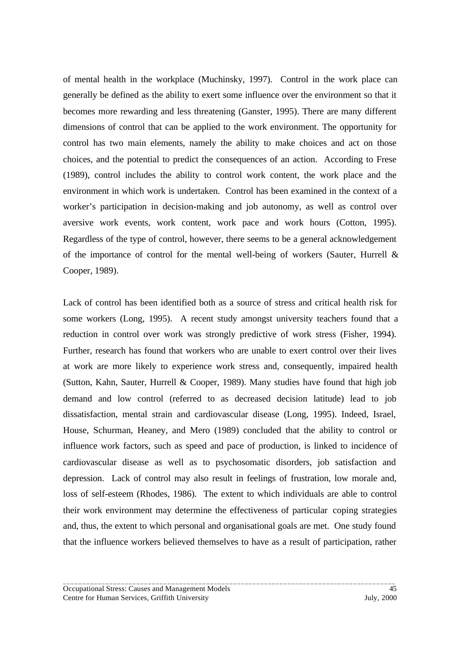of mental health in the workplace (Muchinsky, 1997). Control in the work place can generally be defined as the ability to exert some influence over the environment so that it becomes more rewarding and less threatening (Ganster, 1995). There are many different dimensions of control that can be applied to the work environment. The opportunity for control has two main elements, namely the ability to make choices and act on those choices, and the potential to predict the consequences of an action. According to Frese (1989), control includes the ability to control work content, the work place and the environment in which work is undertaken. Control has been examined in the context of a worker's participation in decision-making and job autonomy, as well as control over aversive work events, work content, work pace and work hours (Cotton, 1995). Regardless of the type of control, however, there seems to be a general acknowledgement of the importance of control for the mental well-being of workers (Sauter, Hurrell & Cooper, 1989).

Lack of control has been identified both as a source of stress and critical health risk for some workers (Long, 1995). A recent study amongst university teachers found that a reduction in control over work was strongly predictive of work stress (Fisher, 1994). Further, research has found that workers who are unable to exert control over their lives at work are more likely to experience work stress and, consequently, impaired health (Sutton, Kahn, Sauter, Hurrell & Cooper, 1989). Many studies have found that high job demand and low control (referred to as decreased decision latitude) lead to job dissatisfaction, mental strain and cardiovascular disease (Long, 1995). Indeed, Israel, House, Schurman, Heaney, and Mero (1989) concluded that the ability to control or influence work factors, such as speed and pace of production, is linked to incidence of cardiovascular disease as well as to psychosomatic disorders, job satisfaction and depression. Lack of control may also result in feelings of frustration, low morale and, loss of self-esteem (Rhodes, 1986). The extent to which individuals are able to control their work environment may determine the effectiveness of particular coping strategies and, thus, the extent to which personal and organisational goals are met. One study found that the influence workers believed themselves to have as a result of participation, rather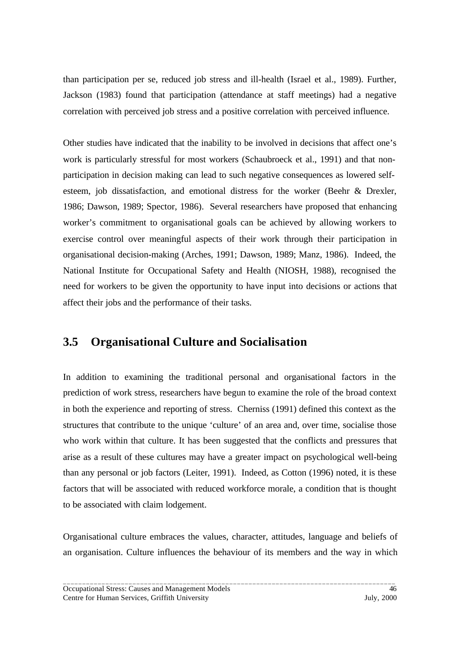than participation per se, reduced job stress and ill-health (Israel et al., 1989). Further, Jackson (1983) found that participation (attendance at staff meetings) had a negative correlation with perceived job stress and a positive correlation with perceived influence.

Other studies have indicated that the inability to be involved in decisions that affect one's work is particularly stressful for most workers (Schaubroeck et al., 1991) and that nonparticipation in decision making can lead to such negative consequences as lowered selfesteem, job dissatisfaction, and emotional distress for the worker (Beehr & Drexler, 1986; Dawson, 1989; Spector, 1986). Several researchers have proposed that enhancing worker's commitment to organisational goals can be achieved by allowing workers to exercise control over meaningful aspects of their work through their participation in organisational decision-making (Arches, 1991; Dawson, 1989; Manz, 1986). Indeed, the National Institute for Occupational Safety and Health (NIOSH, 1988), recognised the need for workers to be given the opportunity to have input into decisions or actions that affect their jobs and the performance of their tasks.

## **3.5 Organisational Culture and Socialisation**

In addition to examining the traditional personal and organisational factors in the prediction of work stress, researchers have begun to examine the role of the broad context in both the experience and reporting of stress. Cherniss (1991) defined this context as the structures that contribute to the unique 'culture' of an area and, over time, socialise those who work within that culture. It has been suggested that the conflicts and pressures that arise as a result of these cultures may have a greater impact on psychological well-being than any personal or job factors (Leiter, 1991). Indeed, as Cotton (1996) noted, it is these factors that will be associated with reduced workforce morale, a condition that is thought to be associated with claim lodgement.

Organisational culture embraces the values, character, attitudes, language and beliefs of an organisation. Culture influences the behaviour of its members and the way in which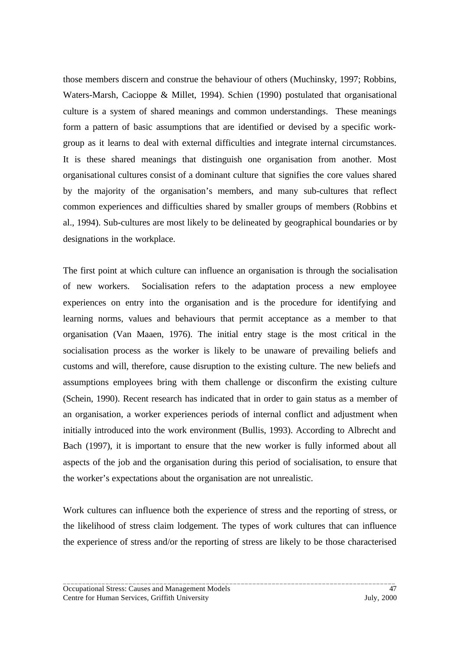those members discern and construe the behaviour of others (Muchinsky, 1997; Robbins, Waters-Marsh, Cacioppe & Millet, 1994). Schien (1990) postulated that organisational culture is a system of shared meanings and common understandings. These meanings form a pattern of basic assumptions that are identified or devised by a specific workgroup as it learns to deal with external difficulties and integrate internal circumstances. It is these shared meanings that distinguish one organisation from another. Most organisational cultures consist of a dominant culture that signifies the core values shared by the majority of the organisation's members, and many sub-cultures that reflect common experiences and difficulties shared by smaller groups of members (Robbins et al., 1994). Sub-cultures are most likely to be delineated by geographical boundaries or by designations in the workplace.

The first point at which culture can influence an organisation is through the socialisation of new workers. Socialisation refers to the adaptation process a new employee experiences on entry into the organisation and is the procedure for identifying and learning norms, values and behaviours that permit acceptance as a member to that organisation (Van Maaen, 1976). The initial entry stage is the most critical in the socialisation process as the worker is likely to be unaware of prevailing beliefs and customs and will, therefore, cause disruption to the existing culture. The new beliefs and assumptions employees bring with them challenge or disconfirm the existing culture (Schein, 1990). Recent research has indicated that in order to gain status as a member of an organisation, a worker experiences periods of internal conflict and adjustment when initially introduced into the work environment (Bullis, 1993). According to Albrecht and Bach (1997), it is important to ensure that the new worker is fully informed about all aspects of the job and the organisation during this period of socialisation, to ensure that the worker's expectations about the organisation are not unrealistic.

Work cultures can influence both the experience of stress and the reporting of stress, or the likelihood of stress claim lodgement. The types of work cultures that can influence the experience of stress and/or the reporting of stress are likely to be those characterised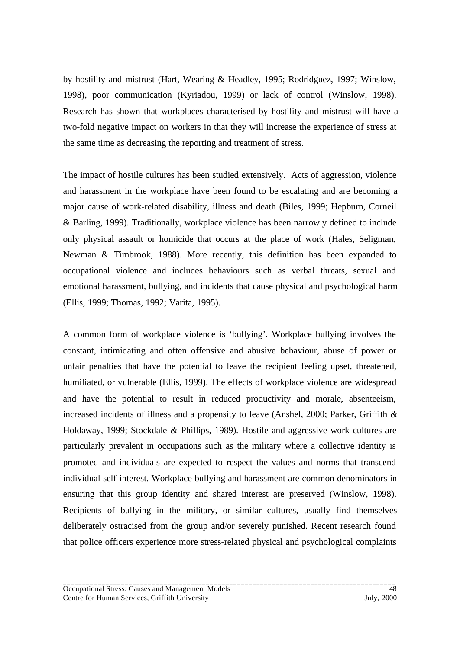by hostility and mistrust (Hart, Wearing & Headley, 1995; Rodridguez, 1997; Winslow, 1998), poor communication (Kyriadou, 1999) or lack of control (Winslow, 1998). Research has shown that workplaces characterised by hostility and mistrust will have a two-fold negative impact on workers in that they will increase the experience of stress at the same time as decreasing the reporting and treatment of stress.

The impact of hostile cultures has been studied extensively. Acts of aggression, violence and harassment in the workplace have been found to be escalating and are becoming a major cause of work-related disability, illness and death (Biles, 1999; Hepburn, Corneil & Barling, 1999). Traditionally, workplace violence has been narrowly defined to include only physical assault or homicide that occurs at the place of work (Hales, Seligman, Newman & Timbrook, 1988). More recently, this definition has been expanded to occupational violence and includes behaviours such as verbal threats, sexual and emotional harassment, bullying, and incidents that cause physical and psychological harm (Ellis, 1999; Thomas, 1992; Varita, 1995).

A common form of workplace violence is 'bullying'. Workplace bullying involves the constant, intimidating and often offensive and abusive behaviour, abuse of power or unfair penalties that have the potential to leave the recipient feeling upset, threatened, humiliated, or vulnerable (Ellis, 1999). The effects of workplace violence are widespread and have the potential to result in reduced productivity and morale, absenteeism, increased incidents of illness and a propensity to leave (Anshel, 2000; Parker, Griffith & Holdaway, 1999; Stockdale & Phillips, 1989). Hostile and aggressive work cultures are particularly prevalent in occupations such as the military where a collective identity is promoted and individuals are expected to respect the values and norms that transcend individual self-interest. Workplace bullying and harassment are common denominators in ensuring that this group identity and shared interest are preserved (Winslow, 1998). Recipients of bullying in the military, or similar cultures, usually find themselves deliberately ostracised from the group and/or severely punished. Recent research found that police officers experience more stress-related physical and psychological complaints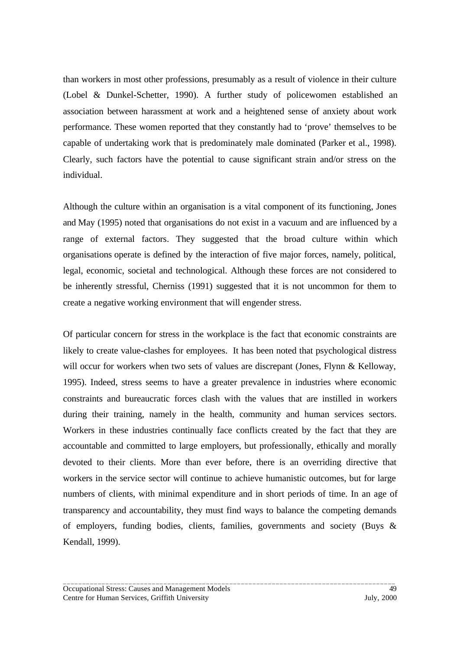than workers in most other professions, presumably as a result of violence in their culture (Lobel & Dunkel-Schetter, 1990). A further study of policewomen established an association between harassment at work and a heightened sense of anxiety about work performance. These women reported that they constantly had to 'prove' themselves to be capable of undertaking work that is predominately male dominated (Parker et al., 1998). Clearly, such factors have the potential to cause significant strain and/or stress on the individual.

Although the culture within an organisation is a vital component of its functioning, Jones and May (1995) noted that organisations do not exist in a vacuum and are influenced by a range of external factors. They suggested that the broad culture within which organisations operate is defined by the interaction of five major forces, namely, political, legal, economic, societal and technological. Although these forces are not considered to be inherently stressful, Cherniss (1991) suggested that it is not uncommon for them to create a negative working environment that will engender stress.

Of particular concern for stress in the workplace is the fact that economic constraints are likely to create value-clashes for employees. It has been noted that psychological distress will occur for workers when two sets of values are discrepant (Jones, Flynn & Kelloway, 1995). Indeed, stress seems to have a greater prevalence in industries where economic constraints and bureaucratic forces clash with the values that are instilled in workers during their training, namely in the health, community and human services sectors. Workers in these industries continually face conflicts created by the fact that they are accountable and committed to large employers, but professionally, ethically and morally devoted to their clients. More than ever before, there is an overriding directive that workers in the service sector will continue to achieve humanistic outcomes, but for large numbers of clients, with minimal expenditure and in short periods of time. In an age of transparency and accountability, they must find ways to balance the competing demands of employers, funding bodies, clients, families, governments and society (Buys & Kendall, 1999).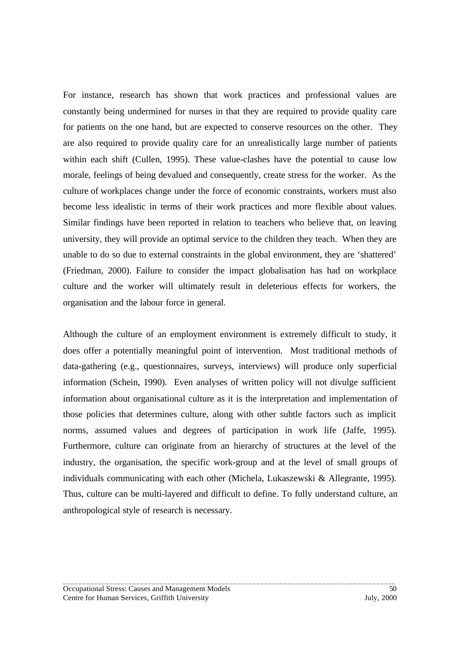For instance, research has shown that work practices and professional values are constantly being undermined for nurses in that they are required to provide quality care for patients on the one hand, but are expected to conserve resources on the other. They are also required to provide quality care for an unrealistically large number of patients within each shift (Cullen, 1995). These value-clashes have the potential to cause low morale, feelings of being devalued and consequently, create stress for the worker. As the culture of workplaces change under the force of economic constraints, workers must also become less idealistic in terms of their work practices and more flexible about values. Similar findings have been reported in relation to teachers who believe that, on leaving university, they will provide an optimal service to the children they teach. When they are unable to do so due to external constraints in the global environment, they are 'shattered' (Friedman, 2000). Failure to consider the impact globalisation has had on workplace culture and the worker will ultimately result in deleterious effects for workers, the organisation and the labour force in general.

Although the culture of an employment environment is extremely difficult to study, it does offer a potentially meaningful point of intervention. Most traditional methods of data-gathering (e.g., questionnaires, surveys, interviews) will produce only superficial information (Schein, 1990). Even analyses of written policy will not divulge sufficient information about organisational culture as it is the interpretation and implementation of those policies that determines culture, along with other subtle factors such as implicit norms, assumed values and degrees of participation in work life (Jaffe, 1995). Furthermore, culture can originate from an hierarchy of structures at the level of the industry, the organisation, the specific work-group and at the level of small groups of individuals communicating with each other (Michela, Lukaszewski & Allegrante, 1995). Thus, culture can be multi-layered and difficult to define. To fully understand culture, an anthropological style of research is necessary.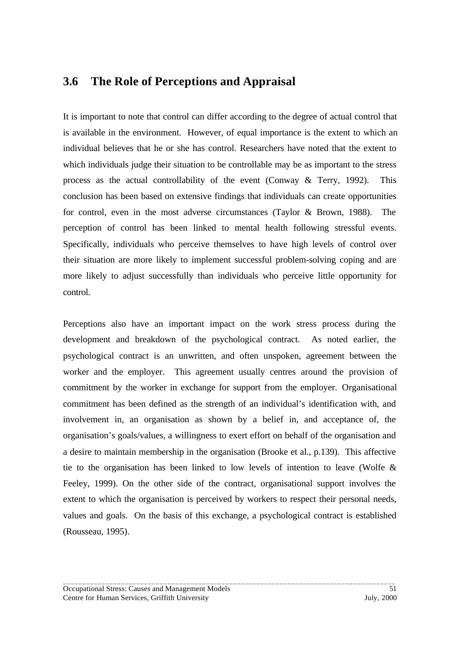## **3.6 The Role of Perceptions and Appraisal**

It is important to note that control can differ according to the degree of actual control that is available in the environment. However, of equal importance is the extent to which an individual believes that he or she has control. Researchers have noted that the extent to which individuals judge their situation to be controllable may be as important to the stress process as the actual controllability of the event (Conway & Terry, 1992). This conclusion has been based on extensive findings that individuals can create opportunities for control, even in the most adverse circumstances (Taylor & Brown, 1988). The perception of control has been linked to mental health following stressful events. Specifically, individuals who perceive themselves to have high levels of control over their situation are more likely to implement successful problem-solving coping and are more likely to adjust successfully than individuals who perceive little opportunity for control.

Perceptions also have an important impact on the work stress process during the development and breakdown of the psychological contract. As noted earlier, the psychological contract is an unwritten, and often unspoken, agreement between the worker and the employer. This agreement usually centres around the provision of commitment by the worker in exchange for support from the employer. Organisational commitment has been defined as the strength of an individual's identification with, and involvement in, an organisation as shown by a belief in, and acceptance of, the organisation's goals/values, a willingness to exert effort on behalf of the organisation and a desire to maintain membership in the organisation (Brooke et al., p.139). This affective tie to the organisation has been linked to low levels of intention to leave (Wolfe & Feeley, 1999). On the other side of the contract, organisational support involves the extent to which the organisation is perceived by workers to respect their personal needs, values and goals. On the basis of this exchange, a psychological contract is established (Rousseau, 1995).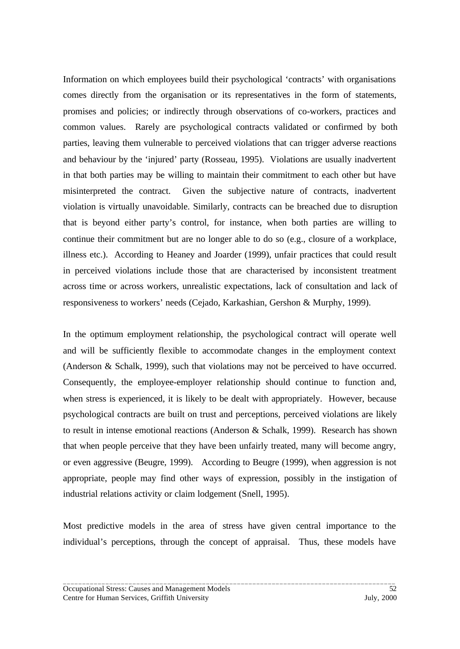Information on which employees build their psychological 'contracts' with organisations comes directly from the organisation or its representatives in the form of statements, promises and policies; or indirectly through observations of co-workers, practices and common values. Rarely are psychological contracts validated or confirmed by both parties, leaving them vulnerable to perceived violations that can trigger adverse reactions and behaviour by the 'injured' party (Rosseau, 1995). Violations are usually inadvertent in that both parties may be willing to maintain their commitment to each other but have misinterpreted the contract. Given the subjective nature of contracts, inadvertent violation is virtually unavoidable. Similarly, contracts can be breached due to disruption that is beyond either party's control, for instance, when both parties are willing to continue their commitment but are no longer able to do so (e.g., closure of a workplace, illness etc.). According to Heaney and Joarder (1999), unfair practices that could result in perceived violations include those that are characterised by inconsistent treatment across time or across workers, unrealistic expectations, lack of consultation and lack of responsiveness to workers' needs (Cejado, Karkashian, Gershon & Murphy, 1999).

In the optimum employment relationship, the psychological contract will operate well and will be sufficiently flexible to accommodate changes in the employment context (Anderson & Schalk, 1999), such that violations may not be perceived to have occurred. Consequently, the employee-employer relationship should continue to function and, when stress is experienced, it is likely to be dealt with appropriately. However, because psychological contracts are built on trust and perceptions, perceived violations are likely to result in intense emotional reactions (Anderson & Schalk, 1999). Research has shown that when people perceive that they have been unfairly treated, many will become angry, or even aggressive (Beugre, 1999). According to Beugre (1999), when aggression is not appropriate, people may find other ways of expression, possibly in the instigation of industrial relations activity or claim lodgement (Snell, 1995).

Most predictive models in the area of stress have given central importance to the individual's perceptions, through the concept of appraisal. Thus, these models have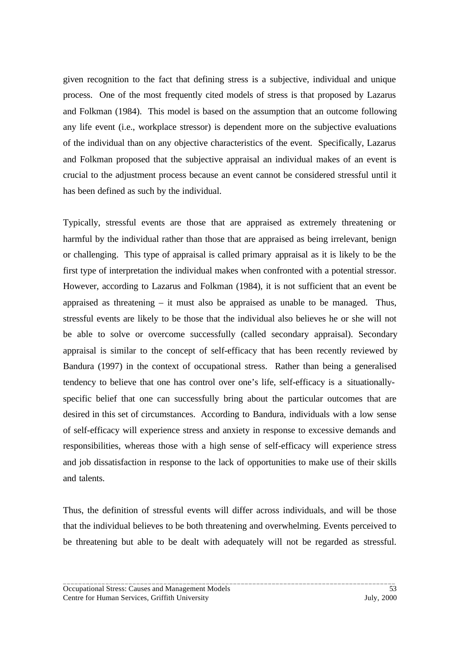given recognition to the fact that defining stress is a subjective, individual and unique process. One of the most frequently cited models of stress is that proposed by Lazarus and Folkman (1984). This model is based on the assumption that an outcome following any life event (i.e., workplace stressor) is dependent more on the subjective evaluations of the individual than on any objective characteristics of the event. Specifically, Lazarus and Folkman proposed that the subjective appraisal an individual makes of an event is crucial to the adjustment process because an event cannot be considered stressful until it has been defined as such by the individual.

Typically, stressful events are those that are appraised as extremely threatening or harmful by the individual rather than those that are appraised as being irrelevant, benign or challenging. This type of appraisal is called primary appraisal as it is likely to be the first type of interpretation the individual makes when confronted with a potential stressor. However, according to Lazarus and Folkman (1984), it is not sufficient that an event be appraised as threatening – it must also be appraised as unable to be managed. Thus, stressful events are likely to be those that the individual also believes he or she will not be able to solve or overcome successfully (called secondary appraisal). Secondary appraisal is similar to the concept of self-efficacy that has been recently reviewed by Bandura (1997) in the context of occupational stress. Rather than being a generalised tendency to believe that one has control over one's life, self-efficacy is a situationallyspecific belief that one can successfully bring about the particular outcomes that are desired in this set of circumstances. According to Bandura, individuals with a low sense of self-efficacy will experience stress and anxiety in response to excessive demands and responsibilities, whereas those with a high sense of self-efficacy will experience stress and job dissatisfaction in response to the lack of opportunities to make use of their skills and talents.

Thus, the definition of stressful events will differ across individuals, and will be those that the individual believes to be both threatening and overwhelming. Events perceived to be threatening but able to be dealt with adequately will not be regarded as stressful.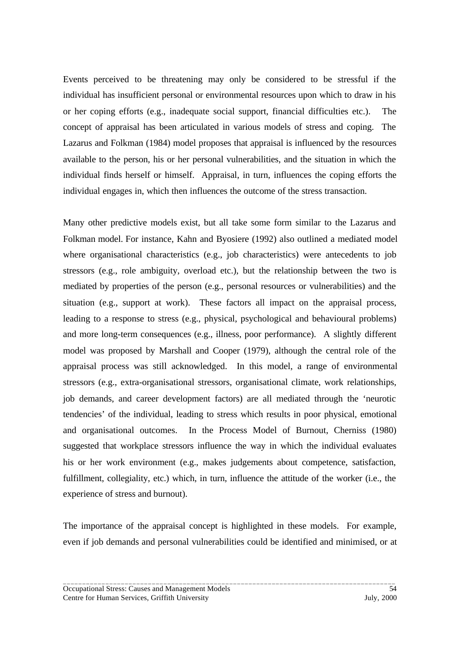Events perceived to be threatening may only be considered to be stressful if the individual has insufficient personal or environmental resources upon which to draw in his or her coping efforts (e.g., inadequate social support, financial difficulties etc.). The concept of appraisal has been articulated in various models of stress and coping. The Lazarus and Folkman (1984) model proposes that appraisal is influenced by the resources available to the person, his or her personal vulnerabilities, and the situation in which the individual finds herself or himself. Appraisal, in turn, influences the coping efforts the individual engages in, which then influences the outcome of the stress transaction.

Many other predictive models exist, but all take some form similar to the Lazarus and Folkman model. For instance, Kahn and Byosiere (1992) also outlined a mediated model where organisational characteristics (e.g., job characteristics) were antecedents to job stressors (e.g., role ambiguity, overload etc.), but the relationship between the two is mediated by properties of the person (e.g., personal resources or vulnerabilities) and the situation (e.g., support at work). These factors all impact on the appraisal process, leading to a response to stress (e.g., physical, psychological and behavioural problems) and more long-term consequences (e.g., illness, poor performance). A slightly different model was proposed by Marshall and Cooper (1979), although the central role of the appraisal process was still acknowledged. In this model, a range of environmental stressors (e.g., extra-organisational stressors, organisational climate, work relationships, job demands, and career development factors) are all mediated through the 'neurotic tendencies' of the individual, leading to stress which results in poor physical, emotional and organisational outcomes. In the Process Model of Burnout, Cherniss (1980) suggested that workplace stressors influence the way in which the individual evaluates his or her work environment (e.g., makes judgements about competence, satisfaction, fulfillment, collegiality, etc.) which, in turn, influence the attitude of the worker (i.e., the experience of stress and burnout).

The importance of the appraisal concept is highlighted in these models. For example, even if job demands and personal vulnerabilities could be identified and minimised, or at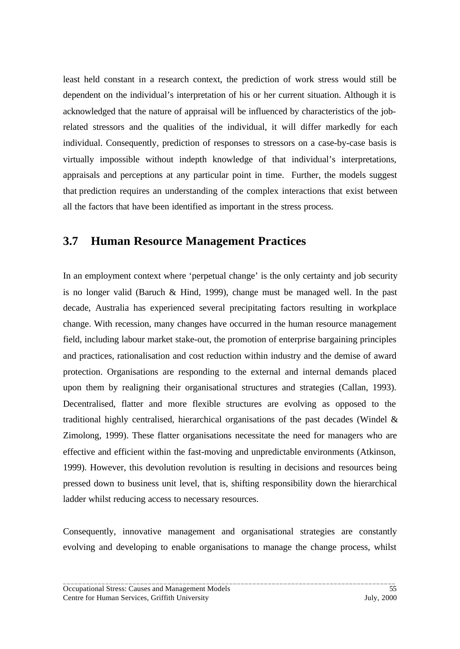least held constant in a research context, the prediction of work stress would still be dependent on the individual's interpretation of his or her current situation. Although it is acknowledged that the nature of appraisal will be influenced by characteristics of the jobrelated stressors and the qualities of the individual, it will differ markedly for each individual. Consequently, prediction of responses to stressors on a case-by-case basis is virtually impossible without indepth knowledge of that individual's interpretations, appraisals and perceptions at any particular point in time. Further, the models suggest that prediction requires an understanding of the complex interactions that exist between all the factors that have been identified as important in the stress process.

## **3.7 Human Resource Management Practices**

In an employment context where 'perpetual change' is the only certainty and job security is no longer valid (Baruch & Hind, 1999), change must be managed well. In the past decade, Australia has experienced several precipitating factors resulting in workplace change. With recession, many changes have occurred in the human resource management field, including labour market stake-out, the promotion of enterprise bargaining principles and practices, rationalisation and cost reduction within industry and the demise of award protection. Organisations are responding to the external and internal demands placed upon them by realigning their organisational structures and strategies (Callan, 1993). Decentralised, flatter and more flexible structures are evolving as opposed to the traditional highly centralised, hierarchical organisations of the past decades (Windel  $\&$ Zimolong, 1999). These flatter organisations necessitate the need for managers who are effective and efficient within the fast-moving and unpredictable environments (Atkinson, 1999). However, this devolution revolution is resulting in decisions and resources being pressed down to business unit level, that is, shifting responsibility down the hierarchical ladder whilst reducing access to necessary resources.

Consequently, innovative management and organisational strategies are constantly evolving and developing to enable organisations to manage the change process, whilst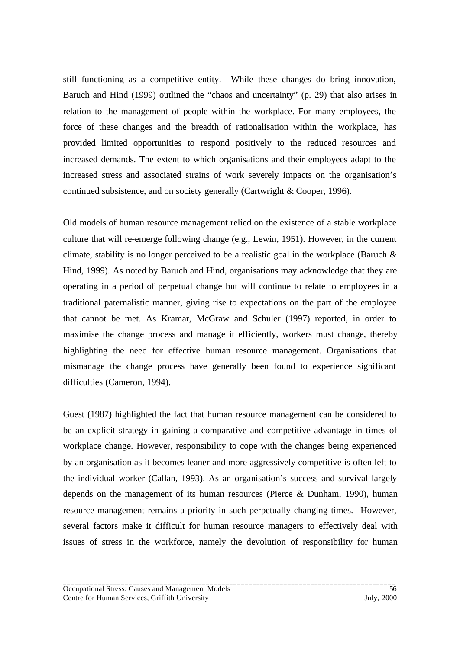still functioning as a competitive entity. While these changes do bring innovation, Baruch and Hind (1999) outlined the "chaos and uncertainty" (p. 29) that also arises in relation to the management of people within the workplace. For many employees, the force of these changes and the breadth of rationalisation within the workplace, has provided limited opportunities to respond positively to the reduced resources and increased demands. The extent to which organisations and their employees adapt to the increased stress and associated strains of work severely impacts on the organisation's continued subsistence, and on society generally (Cartwright & Cooper, 1996).

Old models of human resource management relied on the existence of a stable workplace culture that will re-emerge following change (e.g., Lewin, 1951). However, in the current climate, stability is no longer perceived to be a realistic goal in the workplace (Baruch  $\&$ Hind, 1999). As noted by Baruch and Hind, organisations may acknowledge that they are operating in a period of perpetual change but will continue to relate to employees in a traditional paternalistic manner, giving rise to expectations on the part of the employee that cannot be met. As Kramar, McGraw and Schuler (1997) reported, in order to maximise the change process and manage it efficiently, workers must change, thereby highlighting the need for effective human resource management. Organisations that mismanage the change process have generally been found to experience significant difficulties (Cameron, 1994).

Guest (1987) highlighted the fact that human resource management can be considered to be an explicit strategy in gaining a comparative and competitive advantage in times of workplace change. However, responsibility to cope with the changes being experienced by an organisation as it becomes leaner and more aggressively competitive is often left to the individual worker (Callan, 1993). As an organisation's success and survival largely depends on the management of its human resources (Pierce & Dunham, 1990), human resource management remains a priority in such perpetually changing times. However, several factors make it difficult for human resource managers to effectively deal with issues of stress in the workforce, namely the devolution of responsibility for human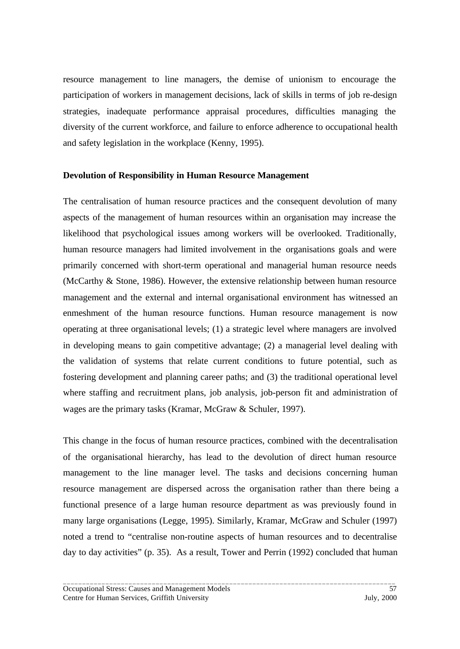resource management to line managers, the demise of unionism to encourage the participation of workers in management decisions, lack of skills in terms of job re-design strategies, inadequate performance appraisal procedures, difficulties managing the diversity of the current workforce, and failure to enforce adherence to occupational health and safety legislation in the workplace (Kenny, 1995).

#### **Devolution of Responsibility in Human Resource Management**

The centralisation of human resource practices and the consequent devolution of many aspects of the management of human resources within an organisation may increase the likelihood that psychological issues among workers will be overlooked. Traditionally, human resource managers had limited involvement in the organisations goals and were primarily concerned with short-term operational and managerial human resource needs (McCarthy & Stone, 1986). However, the extensive relationship between human resource management and the external and internal organisational environment has witnessed an enmeshment of the human resource functions. Human resource management is now operating at three organisational levels; (1) a strategic level where managers are involved in developing means to gain competitive advantage; (2) a managerial level dealing with the validation of systems that relate current conditions to future potential, such as fostering development and planning career paths; and (3) the traditional operational level where staffing and recruitment plans, job analysis, job-person fit and administration of wages are the primary tasks (Kramar, McGraw & Schuler, 1997).

This change in the focus of human resource practices, combined with the decentralisation of the organisational hierarchy, has lead to the devolution of direct human resource management to the line manager level. The tasks and decisions concerning human resource management are dispersed across the organisation rather than there being a functional presence of a large human resource department as was previously found in many large organisations (Legge, 1995). Similarly, Kramar, McGraw and Schuler (1997) noted a trend to "centralise non-routine aspects of human resources and to decentralise day to day activities" (p. 35). As a result, Tower and Perrin (1992) concluded that human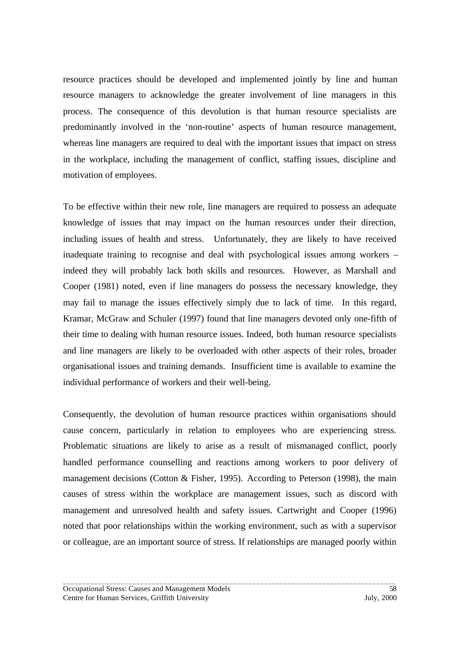resource practices should be developed and implemented jointly by line and human resource managers to acknowledge the greater involvement of line managers in this process. The consequence of this devolution is that human resource specialists are predominantly involved in the 'non-routine' aspects of human resource management, whereas line managers are required to deal with the important issues that impact on stress in the workplace, including the management of conflict, staffing issues, discipline and motivation of employees.

To be effective within their new role, line managers are required to possess an adequate knowledge of issues that may impact on the human resources under their direction, including issues of health and stress. Unfortunately, they are likely to have received inadequate training to recognise and deal with psychological issues among workers – indeed they will probably lack both skills and resources. However, as Marshall and Cooper (1981) noted, even if line managers do possess the necessary knowledge, they may fail to manage the issues effectively simply due to lack of time. In this regard, Kramar, McGraw and Schuler (1997) found that line managers devoted only one-fifth of their time to dealing with human resource issues. Indeed, both human resource specialists and line managers are likely to be overloaded with other aspects of their roles, broader organisational issues and training demands. Insufficient time is available to examine the individual performance of workers and their well-being.

Consequently, the devolution of human resource practices within organisations should cause concern, particularly in relation to employees who are experiencing stress. Problematic situations are likely to arise as a result of mismanaged conflict, poorly handled performance counselling and reactions among workers to poor delivery of management decisions (Cotton & Fisher, 1995). According to Peterson (1998), the main causes of stress within the workplace are management issues, such as discord with management and unresolved health and safety issues. Cartwright and Cooper (1996) noted that poor relationships within the working environment, such as with a supervisor or colleague, are an important source of stress. If relationships are managed poorly within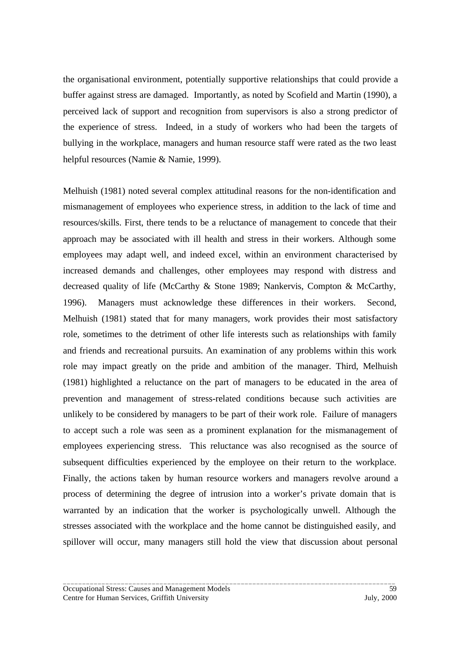the organisational environment, potentially supportive relationships that could provide a buffer against stress are damaged. Importantly, as noted by Scofield and Martin (1990), a perceived lack of support and recognition from supervisors is also a strong predictor of the experience of stress. Indeed, in a study of workers who had been the targets of bullying in the workplace, managers and human resource staff were rated as the two least helpful resources (Namie & Namie, 1999).

Melhuish (1981) noted several complex attitudinal reasons for the non-identification and mismanagement of employees who experience stress, in addition to the lack of time and resources/skills. First, there tends to be a reluctance of management to concede that their approach may be associated with ill health and stress in their workers. Although some employees may adapt well, and indeed excel, within an environment characterised by increased demands and challenges, other employees may respond with distress and decreased quality of life (McCarthy & Stone 1989; Nankervis, Compton & McCarthy, 1996). Managers must acknowledge these differences in their workers. Second, Melhuish (1981) stated that for many managers, work provides their most satisfactory role, sometimes to the detriment of other life interests such as relationships with family and friends and recreational pursuits. An examination of any problems within this work role may impact greatly on the pride and ambition of the manager. Third, Melhuish (1981) highlighted a reluctance on the part of managers to be educated in the area of prevention and management of stress-related conditions because such activities are unlikely to be considered by managers to be part of their work role. Failure of managers to accept such a role was seen as a prominent explanation for the mismanagement of employees experiencing stress. This reluctance was also recognised as the source of subsequent difficulties experienced by the employee on their return to the workplace. Finally, the actions taken by human resource workers and managers revolve around a process of determining the degree of intrusion into a worker's private domain that is warranted by an indication that the worker is psychologically unwell. Although the stresses associated with the workplace and the home cannot be distinguished easily, and spillover will occur, many managers still hold the view that discussion about personal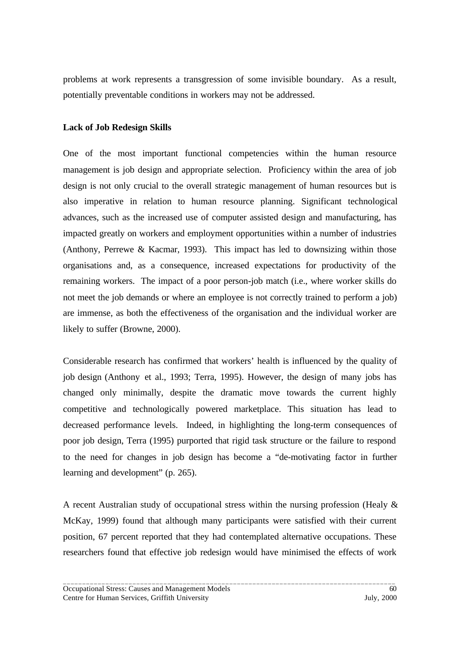problems at work represents a transgression of some invisible boundary. As a result, potentially preventable conditions in workers may not be addressed.

### **Lack of Job Redesign Skills**

One of the most important functional competencies within the human resource management is job design and appropriate selection. Proficiency within the area of job design is not only crucial to the overall strategic management of human resources but is also imperative in relation to human resource planning. Significant technological advances, such as the increased use of computer assisted design and manufacturing, has impacted greatly on workers and employment opportunities within a number of industries (Anthony, Perrewe & Kacmar, 1993). This impact has led to downsizing within those organisations and, as a consequence, increased expectations for productivity of the remaining workers. The impact of a poor person-job match (i.e., where worker skills do not meet the job demands or where an employee is not correctly trained to perform a job) are immense, as both the effectiveness of the organisation and the individual worker are likely to suffer (Browne, 2000).

Considerable research has confirmed that workers' health is influenced by the quality of job design (Anthony et al., 1993; Terra, 1995). However, the design of many jobs has changed only minimally, despite the dramatic move towards the current highly competitive and technologically powered marketplace. This situation has lead to decreased performance levels. Indeed, in highlighting the long-term consequences of poor job design, Terra (1995) purported that rigid task structure or the failure to respond to the need for changes in job design has become a "de-motivating factor in further learning and development" (p. 265).

A recent Australian study of occupational stress within the nursing profession (Healy & McKay, 1999) found that although many participants were satisfied with their current position, 67 percent reported that they had contemplated alternative occupations. These researchers found that effective job redesign would have minimised the effects of work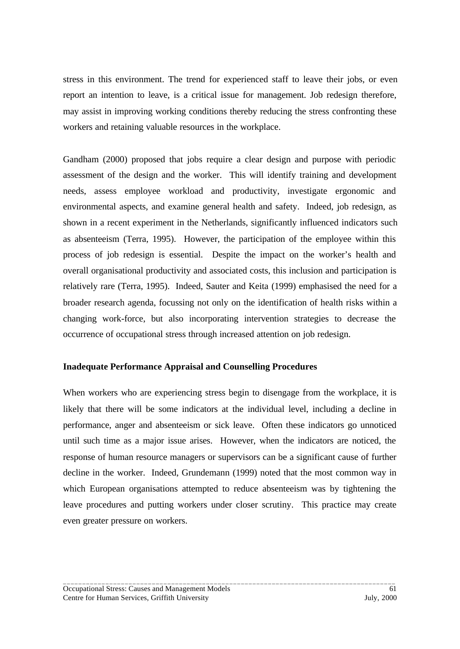stress in this environment. The trend for experienced staff to leave their jobs, or even report an intention to leave, is a critical issue for management. Job redesign therefore, may assist in improving working conditions thereby reducing the stress confronting these workers and retaining valuable resources in the workplace.

Gandham (2000) proposed that jobs require a clear design and purpose with periodic assessment of the design and the worker. This will identify training and development needs, assess employee workload and productivity, investigate ergonomic and environmental aspects, and examine general health and safety. Indeed, job redesign, as shown in a recent experiment in the Netherlands, significantly influenced indicators such as absenteeism (Terra, 1995). However, the participation of the employee within this process of job redesign is essential. Despite the impact on the worker's health and overall organisational productivity and associated costs, this inclusion and participation is relatively rare (Terra, 1995). Indeed, Sauter and Keita (1999) emphasised the need for a broader research agenda, focussing not only on the identification of health risks within a changing work-force, but also incorporating intervention strategies to decrease the occurrence of occupational stress through increased attention on job redesign.

## **Inadequate Performance Appraisal and Counselling Procedures**

When workers who are experiencing stress begin to disengage from the workplace, it is likely that there will be some indicators at the individual level, including a decline in performance, anger and absenteeism or sick leave. Often these indicators go unnoticed until such time as a major issue arises. However, when the indicators are noticed, the response of human resource managers or supervisors can be a significant cause of further decline in the worker. Indeed, Grundemann (1999) noted that the most common way in which European organisations attempted to reduce absenteeism was by tightening the leave procedures and putting workers under closer scrutiny. This practice may create even greater pressure on workers.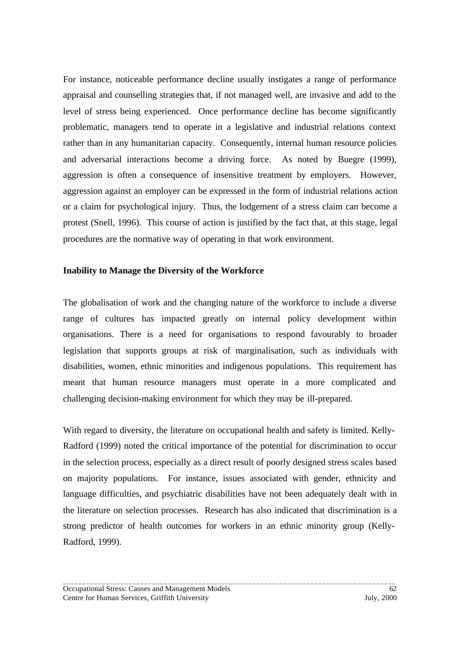For instance, noticeable performance decline usually instigates a range of performance appraisal and counselling strategies that, if not managed well, are invasive and add to the level of stress being experienced. Once performance decline has become significantly problematic, managers tend to operate in a legislative and industrial relations context rather than in any humanitarian capacity. Consequently, internal human resource policies and adversarial interactions become a driving force. As noted by Buegre (1999), aggression is often a consequence of insensitive treatment by employers. However, aggression against an employer can be expressed in the form of industrial relations action or a claim for psychological injury. Thus, the lodgement of a stress claim can become a protest (Snell, 1996). This course of action is justified by the fact that, at this stage, legal procedures are the normative way of operating in that work environment.

### **Inability to Manage the Diversity of the Workforce**

The globalisation of work and the changing nature of the workforce to include a diverse range of cultures has impacted greatly on internal policy development within organisations. There is a need for organisations to respond favourably to broader legislation that supports groups at risk of marginalisation, such as individuals with disabilities, women, ethnic minorities and indigenous populations. This requirement has meant that human resource managers must operate in a more complicated and challenging decision-making environment for which they may be ill-prepared.

With regard to diversity, the literature on occupational health and safety is limited. Kelly-Radford (1999) noted the critical importance of the potential for discrimination to occur in the selection process, especially as a direct result of poorly designed stress scales based on majority populations. For instance, issues associated with gender, ethnicity and language difficulties, and psychiatric disabilities have not been adequately dealt with in the literature on selection processes. Research has also indicated that discrimination is a strong predictor of health outcomes for workers in an ethnic minority group (Kelly-Radford, 1999).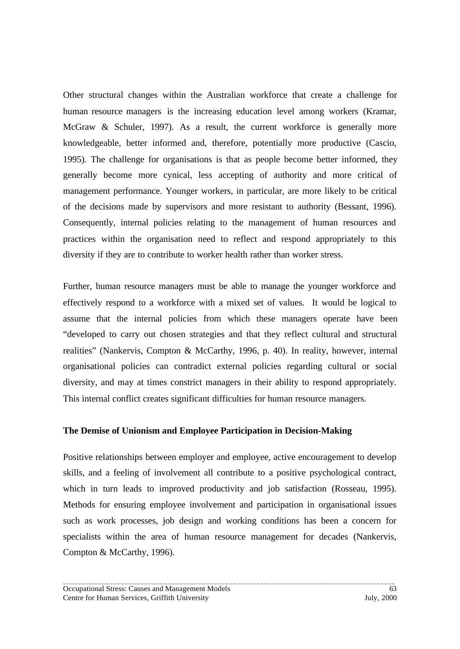Other structural changes within the Australian workforce that create a challenge for human resource managers is the increasing education level among workers (Kramar, McGraw & Schuler, 1997). As a result, the current workforce is generally more knowledgeable, better informed and, therefore, potentially more productive (Cascio, 1995). The challenge for organisations is that as people become better informed, they generally become more cynical, less accepting of authority and more critical of management performance. Younger workers, in particular, are more likely to be critical of the decisions made by supervisors and more resistant to authority (Bessant, 1996). Consequently, internal policies relating to the management of human resources and practices within the organisation need to reflect and respond appropriately to this diversity if they are to contribute to worker health rather than worker stress.

Further, human resource managers must be able to manage the younger workforce and effectively respond to a workforce with a mixed set of values. It would be logical to assume that the internal policies from which these managers operate have been "developed to carry out chosen strategies and that they reflect cultural and structural realities" (Nankervis, Compton & McCarthy, 1996, p. 40). In reality, however, internal organisational policies can contradict external policies regarding cultural or social diversity, and may at times constrict managers in their ability to respond appropriately. This internal conflict creates significant difficulties for human resource managers.

## **The Demise of Unionism and Employee Participation in Decision-Making**

Positive relationships between employer and employee, active encouragement to develop skills, and a feeling of involvement all contribute to a positive psychological contract, which in turn leads to improved productivity and job satisfaction (Rosseau, 1995). Methods for ensuring employee involvement and participation in organisational issues such as work processes, job design and working conditions has been a concern for specialists within the area of human resource management for decades (Nankervis, Compton & McCarthy, 1996).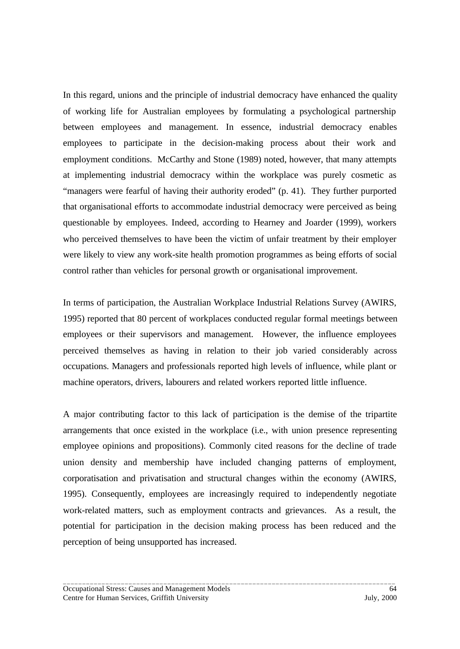In this regard, unions and the principle of industrial democracy have enhanced the quality of working life for Australian employees by formulating a psychological partnership between employees and management. In essence, industrial democracy enables employees to participate in the decision-making process about their work and employment conditions. McCarthy and Stone (1989) noted, however, that many attempts at implementing industrial democracy within the workplace was purely cosmetic as "managers were fearful of having their authority eroded" (p. 41). They further purported that organisational efforts to accommodate industrial democracy were perceived as being questionable by employees. Indeed, according to Hearney and Joarder (1999), workers who perceived themselves to have been the victim of unfair treatment by their employer were likely to view any work-site health promotion programmes as being efforts of social control rather than vehicles for personal growth or organisational improvement.

In terms of participation, the Australian Workplace Industrial Relations Survey (AWIRS, 1995) reported that 80 percent of workplaces conducted regular formal meetings between employees or their supervisors and management. However, the influence employees perceived themselves as having in relation to their job varied considerably across occupations. Managers and professionals reported high levels of influence, while plant or machine operators, drivers, labourers and related workers reported little influence.

A major contributing factor to this lack of participation is the demise of the tripartite arrangements that once existed in the workplace (i.e., with union presence representing employee opinions and propositions). Commonly cited reasons for the decline of trade union density and membership have included changing patterns of employment, corporatisation and privatisation and structural changes within the economy (AWIRS, 1995). Consequently, employees are increasingly required to independently negotiate work-related matters, such as employment contracts and grievances. As a result, the potential for participation in the decision making process has been reduced and the perception of being unsupported has increased.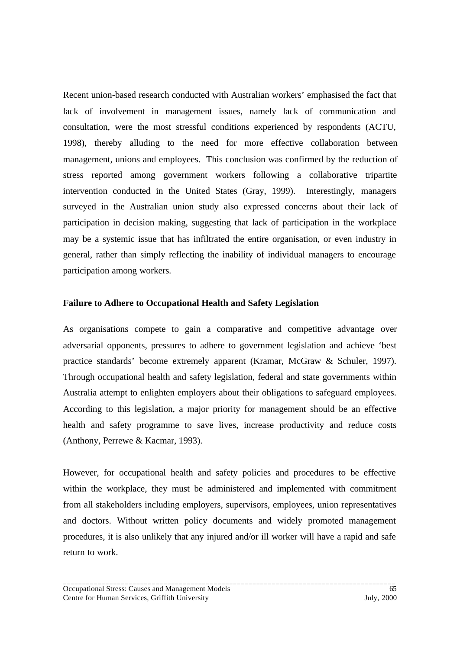Recent union-based research conducted with Australian workers' emphasised the fact that lack of involvement in management issues, namely lack of communication and consultation, were the most stressful conditions experienced by respondents (ACTU, 1998), thereby alluding to the need for more effective collaboration between management, unions and employees. This conclusion was confirmed by the reduction of stress reported among government workers following a collaborative tripartite intervention conducted in the United States (Gray, 1999). Interestingly, managers surveyed in the Australian union study also expressed concerns about their lack of participation in decision making, suggesting that lack of participation in the workplace may be a systemic issue that has infiltrated the entire organisation, or even industry in general, rather than simply reflecting the inability of individual managers to encourage participation among workers.

### **Failure to Adhere to Occupational Health and Safety Legislation**

As organisations compete to gain a comparative and competitive advantage over adversarial opponents, pressures to adhere to government legislation and achieve 'best practice standards' become extremely apparent (Kramar, McGraw & Schuler, 1997). Through occupational health and safety legislation, federal and state governments within Australia attempt to enlighten employers about their obligations to safeguard employees. According to this legislation, a major priority for management should be an effective health and safety programme to save lives, increase productivity and reduce costs (Anthony, Perrewe & Kacmar, 1993).

However, for occupational health and safety policies and procedures to be effective within the workplace, they must be administered and implemented with commitment from all stakeholders including employers, supervisors, employees, union representatives and doctors. Without written policy documents and widely promoted management procedures, it is also unlikely that any injured and/or ill worker will have a rapid and safe return to work.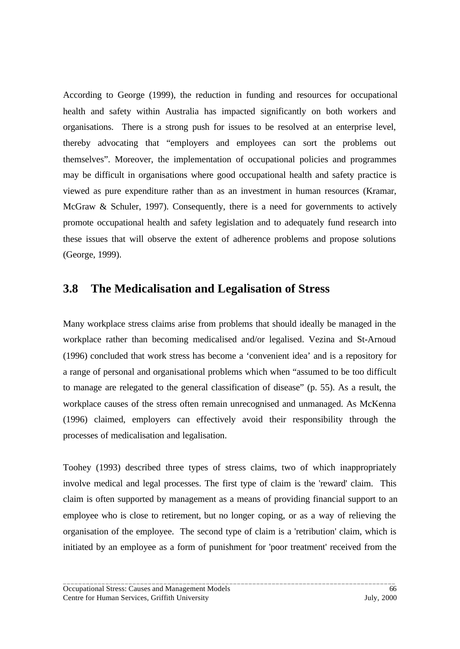According to George (1999), the reduction in funding and resources for occupational health and safety within Australia has impacted significantly on both workers and organisations. There is a strong push for issues to be resolved at an enterprise level, thereby advocating that "employers and employees can sort the problems out themselves". Moreover, the implementation of occupational policies and programmes may be difficult in organisations where good occupational health and safety practice is viewed as pure expenditure rather than as an investment in human resources (Kramar, McGraw & Schuler, 1997). Consequently, there is a need for governments to actively promote occupational health and safety legislation and to adequately fund research into these issues that will observe the extent of adherence problems and propose solutions (George, 1999).

## **3.8 The Medicalisation and Legalisation of Stress**

Many workplace stress claims arise from problems that should ideally be managed in the workplace rather than becoming medicalised and/or legalised. Vezina and St-Arnoud (1996) concluded that work stress has become a 'convenient idea' and is a repository for a range of personal and organisational problems which when "assumed to be too difficult to manage are relegated to the general classification of disease" (p. 55). As a result, the workplace causes of the stress often remain unrecognised and unmanaged. As McKenna (1996) claimed, employers can effectively avoid their responsibility through the processes of medicalisation and legalisation.

Toohey (1993) described three types of stress claims, two of which inappropriately involve medical and legal processes. The first type of claim is the 'reward' claim. This claim is often supported by management as a means of providing financial support to an employee who is close to retirement, but no longer coping, or as a way of relieving the organisation of the employee. The second type of claim is a 'retribution' claim, which is initiated by an employee as a form of punishment for 'poor treatment' received from the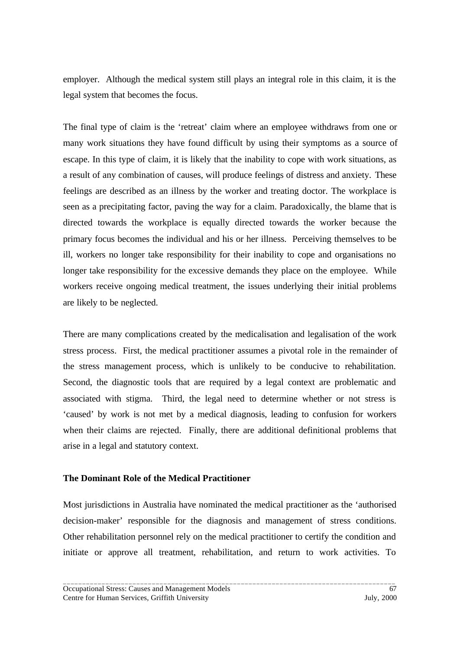employer. Although the medical system still plays an integral role in this claim, it is the legal system that becomes the focus.

The final type of claim is the 'retreat' claim where an employee withdraws from one or many work situations they have found difficult by using their symptoms as a source of escape. In this type of claim, it is likely that the inability to cope with work situations, as a result of any combination of causes, will produce feelings of distress and anxiety. These feelings are described as an illness by the worker and treating doctor. The workplace is seen as a precipitating factor, paving the way for a claim. Paradoxically, the blame that is directed towards the workplace is equally directed towards the worker because the primary focus becomes the individual and his or her illness. Perceiving themselves to be ill, workers no longer take responsibility for their inability to cope and organisations no longer take responsibility for the excessive demands they place on the employee. While workers receive ongoing medical treatment, the issues underlying their initial problems are likely to be neglected.

There are many complications created by the medicalisation and legalisation of the work stress process. First, the medical practitioner assumes a pivotal role in the remainder of the stress management process, which is unlikely to be conducive to rehabilitation. Second, the diagnostic tools that are required by a legal context are problematic and associated with stigma. Third, the legal need to determine whether or not stress is 'caused' by work is not met by a medical diagnosis, leading to confusion for workers when their claims are rejected. Finally, there are additional definitional problems that arise in a legal and statutory context.

# **The Dominant Role of the Medical Practitioner**

Most jurisdictions in Australia have nominated the medical practitioner as the 'authorised decision-maker' responsible for the diagnosis and management of stress conditions. Other rehabilitation personnel rely on the medical practitioner to certify the condition and initiate or approve all treatment, rehabilitation, and return to work activities. To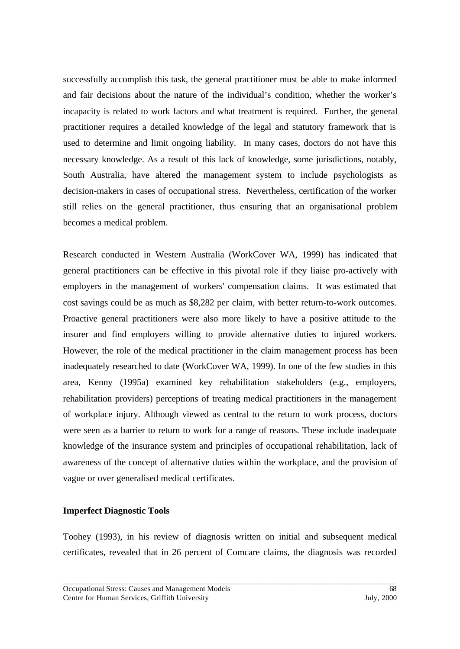successfully accomplish this task, the general practitioner must be able to make informed and fair decisions about the nature of the individual's condition, whether the worker's incapacity is related to work factors and what treatment is required. Further, the general practitioner requires a detailed knowledge of the legal and statutory framework that is used to determine and limit ongoing liability. In many cases, doctors do not have this necessary knowledge. As a result of this lack of knowledge, some jurisdictions, notably, South Australia, have altered the management system to include psychologists as decision-makers in cases of occupational stress. Nevertheless, certification of the worker still relies on the general practitioner, thus ensuring that an organisational problem becomes a medical problem.

Research conducted in Western Australia (WorkCover WA, 1999) has indicated that general practitioners can be effective in this pivotal role if they liaise pro-actively with employers in the management of workers' compensation claims. It was estimated that cost savings could be as much as \$8,282 per claim, with better return-to-work outcomes. Proactive general practitioners were also more likely to have a positive attitude to the insurer and find employers willing to provide alternative duties to injured workers. However, the role of the medical practitioner in the claim management process has been inadequately researched to date (WorkCover WA, 1999). In one of the few studies in this area, Kenny (1995a) examined key rehabilitation stakeholders (e.g., employers, rehabilitation providers) perceptions of treating medical practitioners in the management of workplace injury. Although viewed as central to the return to work process, doctors were seen as a barrier to return to work for a range of reasons. These include inadequate knowledge of the insurance system and principles of occupational rehabilitation, lack of awareness of the concept of alternative duties within the workplace, and the provision of vague or over generalised medical certificates.

#### **Imperfect Diagnostic Tools**

Toohey (1993), in his review of diagnosis written on initial and subsequent medical certificates, revealed that in 26 percent of Comcare claims, the diagnosis was recorded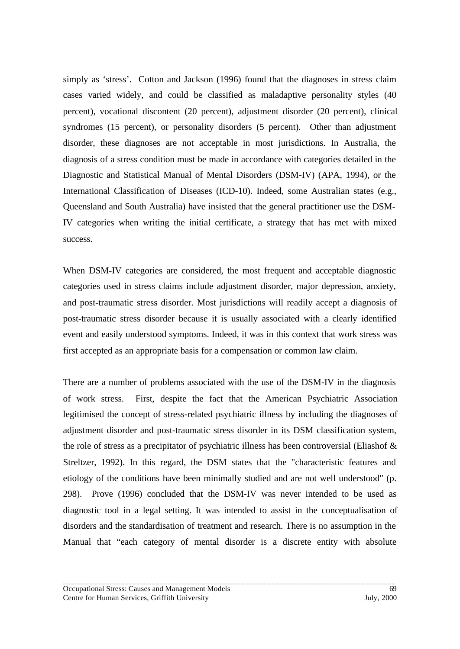simply as 'stress'. Cotton and Jackson (1996) found that the diagnoses in stress claim cases varied widely, and could be classified as maladaptive personality styles (40 percent), vocational discontent (20 percent), adjustment disorder (20 percent), clinical syndromes (15 percent), or personality disorders (5 percent). Other than adjustment disorder, these diagnoses are not acceptable in most jurisdictions. In Australia, the diagnosis of a stress condition must be made in accordance with categories detailed in the Diagnostic and Statistical Manual of Mental Disorders (DSM-IV) (APA, 1994), or the International Classification of Diseases (ICD-10). Indeed, some Australian states (e.g., Queensland and South Australia) have insisted that the general practitioner use the DSM-IV categories when writing the initial certificate, a strategy that has met with mixed success.

When DSM-IV categories are considered, the most frequent and acceptable diagnostic categories used in stress claims include adjustment disorder, major depression, anxiety, and post-traumatic stress disorder. Most jurisdictions will readily accept a diagnosis of post-traumatic stress disorder because it is usually associated with a clearly identified event and easily understood symptoms. Indeed, it was in this context that work stress was first accepted as an appropriate basis for a compensation or common law claim.

There are a number of problems associated with the use of the DSM-IV in the diagnosis of work stress. First, despite the fact that the American Psychiatric Association legitimised the concept of stress-related psychiatric illness by including the diagnoses of adjustment disorder and post-traumatic stress disorder in its DSM classification system, the role of stress as a precipitator of psychiatric illness has been controversial (Eliashof & Streltzer, 1992). In this regard, the DSM states that the "characteristic features and etiology of the conditions have been minimally studied and are not well understood" (p. 298). Prove (1996) concluded that the DSM-IV was never intended to be used as diagnostic tool in a legal setting. It was intended to assist in the conceptualisation of disorders and the standardisation of treatment and research. There is no assumption in the Manual that "each category of mental disorder is a discrete entity with absolute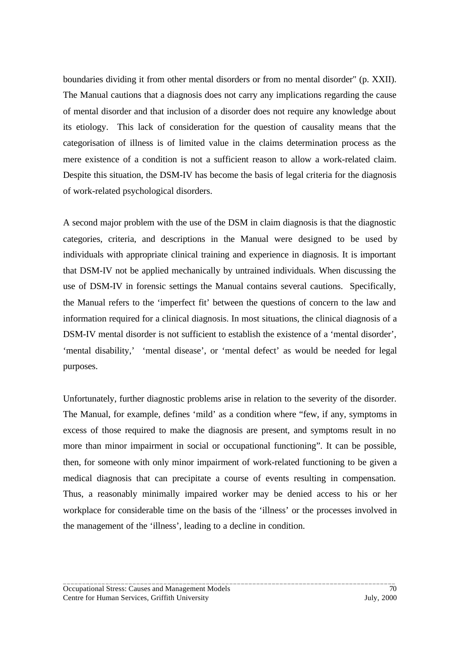boundaries dividing it from other mental disorders or from no mental disorder" (p. XXII). The Manual cautions that a diagnosis does not carry any implications regarding the cause of mental disorder and that inclusion of a disorder does not require any knowledge about its etiology. This lack of consideration for the question of causality means that the categorisation of illness is of limited value in the claims determination process as the mere existence of a condition is not a sufficient reason to allow a work-related claim. Despite this situation, the DSM-IV has become the basis of legal criteria for the diagnosis of work-related psychological disorders.

A second major problem with the use of the DSM in claim diagnosis is that the diagnostic categories, criteria, and descriptions in the Manual were designed to be used by individuals with appropriate clinical training and experience in diagnosis. It is important that DSM-IV not be applied mechanically by untrained individuals. When discussing the use of DSM-IV in forensic settings the Manual contains several cautions. Specifically, the Manual refers to the 'imperfect fit' between the questions of concern to the law and information required for a clinical diagnosis. In most situations, the clinical diagnosis of a DSM-IV mental disorder is not sufficient to establish the existence of a 'mental disorder', 'mental disability,' 'mental disease', or 'mental defect' as would be needed for legal purposes.

Unfortunately, further diagnostic problems arise in relation to the severity of the disorder. The Manual, for example, defines 'mild' as a condition where "few, if any, symptoms in excess of those required to make the diagnosis are present, and symptoms result in no more than minor impairment in social or occupational functioning". It can be possible, then, for someone with only minor impairment of work-related functioning to be given a medical diagnosis that can precipitate a course of events resulting in compensation. Thus, a reasonably minimally impaired worker may be denied access to his or her workplace for considerable time on the basis of the 'illness' or the processes involved in the management of the 'illness', leading to a decline in condition.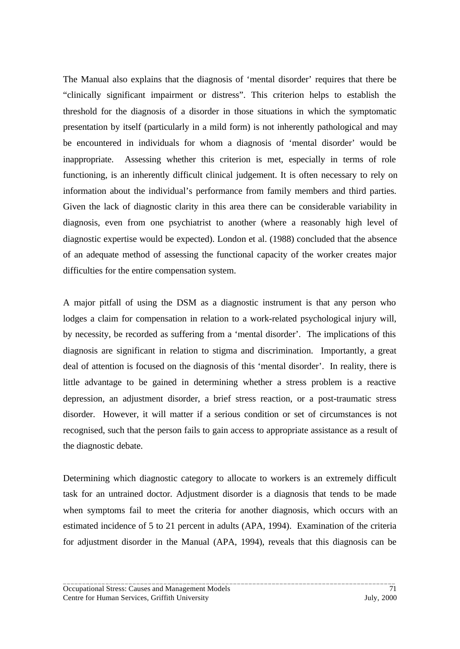The Manual also explains that the diagnosis of 'mental disorder' requires that there be "clinically significant impairment or distress". This criterion helps to establish the threshold for the diagnosis of a disorder in those situations in which the symptomatic presentation by itself (particularly in a mild form) is not inherently pathological and may be encountered in individuals for whom a diagnosis of 'mental disorder' would be inappropriate. Assessing whether this criterion is met, especially in terms of role functioning, is an inherently difficult clinical judgement. It is often necessary to rely on information about the individual's performance from family members and third parties. Given the lack of diagnostic clarity in this area there can be considerable variability in diagnosis, even from one psychiatrist to another (where a reasonably high level of diagnostic expertise would be expected). London et al. (1988) concluded that the absence of an adequate method of assessing the functional capacity of the worker creates major difficulties for the entire compensation system.

A major pitfall of using the DSM as a diagnostic instrument is that any person who lodges a claim for compensation in relation to a work-related psychological injury will, by necessity, be recorded as suffering from a 'mental disorder'. The implications of this diagnosis are significant in relation to stigma and discrimination. Importantly, a great deal of attention is focused on the diagnosis of this 'mental disorder'. In reality, there is little advantage to be gained in determining whether a stress problem is a reactive depression, an adjustment disorder, a brief stress reaction, or a post-traumatic stress disorder. However, it will matter if a serious condition or set of circumstances is not recognised, such that the person fails to gain access to appropriate assistance as a result of the diagnostic debate.

Determining which diagnostic category to allocate to workers is an extremely difficult task for an untrained doctor. Adjustment disorder is a diagnosis that tends to be made when symptoms fail to meet the criteria for another diagnosis, which occurs with an estimated incidence of 5 to 21 percent in adults (APA, 1994). Examination of the criteria for adjustment disorder in the Manual (APA, 1994), reveals that this diagnosis can be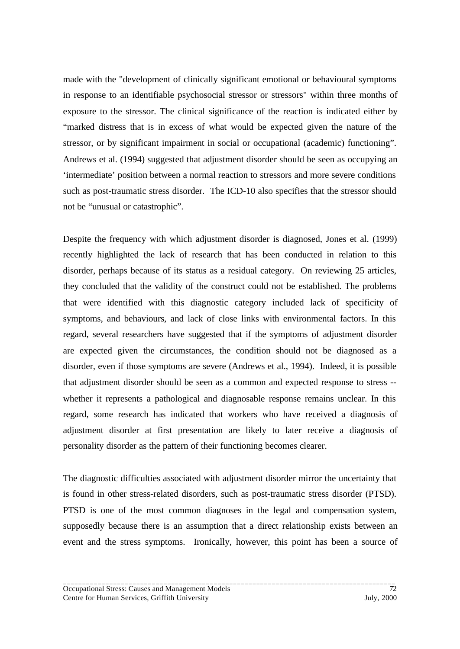made with the "development of clinically significant emotional or behavioural symptoms in response to an identifiable psychosocial stressor or stressors" within three months of exposure to the stressor. The clinical significance of the reaction is indicated either by "marked distress that is in excess of what would be expected given the nature of the stressor, or by significant impairment in social or occupational (academic) functioning". Andrews et al. (1994) suggested that adjustment disorder should be seen as occupying an 'intermediate' position between a normal reaction to stressors and more severe conditions such as post-traumatic stress disorder. The ICD-10 also specifies that the stressor should not be "unusual or catastrophic".

Despite the frequency with which adjustment disorder is diagnosed, Jones et al. (1999) recently highlighted the lack of research that has been conducted in relation to this disorder, perhaps because of its status as a residual category. On reviewing 25 articles, they concluded that the validity of the construct could not be established. The problems that were identified with this diagnostic category included lack of specificity of symptoms, and behaviours, and lack of close links with environmental factors. In this regard, several researchers have suggested that if the symptoms of adjustment disorder are expected given the circumstances, the condition should not be diagnosed as a disorder, even if those symptoms are severe (Andrews et al., 1994). Indeed, it is possible that adjustment disorder should be seen as a common and expected response to stress - whether it represents a pathological and diagnosable response remains unclear. In this regard, some research has indicated that workers who have received a diagnosis of adjustment disorder at first presentation are likely to later receive a diagnosis of personality disorder as the pattern of their functioning becomes clearer.

The diagnostic difficulties associated with adjustment disorder mirror the uncertainty that is found in other stress-related disorders, such as post-traumatic stress disorder (PTSD). PTSD is one of the most common diagnoses in the legal and compensation system, supposedly because there is an assumption that a direct relationship exists between an event and the stress symptoms. Ironically, however, this point has been a source of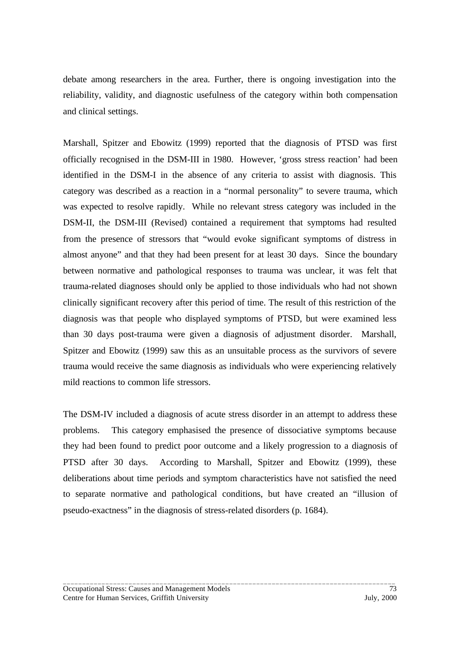debate among researchers in the area. Further, there is ongoing investigation into the reliability, validity, and diagnostic usefulness of the category within both compensation and clinical settings.

Marshall, Spitzer and Ebowitz (1999) reported that the diagnosis of PTSD was first officially recognised in the DSM-III in 1980. However, 'gross stress reaction' had been identified in the DSM-I in the absence of any criteria to assist with diagnosis. This category was described as a reaction in a "normal personality" to severe trauma, which was expected to resolve rapidly. While no relevant stress category was included in the DSM-II, the DSM-III (Revised) contained a requirement that symptoms had resulted from the presence of stressors that "would evoke significant symptoms of distress in almost anyone" and that they had been present for at least 30 days. Since the boundary between normative and pathological responses to trauma was unclear, it was felt that trauma-related diagnoses should only be applied to those individuals who had not shown clinically significant recovery after this period of time. The result of this restriction of the diagnosis was that people who displayed symptoms of PTSD, but were examined less than 30 days post-trauma were given a diagnosis of adjustment disorder. Marshall, Spitzer and Ebowitz (1999) saw this as an unsuitable process as the survivors of severe trauma would receive the same diagnosis as individuals who were experiencing relatively mild reactions to common life stressors.

The DSM-IV included a diagnosis of acute stress disorder in an attempt to address these problems. This category emphasised the presence of dissociative symptoms because they had been found to predict poor outcome and a likely progression to a diagnosis of PTSD after 30 days. According to Marshall, Spitzer and Ebowitz (1999), these deliberations about time periods and symptom characteristics have not satisfied the need to separate normative and pathological conditions, but have created an "illusion of pseudo-exactness" in the diagnosis of stress-related disorders (p. 1684).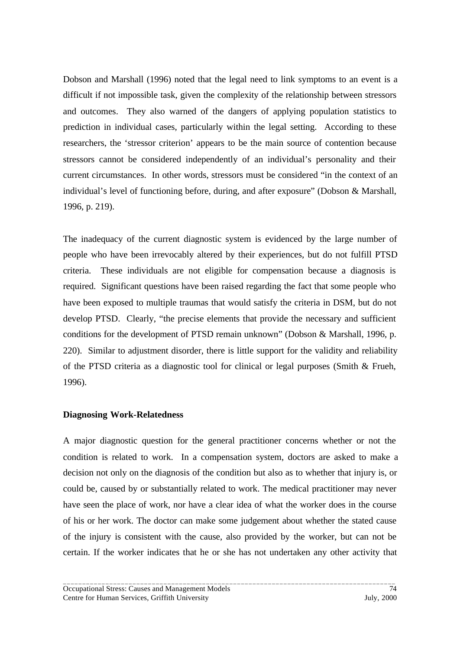Dobson and Marshall (1996) noted that the legal need to link symptoms to an event is a difficult if not impossible task, given the complexity of the relationship between stressors and outcomes. They also warned of the dangers of applying population statistics to prediction in individual cases, particularly within the legal setting. According to these researchers, the 'stressor criterion' appears to be the main source of contention because stressors cannot be considered independently of an individual's personality and their current circumstances. In other words, stressors must be considered "in the context of an individual's level of functioning before, during, and after exposure" (Dobson & Marshall, 1996, p. 219).

The inadequacy of the current diagnostic system is evidenced by the large number of people who have been irrevocably altered by their experiences, but do not fulfill PTSD criteria. These individuals are not eligible for compensation because a diagnosis is required. Significant questions have been raised regarding the fact that some people who have been exposed to multiple traumas that would satisfy the criteria in DSM, but do not develop PTSD. Clearly, "the precise elements that provide the necessary and sufficient conditions for the development of PTSD remain unknown" (Dobson & Marshall, 1996, p. 220). Similar to adjustment disorder, there is little support for the validity and reliability of the PTSD criteria as a diagnostic tool for clinical or legal purposes (Smith & Frueh, 1996).

# **Diagnosing Work-Relatedness**

A major diagnostic question for the general practitioner concerns whether or not the condition is related to work. In a compensation system, doctors are asked to make a decision not only on the diagnosis of the condition but also as to whether that injury is, or could be, caused by or substantially related to work. The medical practitioner may never have seen the place of work, nor have a clear idea of what the worker does in the course of his or her work. The doctor can make some judgement about whether the stated cause of the injury is consistent with the cause, also provided by the worker, but can not be certain. If the worker indicates that he or she has not undertaken any other activity that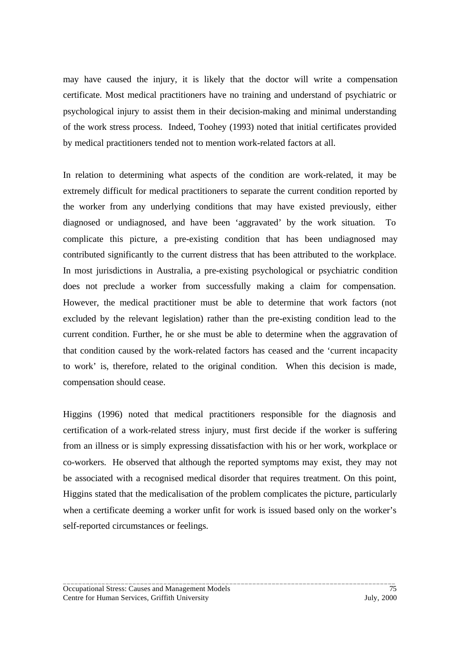may have caused the injury, it is likely that the doctor will write a compensation certificate. Most medical practitioners have no training and understand of psychiatric or psychological injury to assist them in their decision-making and minimal understanding of the work stress process. Indeed, Toohey (1993) noted that initial certificates provided by medical practitioners tended not to mention work-related factors at all.

In relation to determining what aspects of the condition are work-related, it may be extremely difficult for medical practitioners to separate the current condition reported by the worker from any underlying conditions that may have existed previously, either diagnosed or undiagnosed, and have been 'aggravated' by the work situation. To complicate this picture, a pre-existing condition that has been undiagnosed may contributed significantly to the current distress that has been attributed to the workplace. In most jurisdictions in Australia, a pre-existing psychological or psychiatric condition does not preclude a worker from successfully making a claim for compensation. However, the medical practitioner must be able to determine that work factors (not excluded by the relevant legislation) rather than the pre-existing condition lead to the current condition. Further, he or she must be able to determine when the aggravation of that condition caused by the work-related factors has ceased and the 'current incapacity to work' is, therefore, related to the original condition. When this decision is made, compensation should cease.

Higgins (1996) noted that medical practitioners responsible for the diagnosis and certification of a work-related stress injury, must first decide if the worker is suffering from an illness or is simply expressing dissatisfaction with his or her work, workplace or co-workers. He observed that although the reported symptoms may exist, they may not be associated with a recognised medical disorder that requires treatment. On this point, Higgins stated that the medicalisation of the problem complicates the picture, particularly when a certificate deeming a worker unfit for work is issued based only on the worker's self-reported circumstances or feelings.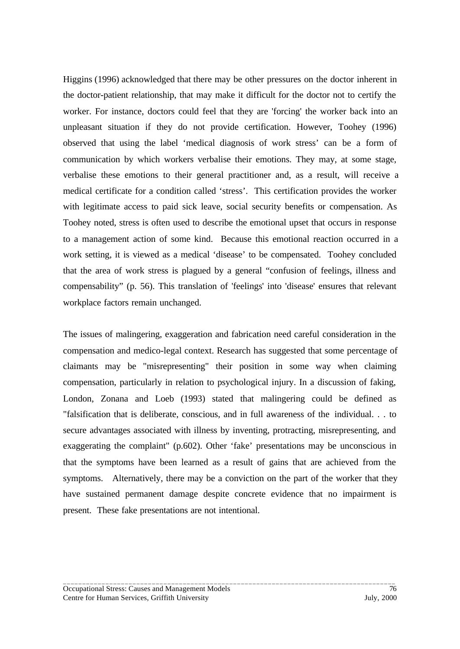Higgins (1996) acknowledged that there may be other pressures on the doctor inherent in the doctor-patient relationship, that may make it difficult for the doctor not to certify the worker. For instance, doctors could feel that they are 'forcing' the worker back into an unpleasant situation if they do not provide certification. However, Toohey (1996) observed that using the label 'medical diagnosis of work stress' can be a form of communication by which workers verbalise their emotions. They may, at some stage, verbalise these emotions to their general practitioner and, as a result, will receive a medical certificate for a condition called 'stress'. This certification provides the worker with legitimate access to paid sick leave, social security benefits or compensation. As Toohey noted, stress is often used to describe the emotional upset that occurs in response to a management action of some kind. Because this emotional reaction occurred in a work setting, it is viewed as a medical 'disease' to be compensated. Toohey concluded that the area of work stress is plagued by a general "confusion of feelings, illness and compensability" (p. 56). This translation of 'feelings' into 'disease' ensures that relevant workplace factors remain unchanged.

The issues of malingering, exaggeration and fabrication need careful consideration in the compensation and medico-legal context. Research has suggested that some percentage of claimants may be "misrepresenting" their position in some way when claiming compensation, particularly in relation to psychological injury. In a discussion of faking, London, Zonana and Loeb (1993) stated that malingering could be defined as "falsification that is deliberate, conscious, and in full awareness of the individual. . . to secure advantages associated with illness by inventing, protracting, misrepresenting, and exaggerating the complaint" (p.602). Other 'fake' presentations may be unconscious in that the symptoms have been learned as a result of gains that are achieved from the symptoms. Alternatively, there may be a conviction on the part of the worker that they have sustained permanent damage despite concrete evidence that no impairment is present. These fake presentations are not intentional.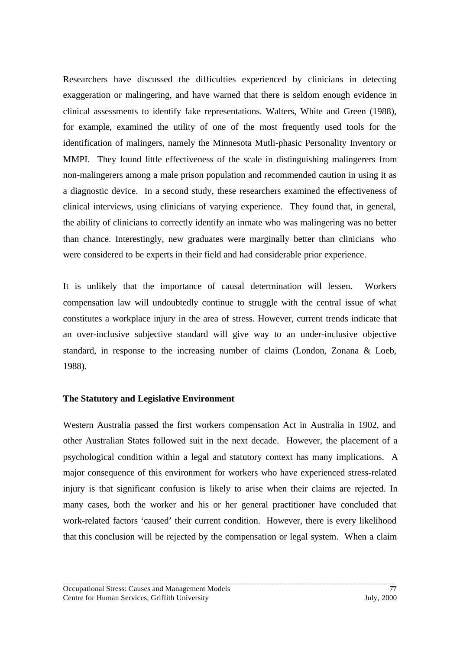Researchers have discussed the difficulties experienced by clinicians in detecting exaggeration or malingering, and have warned that there is seldom enough evidence in clinical assessments to identify fake representations. Walters, White and Green (1988), for example, examined the utility of one of the most frequently used tools for the identification of malingers, namely the Minnesota Mutli-phasic Personality Inventory or MMPI. They found little effectiveness of the scale in distinguishing malingerers from non-malingerers among a male prison population and recommended caution in using it as a diagnostic device. In a second study, these researchers examined the effectiveness of clinical interviews, using clinicians of varying experience. They found that, in general, the ability of clinicians to correctly identify an inmate who was malingering was no better than chance. Interestingly, new graduates were marginally better than clinicians who were considered to be experts in their field and had considerable prior experience.

It is unlikely that the importance of causal determination will lessen. Workers compensation law will undoubtedly continue to struggle with the central issue of what constitutes a workplace injury in the area of stress. However, current trends indicate that an over-inclusive subjective standard will give way to an under-inclusive objective standard, in response to the increasing number of claims (London, Zonana & Loeb, 1988).

#### **The Statutory and Legislative Environment**

Western Australia passed the first workers compensation Act in Australia in 1902, and other Australian States followed suit in the next decade. However, the placement of a psychological condition within a legal and statutory context has many implications. A major consequence of this environment for workers who have experienced stress-related injury is that significant confusion is likely to arise when their claims are rejected. In many cases, both the worker and his or her general practitioner have concluded that work-related factors 'caused' their current condition. However, there is every likelihood that this conclusion will be rejected by the compensation or legal system. When a claim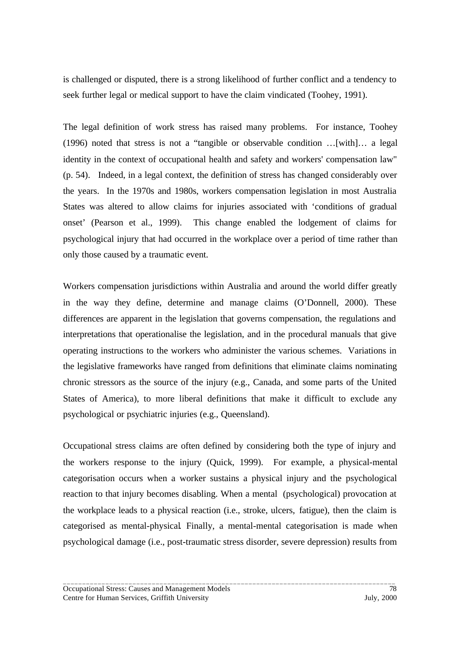is challenged or disputed, there is a strong likelihood of further conflict and a tendency to seek further legal or medical support to have the claim vindicated (Toohey, 1991).

The legal definition of work stress has raised many problems. For instance, Toohey (1996) noted that stress is not a "tangible or observable condition …[with]… a legal identity in the context of occupational health and safety and workers' compensation law" (p. 54). Indeed, in a legal context, the definition of stress has changed considerably over the years. In the 1970s and 1980s, workers compensation legislation in most Australia States was altered to allow claims for injuries associated with 'conditions of gradual onset' (Pearson et al., 1999). This change enabled the lodgement of claims for psychological injury that had occurred in the workplace over a period of time rather than only those caused by a traumatic event.

Workers compensation jurisdictions within Australia and around the world differ greatly in the way they define, determine and manage claims (O'Donnell, 2000). These differences are apparent in the legislation that governs compensation, the regulations and interpretations that operationalise the legislation, and in the procedural manuals that give operating instructions to the workers who administer the various schemes. Variations in the legislative frameworks have ranged from definitions that eliminate claims nominating chronic stressors as the source of the injury (e.g., Canada, and some parts of the United States of America), to more liberal definitions that make it difficult to exclude any psychological or psychiatric injuries (e.g., Queensland).

Occupational stress claims are often defined by considering both the type of injury and the workers response to the injury (Quick, 1999). For example, a physical-mental categorisation occurs when a worker sustains a physical injury and the psychological reaction to that injury becomes disabling. When a mental (psychological) provocation at the workplace leads to a physical reaction (i.e., stroke, ulcers, fatigue), then the claim is categorised as mental-physical*.* Finally, a mental-mental categorisation is made when psychological damage (i.e., post-traumatic stress disorder, severe depression) results from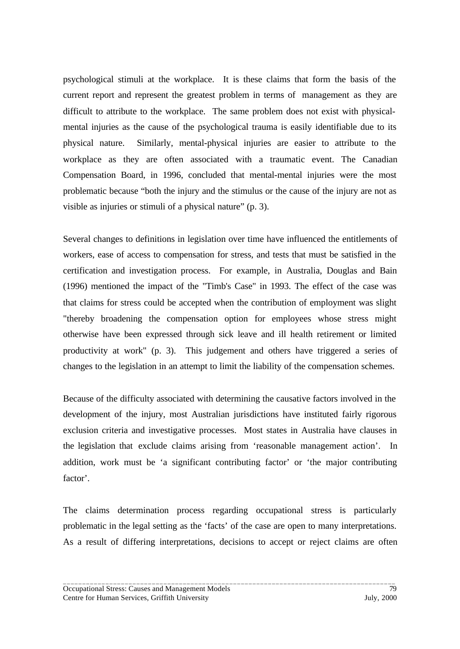psychological stimuli at the workplace. It is these claims that form the basis of the current report and represent the greatest problem in terms of management as they are difficult to attribute to the workplace. The same problem does not exist with physicalmental injuries as the cause of the psychological trauma is easily identifiable due to its physical nature. Similarly, mental-physical injuries are easier to attribute to the workplace as they are often associated with a traumatic event. The Canadian Compensation Board, in 1996, concluded that mental-mental injuries were the most problematic because "both the injury and the stimulus or the cause of the injury are not as visible as injuries or stimuli of a physical nature" (p. 3).

Several changes to definitions in legislation over time have influenced the entitlements of workers, ease of access to compensation for stress, and tests that must be satisfied in the certification and investigation process. For example, in Australia, Douglas and Bain (1996) mentioned the impact of the "Timb's Case" in 1993. The effect of the case was that claims for stress could be accepted when the contribution of employment was slight "thereby broadening the compensation option for employees whose stress might otherwise have been expressed through sick leave and ill health retirement or limited productivity at work" (p. 3). This judgement and others have triggered a series of changes to the legislation in an attempt to limit the liability of the compensation schemes.

Because of the difficulty associated with determining the causative factors involved in the development of the injury, most Australian jurisdictions have instituted fairly rigorous exclusion criteria and investigative processes. Most states in Australia have clauses in the legislation that exclude claims arising from 'reasonable management action'. In addition, work must be 'a significant contributing factor' or 'the major contributing factor'.

The claims determination process regarding occupational stress is particularly problematic in the legal setting as the 'facts' of the case are open to many interpretations. As a result of differing interpretations, decisions to accept or reject claims are often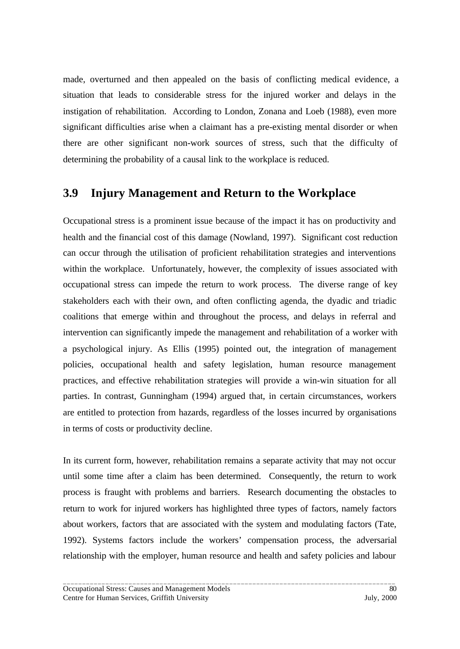made, overturned and then appealed on the basis of conflicting medical evidence, a situation that leads to considerable stress for the injured worker and delays in the instigation of rehabilitation. According to London, Zonana and Loeb (1988), even more significant difficulties arise when a claimant has a pre-existing mental disorder or when there are other significant non-work sources of stress, such that the difficulty of determining the probability of a causal link to the workplace is reduced.

# **3.9 Injury Management and Return to the Workplace**

Occupational stress is a prominent issue because of the impact it has on productivity and health and the financial cost of this damage (Nowland, 1997). Significant cost reduction can occur through the utilisation of proficient rehabilitation strategies and interventions within the workplace. Unfortunately, however, the complexity of issues associated with occupational stress can impede the return to work process. The diverse range of key stakeholders each with their own, and often conflicting agenda, the dyadic and triadic coalitions that emerge within and throughout the process, and delays in referral and intervention can significantly impede the management and rehabilitation of a worker with a psychological injury. As Ellis (1995) pointed out, the integration of management policies, occupational health and safety legislation, human resource management practices, and effective rehabilitation strategies will provide a win-win situation for all parties. In contrast, Gunningham (1994) argued that, in certain circumstances, workers are entitled to protection from hazards, regardless of the losses incurred by organisations in terms of costs or productivity decline.

In its current form, however, rehabilitation remains a separate activity that may not occur until some time after a claim has been determined. Consequently, the return to work process is fraught with problems and barriers. Research documenting the obstacles to return to work for injured workers has highlighted three types of factors, namely factors about workers, factors that are associated with the system and modulating factors (Tate, 1992). Systems factors include the workers' compensation process, the adversarial relationship with the employer, human resource and health and safety policies and labour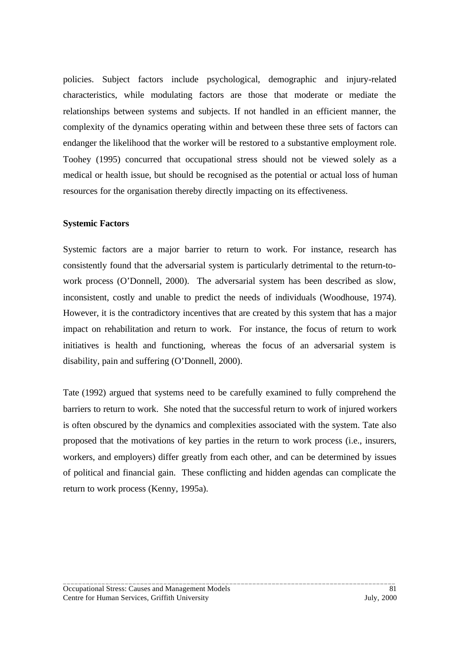policies. Subject factors include psychological, demographic and injury-related characteristics, while modulating factors are those that moderate or mediate the relationships between systems and subjects. If not handled in an efficient manner, the complexity of the dynamics operating within and between these three sets of factors can endanger the likelihood that the worker will be restored to a substantive employment role. Toohey (1995) concurred that occupational stress should not be viewed solely as a medical or health issue, but should be recognised as the potential or actual loss of human resources for the organisation thereby directly impacting on its effectiveness.

### **Systemic Factors**

Systemic factors are a major barrier to return to work. For instance, research has consistently found that the adversarial system is particularly detrimental to the return-towork process (O'Donnell, 2000). The adversarial system has been described as slow, inconsistent, costly and unable to predict the needs of individuals (Woodhouse, 1974). However, it is the contradictory incentives that are created by this system that has a major impact on rehabilitation and return to work. For instance, the focus of return to work initiatives is health and functioning, whereas the focus of an adversarial system is disability, pain and suffering (O'Donnell, 2000).

Tate (1992) argued that systems need to be carefully examined to fully comprehend the barriers to return to work. She noted that the successful return to work of injured workers is often obscured by the dynamics and complexities associated with the system. Tate also proposed that the motivations of key parties in the return to work process (i.e., insurers, workers, and employers) differ greatly from each other, and can be determined by issues of political and financial gain. These conflicting and hidden agendas can complicate the return to work process (Kenny, 1995a).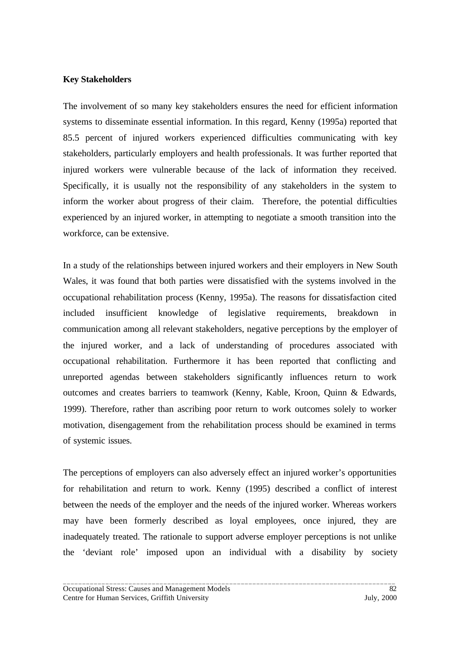### **Key Stakeholders**

The involvement of so many key stakeholders ensures the need for efficient information systems to disseminate essential information. In this regard, Kenny (1995a) reported that 85.5 percent of injured workers experienced difficulties communicating with key stakeholders, particularly employers and health professionals. It was further reported that injured workers were vulnerable because of the lack of information they received. Specifically, it is usually not the responsibility of any stakeholders in the system to inform the worker about progress of their claim. Therefore, the potential difficulties experienced by an injured worker, in attempting to negotiate a smooth transition into the workforce, can be extensive.

In a study of the relationships between injured workers and their employers in New South Wales, it was found that both parties were dissatisfied with the systems involved in the occupational rehabilitation process (Kenny, 1995a). The reasons for dissatisfaction cited included insufficient knowledge of legislative requirements, breakdown in communication among all relevant stakeholders, negative perceptions by the employer of the injured worker, and a lack of understanding of procedures associated with occupational rehabilitation. Furthermore it has been reported that conflicting and unreported agendas between stakeholders significantly influences return to work outcomes and creates barriers to teamwork (Kenny, Kable, Kroon, Quinn & Edwards, 1999). Therefore, rather than ascribing poor return to work outcomes solely to worker motivation, disengagement from the rehabilitation process should be examined in terms of systemic issues.

The perceptions of employers can also adversely effect an injured worker's opportunities for rehabilitation and return to work. Kenny (1995) described a conflict of interest between the needs of the employer and the needs of the injured worker. Whereas workers may have been formerly described as loyal employees, once injured, they are inadequately treated. The rationale to support adverse employer perceptions is not unlike the 'deviant role' imposed upon an individual with a disability by society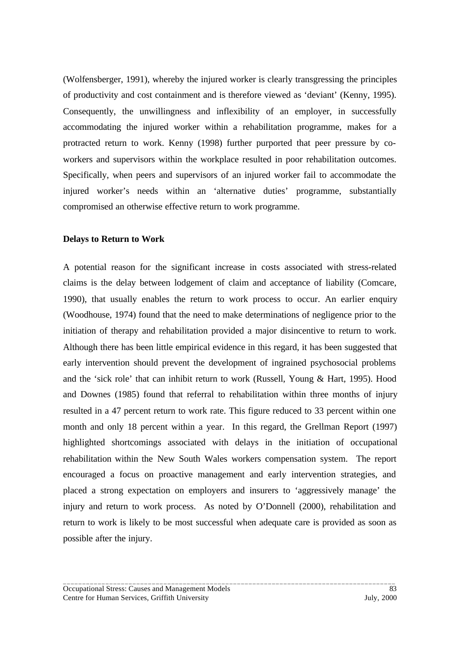(Wolfensberger, 1991), whereby the injured worker is clearly transgressing the principles of productivity and cost containment and is therefore viewed as 'deviant' (Kenny, 1995). Consequently, the unwillingness and inflexibility of an employer, in successfully accommodating the injured worker within a rehabilitation programme, makes for a protracted return to work. Kenny (1998) further purported that peer pressure by coworkers and supervisors within the workplace resulted in poor rehabilitation outcomes. Specifically, when peers and supervisors of an injured worker fail to accommodate the injured worker's needs within an 'alternative duties' programme, substantially compromised an otherwise effective return to work programme.

#### **Delays to Return to Work**

A potential reason for the significant increase in costs associated with stress-related claims is the delay between lodgement of claim and acceptance of liability (Comcare, 1990), that usually enables the return to work process to occur. An earlier enquiry (Woodhouse, 1974) found that the need to make determinations of negligence prior to the initiation of therapy and rehabilitation provided a major disincentive to return to work. Although there has been little empirical evidence in this regard, it has been suggested that early intervention should prevent the development of ingrained psychosocial problems and the 'sick role' that can inhibit return to work (Russell, Young & Hart, 1995). Hood and Downes (1985) found that referral to rehabilitation within three months of injury resulted in a 47 percent return to work rate. This figure reduced to 33 percent within one month and only 18 percent within a year. In this regard, the Grellman Report (1997) highlighted shortcomings associated with delays in the initiation of occupational rehabilitation within the New South Wales workers compensation system. The report encouraged a focus on proactive management and early intervention strategies, and placed a strong expectation on employers and insurers to 'aggressively manage' the injury and return to work process. As noted by O'Donnell (2000), rehabilitation and return to work is likely to be most successful when adequate care is provided as soon as possible after the injury.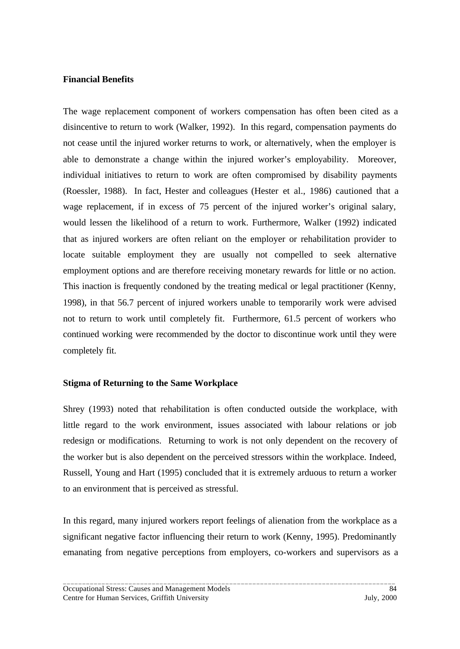#### **Financial Benefits**

The wage replacement component of workers compensation has often been cited as a disincentive to return to work (Walker, 1992). In this regard, compensation payments do not cease until the injured worker returns to work, or alternatively, when the employer is able to demonstrate a change within the injured worker's employability. Moreover, individual initiatives to return to work are often compromised by disability payments (Roessler, 1988). In fact, Hester and colleagues (Hester et al., 1986) cautioned that a wage replacement, if in excess of 75 percent of the injured worker's original salary, would lessen the likelihood of a return to work. Furthermore, Walker (1992) indicated that as injured workers are often reliant on the employer or rehabilitation provider to locate suitable employment they are usually not compelled to seek alternative employment options and are therefore receiving monetary rewards for little or no action. This inaction is frequently condoned by the treating medical or legal practitioner (Kenny, 1998), in that 56.7 percent of injured workers unable to temporarily work were advised not to return to work until completely fit. Furthermore, 61.5 percent of workers who continued working were recommended by the doctor to discontinue work until they were completely fit.

# **Stigma of Returning to the Same Workplace**

Shrey (1993) noted that rehabilitation is often conducted outside the workplace, with little regard to the work environment, issues associated with labour relations or job redesign or modifications. Returning to work is not only dependent on the recovery of the worker but is also dependent on the perceived stressors within the workplace. Indeed, Russell, Young and Hart (1995) concluded that it is extremely arduous to return a worker to an environment that is perceived as stressful.

In this regard, many injured workers report feelings of alienation from the workplace as a significant negative factor influencing their return to work (Kenny, 1995). Predominantly emanating from negative perceptions from employers, co-workers and supervisors as a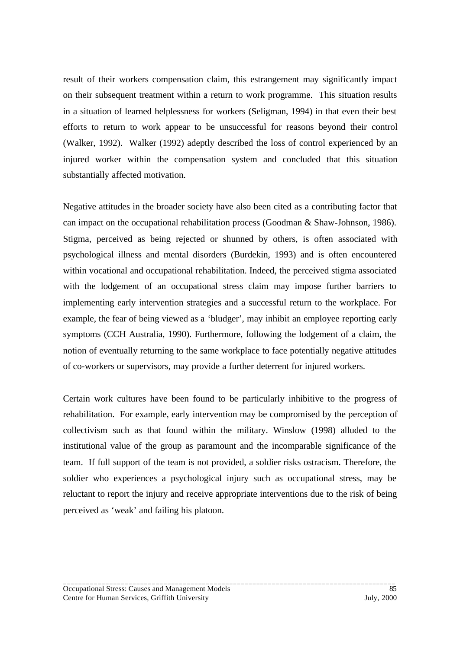result of their workers compensation claim, this estrangement may significantly impact on their subsequent treatment within a return to work programme. This situation results in a situation of learned helplessness for workers (Seligman, 1994) in that even their best efforts to return to work appear to be unsuccessful for reasons beyond their control (Walker, 1992). Walker (1992) adeptly described the loss of control experienced by an injured worker within the compensation system and concluded that this situation substantially affected motivation.

Negative attitudes in the broader society have also been cited as a contributing factor that can impact on the occupational rehabilitation process (Goodman & Shaw-Johnson, 1986). Stigma, perceived as being rejected or shunned by others, is often associated with psychological illness and mental disorders (Burdekin, 1993) and is often encountered within vocational and occupational rehabilitation. Indeed, the perceived stigma associated with the lodgement of an occupational stress claim may impose further barriers to implementing early intervention strategies and a successful return to the workplace. For example, the fear of being viewed as a 'bludger', may inhibit an employee reporting early symptoms (CCH Australia, 1990). Furthermore, following the lodgement of a claim, the notion of eventually returning to the same workplace to face potentially negative attitudes of co-workers or supervisors, may provide a further deterrent for injured workers.

Certain work cultures have been found to be particularly inhibitive to the progress of rehabilitation. For example, early intervention may be compromised by the perception of collectivism such as that found within the military. Winslow (1998) alluded to the institutional value of the group as paramount and the incomparable significance of the team. If full support of the team is not provided, a soldier risks ostracism. Therefore, the soldier who experiences a psychological injury such as occupational stress, may be reluctant to report the injury and receive appropriate interventions due to the risk of being perceived as 'weak' and failing his platoon.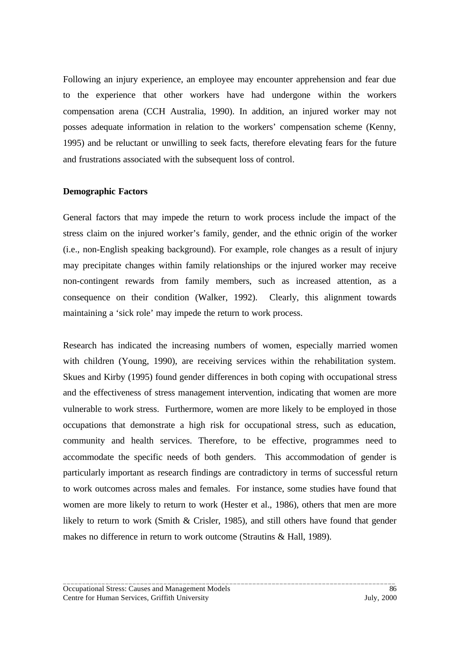Following an injury experience, an employee may encounter apprehension and fear due to the experience that other workers have had undergone within the workers compensation arena (CCH Australia, 1990). In addition, an injured worker may not posses adequate information in relation to the workers' compensation scheme (Kenny, 1995) and be reluctant or unwilling to seek facts, therefore elevating fears for the future and frustrations associated with the subsequent loss of control.

#### **Demographic Factors**

General factors that may impede the return to work process include the impact of the stress claim on the injured worker's family, gender, and the ethnic origin of the worker (i.e., non-English speaking background). For example, role changes as a result of injury may precipitate changes within family relationships or the injured worker may receive non-contingent rewards from family members, such as increased attention, as a consequence on their condition (Walker, 1992). Clearly, this alignment towards maintaining a 'sick role' may impede the return to work process.

Research has indicated the increasing numbers of women, especially married women with children (Young, 1990), are receiving services within the rehabilitation system. Skues and Kirby (1995) found gender differences in both coping with occupational stress and the effectiveness of stress management intervention, indicating that women are more vulnerable to work stress. Furthermore, women are more likely to be employed in those occupations that demonstrate a high risk for occupational stress, such as education, community and health services. Therefore, to be effective, programmes need to accommodate the specific needs of both genders. This accommodation of gender is particularly important as research findings are contradictory in terms of successful return to work outcomes across males and females. For instance, some studies have found that women are more likely to return to work (Hester et al., 1986), others that men are more likely to return to work (Smith & Crisler, 1985), and still others have found that gender makes no difference in return to work outcome (Strautins & Hall, 1989).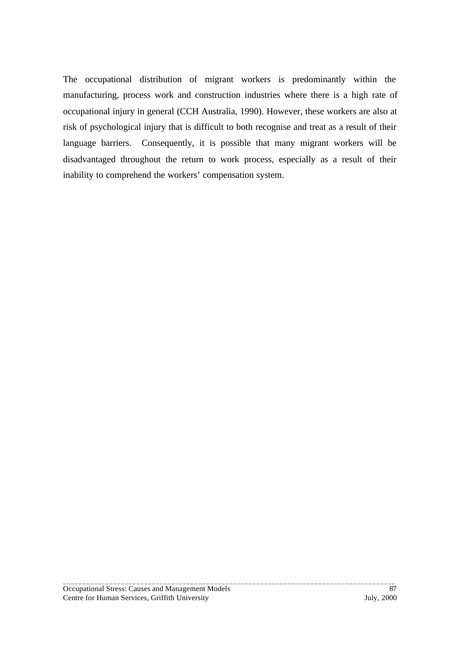The occupational distribution of migrant workers is predominantly within the manufacturing, process work and construction industries where there is a high rate of occupational injury in general (CCH Australia, 1990). However, these workers are also at risk of psychological injury that is difficult to both recognise and treat as a result of their language barriers. Consequently, it is possible that many migrant workers will be disadvantaged throughout the return to work process, especially as a result of their inability to comprehend the workers' compensation system.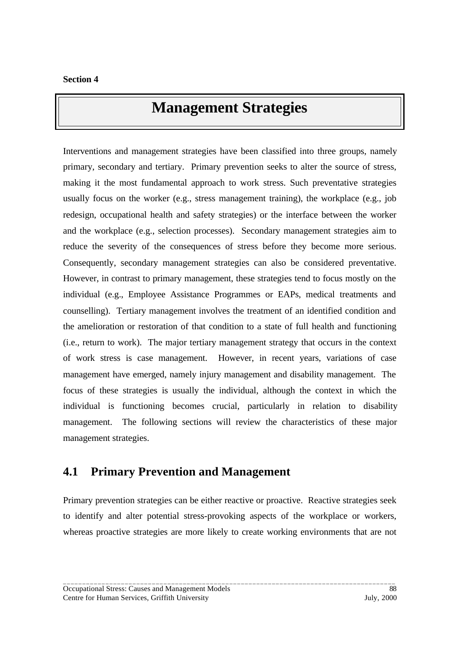# **Management Strategies**

Interventions and management strategies have been classified into three groups, namely primary, secondary and tertiary. Primary prevention seeks to alter the source of stress, making it the most fundamental approach to work stress. Such preventative strategies usually focus on the worker (e.g., stress management training), the workplace (e.g., job redesign, occupational health and safety strategies) or the interface between the worker and the workplace (e.g., selection processes). Secondary management strategies aim to reduce the severity of the consequences of stress before they become more serious. Consequently, secondary management strategies can also be considered preventative. However, in contrast to primary management, these strategies tend to focus mostly on the individual (e.g., Employee Assistance Programmes or EAPs, medical treatments and counselling). Tertiary management involves the treatment of an identified condition and the amelioration or restoration of that condition to a state of full health and functioning (i.e., return to work). The major tertiary management strategy that occurs in the context of work stress is case management. However, in recent years, variations of case management have emerged, namely injury management and disability management. The focus of these strategies is usually the individual, although the context in which the individual is functioning becomes crucial, particularly in relation to disability management. The following sections will review the characteristics of these major management strategies.

# **4.1 Primary Prevention and Management**

Primary prevention strategies can be either reactive or proactive. Reactive strategies seek to identify and alter potential stress-provoking aspects of the workplace or workers, whereas proactive strategies are more likely to create working environments that are not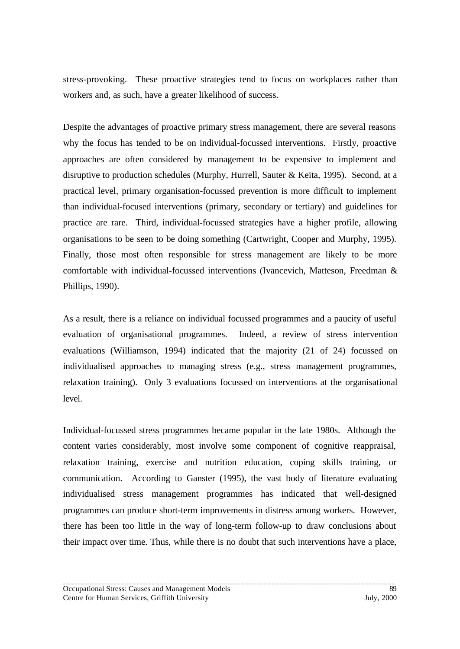stress-provoking. These proactive strategies tend to focus on workplaces rather than workers and, as such, have a greater likelihood of success.

Despite the advantages of proactive primary stress management, there are several reasons why the focus has tended to be on individual-focussed interventions. Firstly, proactive approaches are often considered by management to be expensive to implement and disruptive to production schedules (Murphy, Hurrell, Sauter & Keita, 1995). Second, at a practical level, primary organisation-focussed prevention is more difficult to implement than individual-focused interventions (primary, secondary or tertiary) and guidelines for practice are rare. Third, individual-focussed strategies have a higher profile, allowing organisations to be seen to be doing something (Cartwright, Cooper and Murphy, 1995). Finally, those most often responsible for stress management are likely to be more comfortable with individual-focussed interventions (Ivancevich, Matteson, Freedman & Phillips, 1990).

As a result, there is a reliance on individual focussed programmes and a paucity of useful evaluation of organisational programmes. Indeed, a review of stress intervention evaluations (Williamson, 1994) indicated that the majority (21 of 24) focussed on individualised approaches to managing stress (e.g., stress management programmes, relaxation training). Only 3 evaluations focussed on interventions at the organisational level.

Individual-focussed stress programmes became popular in the late 1980s. Although the content varies considerably, most involve some component of cognitive reappraisal, relaxation training, exercise and nutrition education, coping skills training, or communication. According to Ganster (1995), the vast body of literature evaluating individualised stress management programmes has indicated that well-designed programmes can produce short-term improvements in distress among workers. However, there has been too little in the way of long-term follow-up to draw conclusions about their impact over time. Thus, while there is no doubt that such interventions have a place,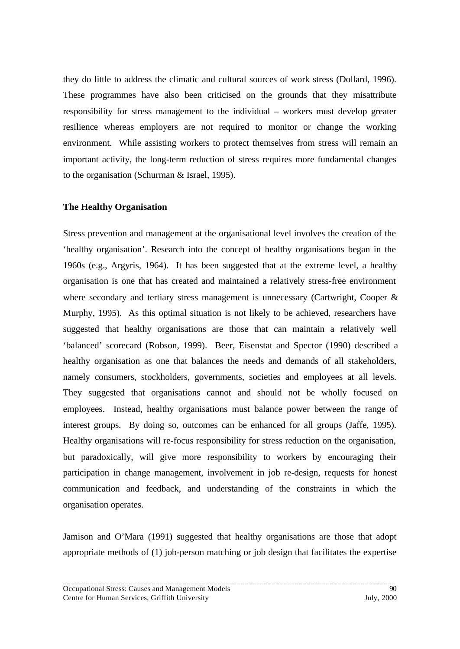they do little to address the climatic and cultural sources of work stress (Dollard, 1996). These programmes have also been criticised on the grounds that they misattribute responsibility for stress management to the individual – workers must develop greater resilience whereas employers are not required to monitor or change the working environment. While assisting workers to protect themselves from stress will remain an important activity, the long-term reduction of stress requires more fundamental changes to the organisation (Schurman & Israel, 1995).

#### **The Healthy Organisation**

Stress prevention and management at the organisational level involves the creation of the 'healthy organisation'. Research into the concept of healthy organisations began in the 1960s (e.g., Argyris, 1964). It has been suggested that at the extreme level, a healthy organisation is one that has created and maintained a relatively stress-free environment where secondary and tertiary stress management is unnecessary (Cartwright, Cooper & Murphy, 1995). As this optimal situation is not likely to be achieved, researchers have suggested that healthy organisations are those that can maintain a relatively well 'balanced' scorecard (Robson, 1999). Beer, Eisenstat and Spector (1990) described a healthy organisation as one that balances the needs and demands of all stakeholders, namely consumers, stockholders, governments, societies and employees at all levels. They suggested that organisations cannot and should not be wholly focused on employees. Instead, healthy organisations must balance power between the range of interest groups. By doing so, outcomes can be enhanced for all groups (Jaffe, 1995). Healthy organisations will re-focus responsibility for stress reduction on the organisation, but paradoxically, will give more responsibility to workers by encouraging their participation in change management, involvement in job re-design, requests for honest communication and feedback, and understanding of the constraints in which the organisation operates.

Jamison and O'Mara (1991) suggested that healthy organisations are those that adopt appropriate methods of (1) job-person matching or job design that facilitates the expertise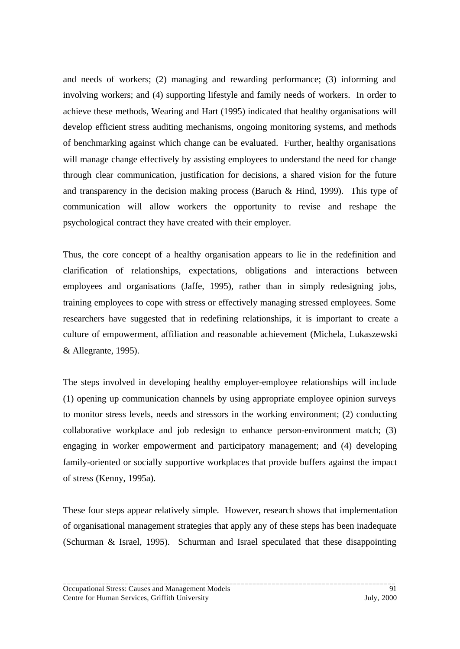and needs of workers; (2) managing and rewarding performance; (3) informing and involving workers; and (4) supporting lifestyle and family needs of workers. In order to achieve these methods, Wearing and Hart (1995) indicated that healthy organisations will develop efficient stress auditing mechanisms, ongoing monitoring systems, and methods of benchmarking against which change can be evaluated. Further, healthy organisations will manage change effectively by assisting employees to understand the need for change through clear communication, justification for decisions, a shared vision for the future and transparency in the decision making process (Baruch & Hind, 1999). This type of communication will allow workers the opportunity to revise and reshape the psychological contract they have created with their employer.

Thus, the core concept of a healthy organisation appears to lie in the redefinition and clarification of relationships, expectations, obligations and interactions between employees and organisations (Jaffe, 1995), rather than in simply redesigning jobs, training employees to cope with stress or effectively managing stressed employees. Some researchers have suggested that in redefining relationships, it is important to create a culture of empowerment, affiliation and reasonable achievement (Michela, Lukaszewski & Allegrante, 1995).

The steps involved in developing healthy employer-employee relationships will include (1) opening up communication channels by using appropriate employee opinion surveys to monitor stress levels, needs and stressors in the working environment; (2) conducting collaborative workplace and job redesign to enhance person-environment match; (3) engaging in worker empowerment and participatory management; and (4) developing family-oriented or socially supportive workplaces that provide buffers against the impact of stress (Kenny, 1995a).

These four steps appear relatively simple. However, research shows that implementation of organisational management strategies that apply any of these steps has been inadequate (Schurman & Israel, 1995). Schurman and Israel speculated that these disappointing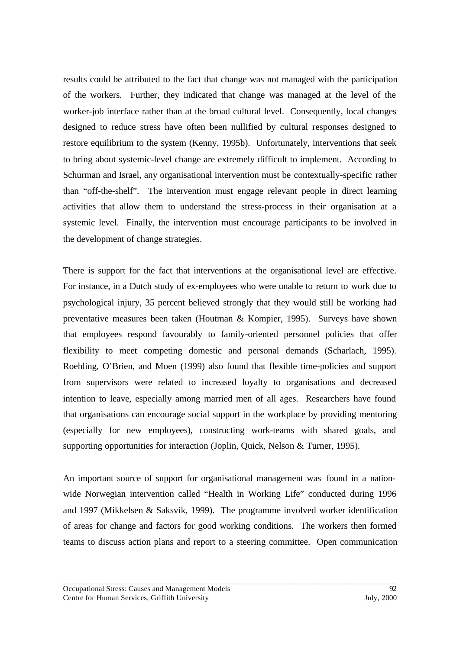results could be attributed to the fact that change was not managed with the participation of the workers. Further, they indicated that change was managed at the level of the worker-job interface rather than at the broad cultural level. Consequently, local changes designed to reduce stress have often been nullified by cultural responses designed to restore equilibrium to the system (Kenny, 1995b). Unfortunately, interventions that seek to bring about systemic-level change are extremely difficult to implement. According to Schurman and Israel, any organisational intervention must be contextually-specific rather than "off-the-shelf". The intervention must engage relevant people in direct learning activities that allow them to understand the stress-process in their organisation at a systemic level. Finally, the intervention must encourage participants to be involved in the development of change strategies.

There is support for the fact that interventions at the organisational level are effective. For instance, in a Dutch study of ex-employees who were unable to return to work due to psychological injury, 35 percent believed strongly that they would still be working had preventative measures been taken (Houtman & Kompier, 1995). Surveys have shown that employees respond favourably to family-oriented personnel policies that offer flexibility to meet competing domestic and personal demands (Scharlach, 1995). Roehling, O'Brien, and Moen (1999) also found that flexible time-policies and support from supervisors were related to increased loyalty to organisations and decreased intention to leave, especially among married men of all ages. Researchers have found that organisations can encourage social support in the workplace by providing mentoring (especially for new employees), constructing work-teams with shared goals, and supporting opportunities for interaction (Joplin, Quick, Nelson & Turner, 1995).

An important source of support for organisational management was found in a nationwide Norwegian intervention called "Health in Working Life" conducted during 1996 and 1997 (Mikkelsen & Saksvik, 1999). The programme involved worker identification of areas for change and factors for good working conditions. The workers then formed teams to discuss action plans and report to a steering committee. Open communication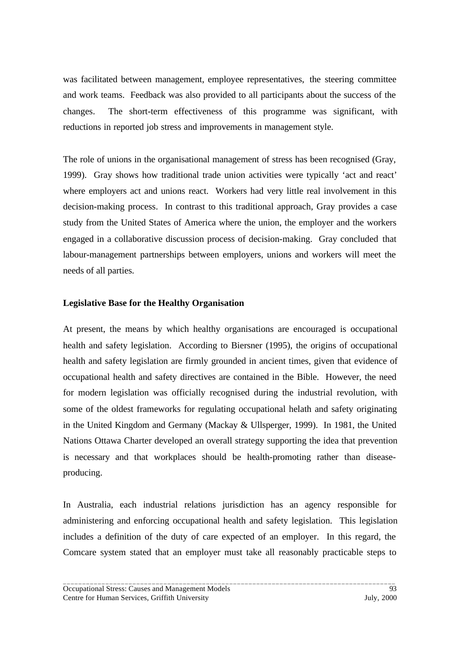was facilitated between management, employee representatives, the steering committee and work teams. Feedback was also provided to all participants about the success of the changes. The short-term effectiveness of this programme was significant, with reductions in reported job stress and improvements in management style.

The role of unions in the organisational management of stress has been recognised (Gray, 1999). Gray shows how traditional trade union activities were typically 'act and react' where employers act and unions react. Workers had very little real involvement in this decision-making process. In contrast to this traditional approach, Gray provides a case study from the United States of America where the union, the employer and the workers engaged in a collaborative discussion process of decision-making. Gray concluded that labour-management partnerships between employers, unions and workers will meet the needs of all parties.

### **Legislative Base for the Healthy Organisation**

At present, the means by which healthy organisations are encouraged is occupational health and safety legislation. According to Biersner (1995), the origins of occupational health and safety legislation are firmly grounded in ancient times, given that evidence of occupational health and safety directives are contained in the Bible. However, the need for modern legislation was officially recognised during the industrial revolution, with some of the oldest frameworks for regulating occupational helath and safety originating in the United Kingdom and Germany (Mackay & Ullsperger, 1999). In 1981, the United Nations Ottawa Charter developed an overall strategy supporting the idea that prevention is necessary and that workplaces should be health-promoting rather than diseaseproducing.

In Australia, each industrial relations jurisdiction has an agency responsible for administering and enforcing occupational health and safety legislation. This legislation includes a definition of the duty of care expected of an employer. In this regard, the Comcare system stated that an employer must take all reasonably practicable steps to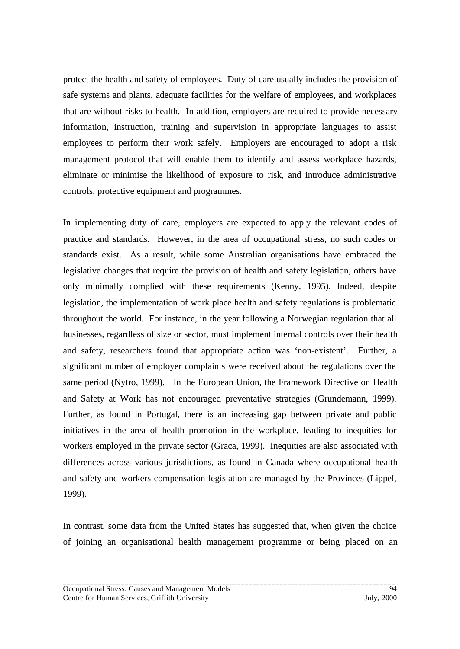protect the health and safety of employees. Duty of care usually includes the provision of safe systems and plants, adequate facilities for the welfare of employees, and workplaces that are without risks to health. In addition, employers are required to provide necessary information, instruction, training and supervision in appropriate languages to assist employees to perform their work safely. Employers are encouraged to adopt a risk management protocol that will enable them to identify and assess workplace hazards, eliminate or minimise the likelihood of exposure to risk, and introduce administrative controls, protective equipment and programmes.

In implementing duty of care, employers are expected to apply the relevant codes of practice and standards. However, in the area of occupational stress, no such codes or standards exist. As a result, while some Australian organisations have embraced the legislative changes that require the provision of health and safety legislation, others have only minimally complied with these requirements (Kenny, 1995). Indeed, despite legislation, the implementation of work place health and safety regulations is problematic throughout the world. For instance, in the year following a Norwegian regulation that all businesses, regardless of size or sector, must implement internal controls over their health and safety, researchers found that appropriate action was 'non-existent'. Further, a significant number of employer complaints were received about the regulations over the same period (Nytro, 1999). In the European Union, the Framework Directive on Health and Safety at Work has not encouraged preventative strategies (Grundemann, 1999). Further, as found in Portugal, there is an increasing gap between private and public initiatives in the area of health promotion in the workplace, leading to inequities for workers employed in the private sector (Graca, 1999). Inequities are also associated with differences across various jurisdictions, as found in Canada where occupational health and safety and workers compensation legislation are managed by the Provinces (Lippel, 1999).

In contrast, some data from the United States has suggested that, when given the choice of joining an organisational health management programme or being placed on an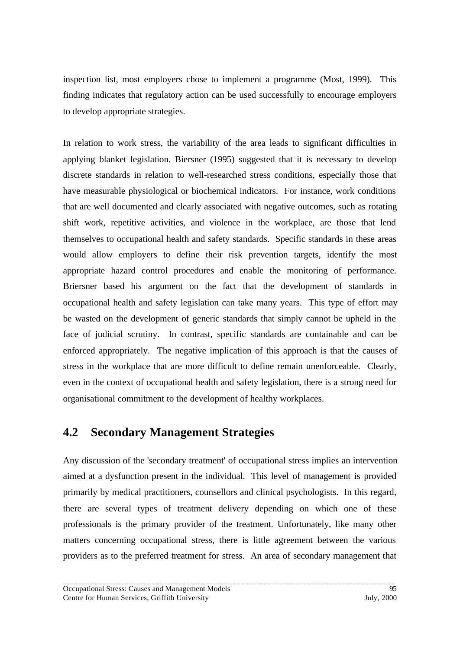inspection list, most employers chose to implement a programme (Most, 1999). This finding indicates that regulatory action can be used successfully to encourage employers to develop appropriate strategies.

In relation to work stress, the variability of the area leads to significant difficulties in applying blanket legislation. Biersner (1995) suggested that it is necessary to develop discrete standards in relation to well-researched stress conditions, especially those that have measurable physiological or biochemical indicators. For instance, work conditions that are well documented and clearly associated with negative outcomes, such as rotating shift work, repetitive activities, and violence in the workplace, are those that lend themselves to occupational health and safety standards. Specific standards in these areas would allow employers to define their risk prevention targets, identify the most appropriate hazard control procedures and enable the monitoring of performance. Briersner based his argument on the fact that the development of standards in occupational health and safety legislation can take many years. This type of effort may be wasted on the development of generic standards that simply cannot be upheld in the face of judicial scrutiny. In contrast, specific standards are containable and can be enforced appropriately. The negative implication of this approach is that the causes of stress in the workplace that are more difficult to define remain unenforceable. Clearly, even in the context of occupational health and safety legislation, there is a strong need for organisational commitment to the development of healthy workplaces.

# **4.2 Secondary Management Strategies**

Any discussion of the 'secondary treatment' of occupational stress implies an intervention aimed at a dysfunction present in the individual. This level of management is provided primarily by medical practitioners, counsellors and clinical psychologists. In this regard, there are several types of treatment delivery depending on which one of these professionals is the primary provider of the treatment. Unfortunately, like many other matters concerning occupational stress, there is little agreement between the various providers as to the preferred treatment for stress. An area of secondary management that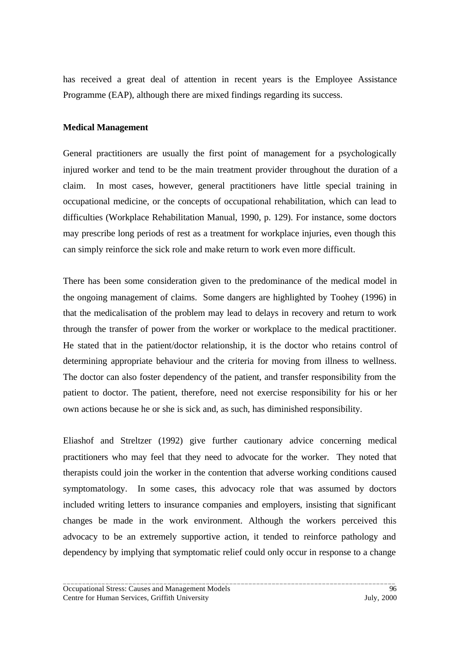has received a great deal of attention in recent years is the Employee Assistance Programme (EAP), although there are mixed findings regarding its success.

#### **Medical Management**

General practitioners are usually the first point of management for a psychologically injured worker and tend to be the main treatment provider throughout the duration of a claim. In most cases, however, general practitioners have little special training in occupational medicine, or the concepts of occupational rehabilitation, which can lead to difficulties (Workplace Rehabilitation Manual, 1990, p. 129). For instance, some doctors may prescribe long periods of rest as a treatment for workplace injuries, even though this can simply reinforce the sick role and make return to work even more difficult.

There has been some consideration given to the predominance of the medical model in the ongoing management of claims. Some dangers are highlighted by Toohey (1996) in that the medicalisation of the problem may lead to delays in recovery and return to work through the transfer of power from the worker or workplace to the medical practitioner. He stated that in the patient/doctor relationship, it is the doctor who retains control of determining appropriate behaviour and the criteria for moving from illness to wellness. The doctor can also foster dependency of the patient, and transfer responsibility from the patient to doctor. The patient, therefore, need not exercise responsibility for his or her own actions because he or she is sick and, as such, has diminished responsibility.

Eliashof and Streltzer (1992) give further cautionary advice concerning medical practitioners who may feel that they need to advocate for the worker. They noted that therapists could join the worker in the contention that adverse working conditions caused symptomatology. In some cases, this advocacy role that was assumed by doctors included writing letters to insurance companies and employers, insisting that significant changes be made in the work environment. Although the workers perceived this advocacy to be an extremely supportive action, it tended to reinforce pathology and dependency by implying that symptomatic relief could only occur in response to a change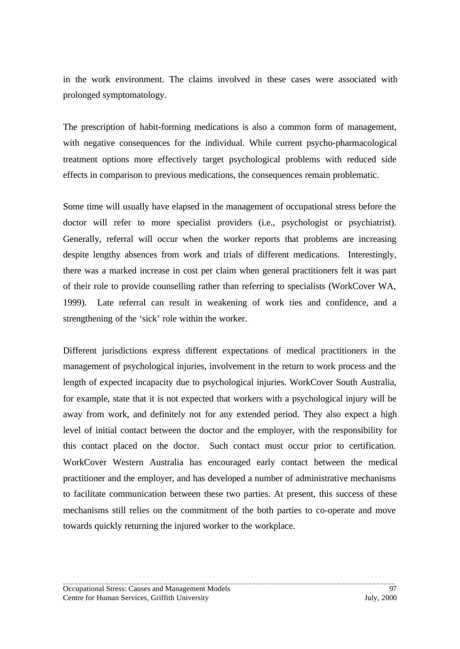in the work environment. The claims involved in these cases were associated with prolonged symptomatology.

The prescription of habit-forming medications is also a common form of management, with negative consequences for the individual. While current psycho-pharmacological treatment options more effectively target psychological problems with reduced side effects in comparison to previous medications, the consequences remain problematic.

Some time will usually have elapsed in the management of occupational stress before the doctor will refer to more specialist providers (i.e., psychologist or psychiatrist). Generally, referral will occur when the worker reports that problems are increasing despite lengthy absences from work and trials of different medications. Interestingly, there was a marked increase in cost per claim when general practitioners felt it was part of their role to provide counselling rather than referring to specialists (WorkCover WA, 1999). Late referral can result in weakening of work ties and confidence, and a strengthening of the 'sick' role within the worker.

Different jurisdictions express different expectations of medical practitioners in the management of psychological injuries, involvement in the return to work process and the length of expected incapacity due to psychological injuries. WorkCover South Australia, for example, state that it is not expected that workers with a psychological injury will be away from work, and definitely not for any extended period. They also expect a high level of initial contact between the doctor and the employer, with the responsibility for this contact placed on the doctor. Such contact must occur prior to certification. WorkCover Western Australia has encouraged early contact between the medical practitioner and the employer, and has developed a number of administrative mechanisms to facilitate communication between these two parties. At present, this success of these mechanisms still relies on the commitment of the both parties to co-operate and move towards quickly returning the injured worker to the workplace.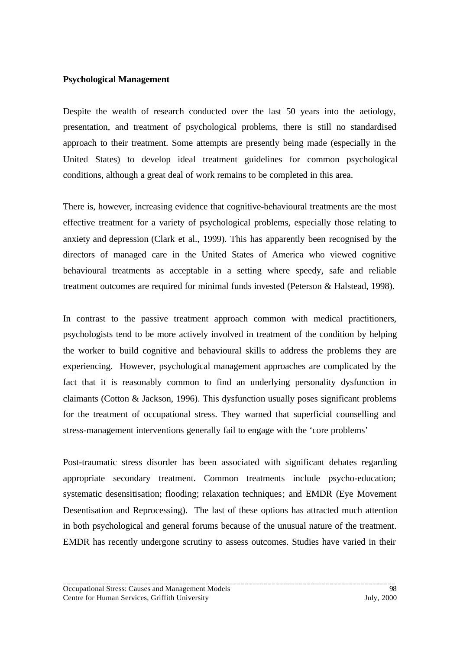#### **Psychological Management**

Despite the wealth of research conducted over the last 50 years into the aetiology, presentation, and treatment of psychological problems, there is still no standardised approach to their treatment. Some attempts are presently being made (especially in the United States) to develop ideal treatment guidelines for common psychological conditions, although a great deal of work remains to be completed in this area.

There is, however, increasing evidence that cognitive-behavioural treatments are the most effective treatment for a variety of psychological problems, especially those relating to anxiety and depression (Clark et al., 1999). This has apparently been recognised by the directors of managed care in the United States of America who viewed cognitive behavioural treatments as acceptable in a setting where speedy, safe and reliable treatment outcomes are required for minimal funds invested (Peterson & Halstead, 1998).

In contrast to the passive treatment approach common with medical practitioners, psychologists tend to be more actively involved in treatment of the condition by helping the worker to build cognitive and behavioural skills to address the problems they are experiencing. However, psychological management approaches are complicated by the fact that it is reasonably common to find an underlying personality dysfunction in claimants (Cotton & Jackson, 1996). This dysfunction usually poses significant problems for the treatment of occupational stress. They warned that superficial counselling and stress-management interventions generally fail to engage with the 'core problems'

Post-traumatic stress disorder has been associated with significant debates regarding appropriate secondary treatment. Common treatments include psycho-education; systematic desensitisation; flooding; relaxation techniques; and EMDR (Eye Movement Desentisation and Reprocessing). The last of these options has attracted much attention in both psychological and general forums because of the unusual nature of the treatment. EMDR has recently undergone scrutiny to assess outcomes. Studies have varied in their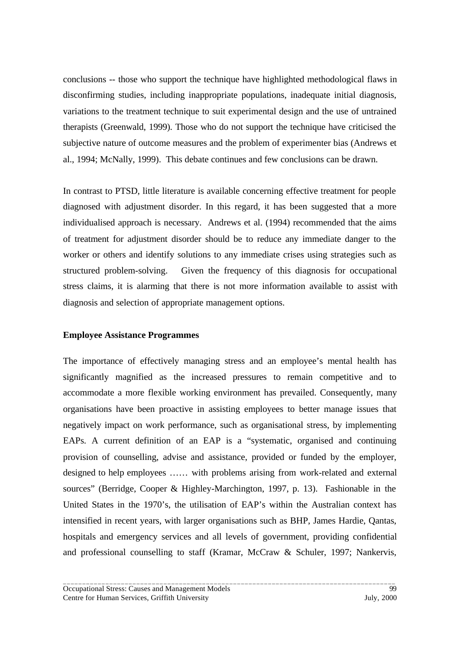conclusions -- those who support the technique have highlighted methodological flaws in disconfirming studies, including inappropriate populations, inadequate initial diagnosis, variations to the treatment technique to suit experimental design and the use of untrained therapists (Greenwald, 1999). Those who do not support the technique have criticised the subjective nature of outcome measures and the problem of experimenter bias (Andrews et al., 1994; McNally, 1999). This debate continues and few conclusions can be drawn.

In contrast to PTSD, little literature is available concerning effective treatment for people diagnosed with adjustment disorder. In this regard, it has been suggested that a more individualised approach is necessary. Andrews et al. (1994) recommended that the aims of treatment for adjustment disorder should be to reduce any immediate danger to the worker or others and identify solutions to any immediate crises using strategies such as structured problem-solving. Given the frequency of this diagnosis for occupational stress claims, it is alarming that there is not more information available to assist with diagnosis and selection of appropriate management options.

#### **Employee Assistance Programmes**

The importance of effectively managing stress and an employee's mental health has significantly magnified as the increased pressures to remain competitive and to accommodate a more flexible working environment has prevailed. Consequently, many organisations have been proactive in assisting employees to better manage issues that negatively impact on work performance, such as organisational stress, by implementing EAPs. A current definition of an EAP is a "systematic, organised and continuing provision of counselling, advise and assistance, provided or funded by the employer, designed to help employees …… with problems arising from work-related and external sources" (Berridge, Cooper & Highley-Marchington, 1997, p. 13). Fashionable in the United States in the 1970's, the utilisation of EAP's within the Australian context has intensified in recent years, with larger organisations such as BHP, James Hardie, Qantas, hospitals and emergency services and all levels of government, providing confidential and professional counselling to staff (Kramar, McCraw & Schuler, 1997; Nankervis,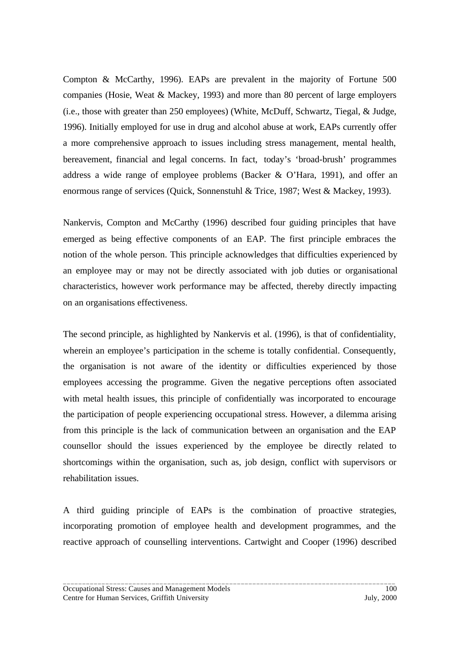Compton & McCarthy, 1996). EAPs are prevalent in the majority of Fortune 500 companies (Hosie, Weat & Mackey, 1993) and more than 80 percent of large employers (i.e., those with greater than 250 employees) (White, McDuff, Schwartz, Tiegal, & Judge, 1996). Initially employed for use in drug and alcohol abuse at work, EAPs currently offer a more comprehensive approach to issues including stress management, mental health, bereavement, financial and legal concerns. In fact, today's 'broad-brush' programmes address a wide range of employee problems (Backer & O'Hara, 1991), and offer an enormous range of services (Quick, Sonnenstuhl & Trice, 1987; West & Mackey, 1993).

Nankervis, Compton and McCarthy (1996) described four guiding principles that have emerged as being effective components of an EAP. The first principle embraces the notion of the whole person. This principle acknowledges that difficulties experienced by an employee may or may not be directly associated with job duties or organisational characteristics, however work performance may be affected, thereby directly impacting on an organisations effectiveness.

The second principle, as highlighted by Nankervis et al. (1996), is that of confidentiality, wherein an employee's participation in the scheme is totally confidential. Consequently, the organisation is not aware of the identity or difficulties experienced by those employees accessing the programme. Given the negative perceptions often associated with metal health issues, this principle of confidentially was incorporated to encourage the participation of people experiencing occupational stress. However, a dilemma arising from this principle is the lack of communication between an organisation and the EAP counsellor should the issues experienced by the employee be directly related to shortcomings within the organisation, such as, job design, conflict with supervisors or rehabilitation issues.

A third guiding principle of EAPs is the combination of proactive strategies, incorporating promotion of employee health and development programmes, and the reactive approach of counselling interventions. Cartwight and Cooper (1996) described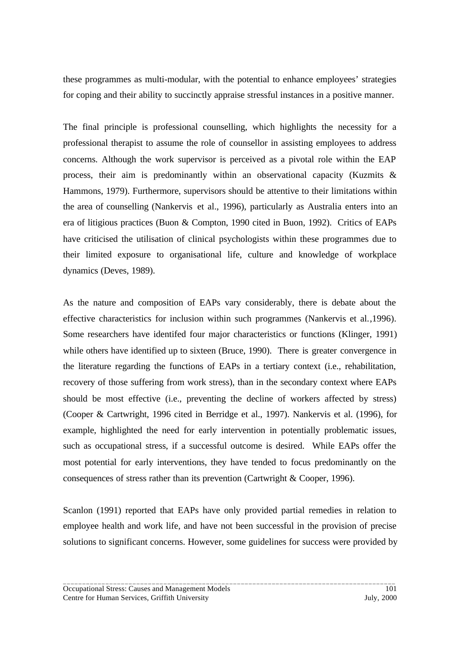these programmes as multi-modular, with the potential to enhance employees' strategies for coping and their ability to succinctly appraise stressful instances in a positive manner.

The final principle is professional counselling, which highlights the necessity for a professional therapist to assume the role of counsellor in assisting employees to address concerns. Although the work supervisor is perceived as a pivotal role within the EAP process, their aim is predominantly within an observational capacity (Kuzmits & Hammons, 1979). Furthermore, supervisors should be attentive to their limitations within the area of counselling (Nankervis et al., 1996), particularly as Australia enters into an era of litigious practices (Buon & Compton, 1990 cited in Buon, 1992). Critics of EAPs have criticised the utilisation of clinical psychologists within these programmes due to their limited exposure to organisational life, culture and knowledge of workplace dynamics (Deves, 1989).

As the nature and composition of EAPs vary considerably, there is debate about the effective characteristics for inclusion within such programmes (Nankervis et al.,1996). Some researchers have identifed four major characteristics or functions (Klinger, 1991) while others have identified up to sixteen (Bruce, 1990). There is greater convergence in the literature regarding the functions of EAPs in a tertiary context (i.e., rehabilitation, recovery of those suffering from work stress), than in the secondary context where EAPs should be most effective (i.e., preventing the decline of workers affected by stress) (Cooper & Cartwright, 1996 cited in Berridge et al., 1997). Nankervis et al. (1996), for example, highlighted the need for early intervention in potentially problematic issues, such as occupational stress, if a successful outcome is desired. While EAPs offer the most potential for early interventions, they have tended to focus predominantly on the consequences of stress rather than its prevention (Cartwright & Cooper, 1996).

Scanlon (1991) reported that EAPs have only provided partial remedies in relation to employee health and work life, and have not been successful in the provision of precise solutions to significant concerns. However, some guidelines for success were provided by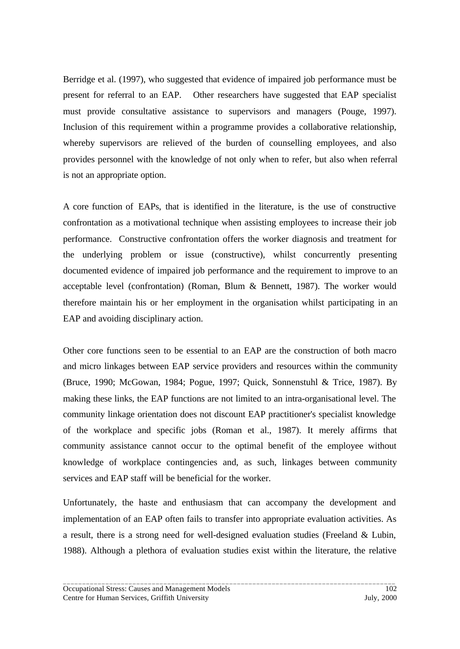Berridge et al. (1997), who suggested that evidence of impaired job performance must be present for referral to an EAP. Other researchers have suggested that EAP specialist must provide consultative assistance to supervisors and managers (Pouge, 1997). Inclusion of this requirement within a programme provides a collaborative relationship, whereby supervisors are relieved of the burden of counselling employees, and also provides personnel with the knowledge of not only when to refer, but also when referral is not an appropriate option.

A core function of EAPs, that is identified in the literature, is the use of constructive confrontation as a motivational technique when assisting employees to increase their job performance. Constructive confrontation offers the worker diagnosis and treatment for the underlying problem or issue (constructive), whilst concurrently presenting documented evidence of impaired job performance and the requirement to improve to an acceptable level (confrontation) (Roman, Blum & Bennett, 1987). The worker would therefore maintain his or her employment in the organisation whilst participating in an EAP and avoiding disciplinary action.

Other core functions seen to be essential to an EAP are the construction of both macro and micro linkages between EAP service providers and resources within the community (Bruce, 1990; McGowan, 1984; Pogue, 1997; Quick, Sonnenstuhl & Trice, 1987). By making these links, the EAP functions are not limited to an intra-organisational level. The community linkage orientation does not discount EAP practitioner's specialist knowledge of the workplace and specific jobs (Roman et al., 1987). It merely affirms that community assistance cannot occur to the optimal benefit of the employee without knowledge of workplace contingencies and, as such, linkages between community services and EAP staff will be beneficial for the worker.

Unfortunately, the haste and enthusiasm that can accompany the development and implementation of an EAP often fails to transfer into appropriate evaluation activities. As a result, there is a strong need for well-designed evaluation studies (Freeland & Lubin, 1988). Although a plethora of evaluation studies exist within the literature, the relative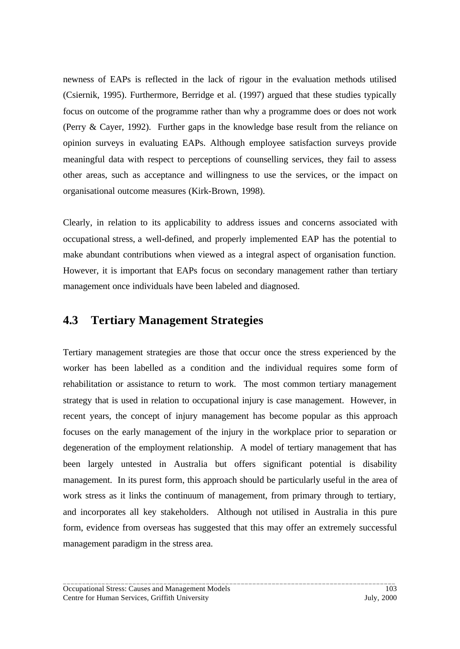newness of EAPs is reflected in the lack of rigour in the evaluation methods utilised (Csiernik, 1995). Furthermore, Berridge et al. (1997) argued that these studies typically focus on outcome of the programme rather than why a programme does or does not work (Perry & Cayer, 1992). Further gaps in the knowledge base result from the reliance on opinion surveys in evaluating EAPs. Although employee satisfaction surveys provide meaningful data with respect to perceptions of counselling services, they fail to assess other areas, such as acceptance and willingness to use the services, or the impact on organisational outcome measures (Kirk-Brown, 1998).

Clearly, in relation to its applicability to address issues and concerns associated with occupational stress, a well-defined, and properly implemented EAP has the potential to make abundant contributions when viewed as a integral aspect of organisation function. However, it is important that EAPs focus on secondary management rather than tertiary management once individuals have been labeled and diagnosed.

### **4.3 Tertiary Management Strategies**

Tertiary management strategies are those that occur once the stress experienced by the worker has been labelled as a condition and the individual requires some form of rehabilitation or assistance to return to work. The most common tertiary management strategy that is used in relation to occupational injury is case management. However, in recent years, the concept of injury management has become popular as this approach focuses on the early management of the injury in the workplace prior to separation or degeneration of the employment relationship. A model of tertiary management that has been largely untested in Australia but offers significant potential is disability management. In its purest form, this approach should be particularly useful in the area of work stress as it links the continuum of management, from primary through to tertiary, and incorporates all key stakeholders. Although not utilised in Australia in this pure form, evidence from overseas has suggested that this may offer an extremely successful management paradigm in the stress area.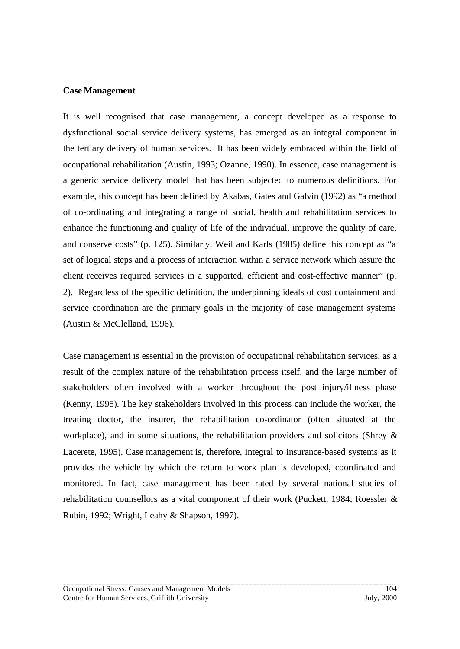#### **Case Management**

It is well recognised that case management, a concept developed as a response to dysfunctional social service delivery systems, has emerged as an integral component in the tertiary delivery of human services. It has been widely embraced within the field of occupational rehabilitation (Austin, 1993; Ozanne, 1990). In essence, case management is a generic service delivery model that has been subjected to numerous definitions. For example, this concept has been defined by Akabas, Gates and Galvin (1992) as "a method of co-ordinating and integrating a range of social, health and rehabilitation services to enhance the functioning and quality of life of the individual, improve the quality of care, and conserve costs" (p. 125). Similarly, Weil and Karls (1985) define this concept as "a set of logical steps and a process of interaction within a service network which assure the client receives required services in a supported, efficient and cost-effective manner" (p. 2). Regardless of the specific definition, the underpinning ideals of cost containment and service coordination are the primary goals in the majority of case management systems (Austin & McClelland, 1996).

Case management is essential in the provision of occupational rehabilitation services, as a result of the complex nature of the rehabilitation process itself, and the large number of stakeholders often involved with a worker throughout the post injury/illness phase (Kenny, 1995). The key stakeholders involved in this process can include the worker, the treating doctor, the insurer, the rehabilitation co-ordinator (often situated at the workplace), and in some situations, the rehabilitation providers and solicitors (Shrey & Lacerete, 1995). Case management is, therefore, integral to insurance-based systems as it provides the vehicle by which the return to work plan is developed, coordinated and monitored. In fact, case management has been rated by several national studies of rehabilitation counsellors as a vital component of their work (Puckett, 1984; Roessler & Rubin, 1992; Wright, Leahy & Shapson, 1997).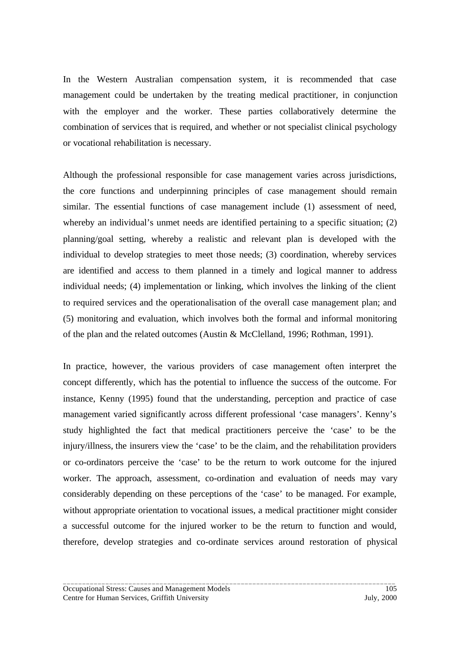In the Western Australian compensation system, it is recommended that case management could be undertaken by the treating medical practitioner, in conjunction with the employer and the worker. These parties collaboratively determine the combination of services that is required, and whether or not specialist clinical psychology or vocational rehabilitation is necessary.

Although the professional responsible for case management varies across jurisdictions, the core functions and underpinning principles of case management should remain similar. The essential functions of case management include (1) assessment of need, whereby an individual's unmet needs are identified pertaining to a specific situation; (2) planning/goal setting, whereby a realistic and relevant plan is developed with the individual to develop strategies to meet those needs; (3) coordination, whereby services are identified and access to them planned in a timely and logical manner to address individual needs; (4) implementation or linking, which involves the linking of the client to required services and the operationalisation of the overall case management plan; and (5) monitoring and evaluation, which involves both the formal and informal monitoring of the plan and the related outcomes (Austin & McClelland, 1996; Rothman, 1991).

In practice, however, the various providers of case management often interpret the concept differently, which has the potential to influence the success of the outcome. For instance, Kenny (1995) found that the understanding, perception and practice of case management varied significantly across different professional 'case managers'. Kenny's study highlighted the fact that medical practitioners perceive the 'case' to be the injury/illness, the insurers view the 'case' to be the claim, and the rehabilitation providers or co-ordinators perceive the 'case' to be the return to work outcome for the injured worker. The approach, assessment, co-ordination and evaluation of needs may vary considerably depending on these perceptions of the 'case' to be managed. For example, without appropriate orientation to vocational issues, a medical practitioner might consider a successful outcome for the injured worker to be the return to function and would, therefore, develop strategies and co-ordinate services around restoration of physical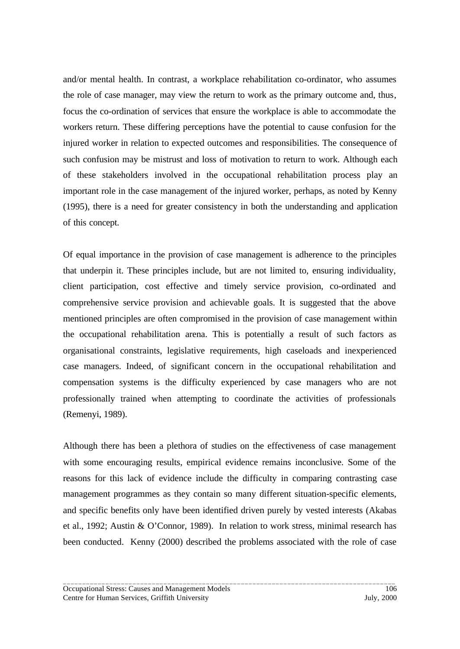and/or mental health. In contrast, a workplace rehabilitation co-ordinator, who assumes the role of case manager, may view the return to work as the primary outcome and, thus, focus the co-ordination of services that ensure the workplace is able to accommodate the workers return. These differing perceptions have the potential to cause confusion for the injured worker in relation to expected outcomes and responsibilities. The consequence of such confusion may be mistrust and loss of motivation to return to work. Although each of these stakeholders involved in the occupational rehabilitation process play an important role in the case management of the injured worker, perhaps, as noted by Kenny (1995), there is a need for greater consistency in both the understanding and application of this concept.

Of equal importance in the provision of case management is adherence to the principles that underpin it. These principles include, but are not limited to, ensuring individuality, client participation, cost effective and timely service provision, co-ordinated and comprehensive service provision and achievable goals. It is suggested that the above mentioned principles are often compromised in the provision of case management within the occupational rehabilitation arena. This is potentially a result of such factors as organisational constraints, legislative requirements, high caseloads and inexperienced case managers. Indeed, of significant concern in the occupational rehabilitation and compensation systems is the difficulty experienced by case managers who are not professionally trained when attempting to coordinate the activities of professionals (Remenyi, 1989).

Although there has been a plethora of studies on the effectiveness of case management with some encouraging results, empirical evidence remains inconclusive. Some of the reasons for this lack of evidence include the difficulty in comparing contrasting case management programmes as they contain so many different situation-specific elements, and specific benefits only have been identified driven purely by vested interests (Akabas et al., 1992; Austin & O'Connor, 1989). In relation to work stress, minimal research has been conducted. Kenny (2000) described the problems associated with the role of case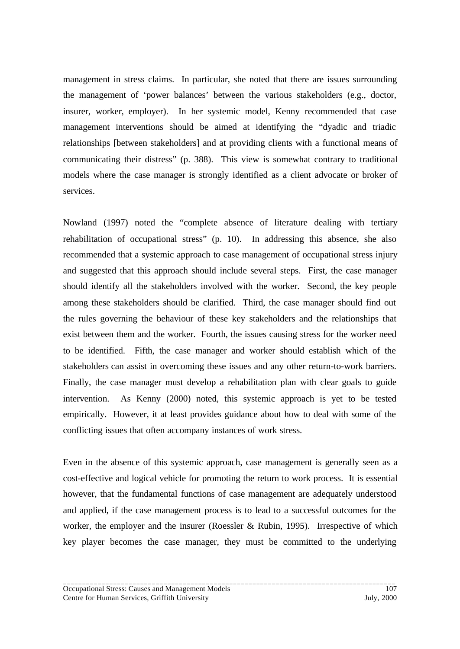management in stress claims. In particular, she noted that there are issues surrounding the management of 'power balances' between the various stakeholders (e.g., doctor, insurer, worker, employer). In her systemic model, Kenny recommended that case management interventions should be aimed at identifying the "dyadic and triadic relationships [between stakeholders] and at providing clients with a functional means of communicating their distress" (p. 388). This view is somewhat contrary to traditional models where the case manager is strongly identified as a client advocate or broker of services.

Nowland (1997) noted the "complete absence of literature dealing with tertiary rehabilitation of occupational stress" (p. 10). In addressing this absence, she also recommended that a systemic approach to case management of occupational stress injury and suggested that this approach should include several steps. First, the case manager should identify all the stakeholders involved with the worker. Second, the key people among these stakeholders should be clarified. Third, the case manager should find out the rules governing the behaviour of these key stakeholders and the relationships that exist between them and the worker. Fourth, the issues causing stress for the worker need to be identified. Fifth, the case manager and worker should establish which of the stakeholders can assist in overcoming these issues and any other return-to-work barriers. Finally, the case manager must develop a rehabilitation plan with clear goals to guide intervention. As Kenny (2000) noted, this systemic approach is yet to be tested empirically. However, it at least provides guidance about how to deal with some of the conflicting issues that often accompany instances of work stress.

Even in the absence of this systemic approach, case management is generally seen as a cost-effective and logical vehicle for promoting the return to work process. It is essential however, that the fundamental functions of case management are adequately understood and applied, if the case management process is to lead to a successful outcomes for the worker, the employer and the insurer (Roessler & Rubin, 1995). Irrespective of which key player becomes the case manager, they must be committed to the underlying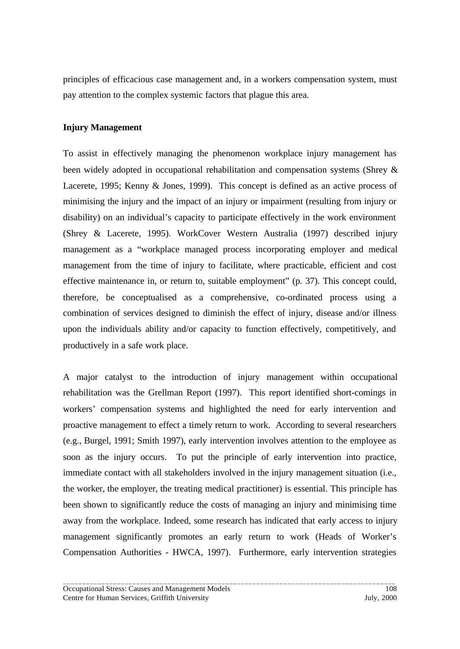principles of efficacious case management and, in a workers compensation system, must pay attention to the complex systemic factors that plague this area.

#### **Injury Management**

To assist in effectively managing the phenomenon workplace injury management has been widely adopted in occupational rehabilitation and compensation systems (Shrey & Lacerete, 1995; Kenny & Jones, 1999). This concept is defined as an active process of minimising the injury and the impact of an injury or impairment (resulting from injury or disability) on an individual's capacity to participate effectively in the work environment (Shrey & Lacerete, 1995). WorkCover Western Australia (1997) described injury management as a "workplace managed process incorporating employer and medical management from the time of injury to facilitate, where practicable, efficient and cost effective maintenance in, or return to, suitable employment" (p. 37). This concept could, therefore, be conceptualised as a comprehensive, co-ordinated process using a combination of services designed to diminish the effect of injury, disease and/or illness upon the individuals ability and/or capacity to function effectively, competitively, and productively in a safe work place.

A major catalyst to the introduction of injury management within occupational rehabilitation was the Grellman Report (1997). This report identified short-comings in workers' compensation systems and highlighted the need for early intervention and proactive management to effect a timely return to work. According to several researchers (e.g., Burgel, 1991; Smith 1997), early intervention involves attention to the employee as soon as the injury occurs. To put the principle of early intervention into practice, immediate contact with all stakeholders involved in the injury management situation (i.e., the worker, the employer, the treating medical practitioner) is essential. This principle has been shown to significantly reduce the costs of managing an injury and minimising time away from the workplace. Indeed, some research has indicated that early access to injury management significantly promotes an early return to work (Heads of Worker's Compensation Authorities - HWCA, 1997). Furthermore, early intervention strategies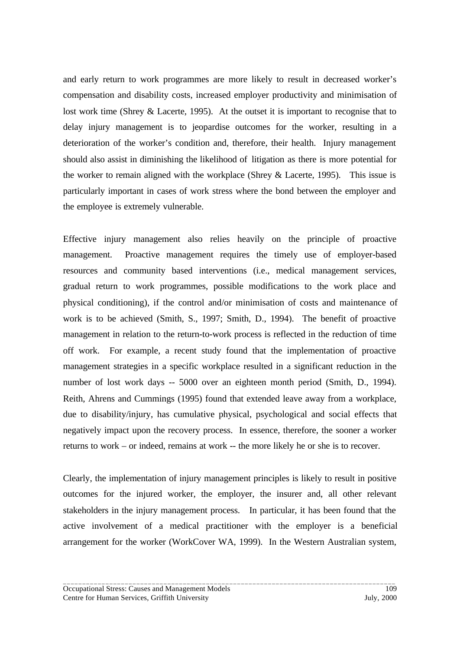and early return to work programmes are more likely to result in decreased worker's compensation and disability costs, increased employer productivity and minimisation of lost work time (Shrey & Lacerte, 1995). At the outset it is important to recognise that to delay injury management is to jeopardise outcomes for the worker, resulting in a deterioration of the worker's condition and, therefore, their health. Injury management should also assist in diminishing the likelihood of litigation as there is more potential for the worker to remain aligned with the workplace (Shrey  $&$  Lacerte, 1995). This issue is particularly important in cases of work stress where the bond between the employer and the employee is extremely vulnerable.

Effective injury management also relies heavily on the principle of proactive management. Proactive management requires the timely use of employer-based resources and community based interventions (i.e., medical management services, gradual return to work programmes, possible modifications to the work place and physical conditioning), if the control and/or minimisation of costs and maintenance of work is to be achieved (Smith, S., 1997; Smith, D., 1994). The benefit of proactive management in relation to the return-to-work process is reflected in the reduction of time off work. For example, a recent study found that the implementation of proactive management strategies in a specific workplace resulted in a significant reduction in the number of lost work days -- 5000 over an eighteen month period (Smith, D., 1994). Reith, Ahrens and Cummings (1995) found that extended leave away from a workplace, due to disability/injury, has cumulative physical, psychological and social effects that negatively impact upon the recovery process. In essence, therefore, the sooner a worker returns to work – or indeed, remains at work -- the more likely he or she is to recover.

Clearly, the implementation of injury management principles is likely to result in positive outcomes for the injured worker, the employer, the insurer and, all other relevant stakeholders in the injury management process. In particular, it has been found that the active involvement of a medical practitioner with the employer is a beneficial arrangement for the worker (WorkCover WA, 1999). In the Western Australian system,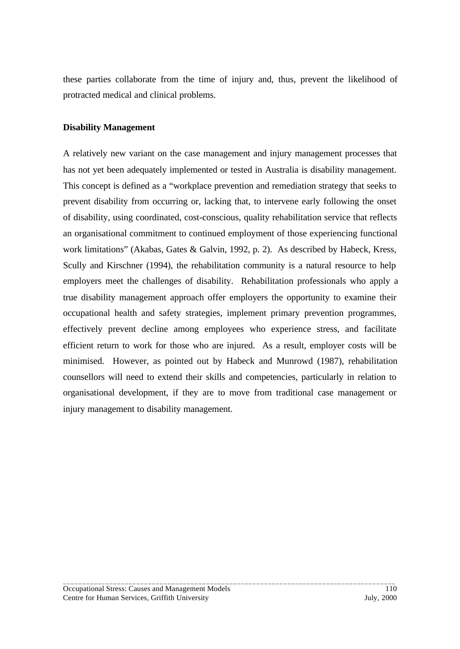these parties collaborate from the time of injury and, thus, prevent the likelihood of protracted medical and clinical problems.

#### **Disability Management**

A relatively new variant on the case management and injury management processes that has not yet been adequately implemented or tested in Australia is disability management. This concept is defined as a "workplace prevention and remediation strategy that seeks to prevent disability from occurring or, lacking that, to intervene early following the onset of disability, using coordinated, cost-conscious, quality rehabilitation service that reflects an organisational commitment to continued employment of those experiencing functional work limitations" (Akabas, Gates & Galvin, 1992, p. 2). As described by Habeck, Kress, Scully and Kirschner (1994), the rehabilitation community is a natural resource to help employers meet the challenges of disability. Rehabilitation professionals who apply a true disability management approach offer employers the opportunity to examine their occupational health and safety strategies, implement primary prevention programmes, effectively prevent decline among employees who experience stress, and facilitate efficient return to work for those who are injured. As a result, employer costs will be minimised. However, as pointed out by Habeck and Munrowd (1987), rehabilitation counsellors will need to extend their skills and competencies, particularly in relation to organisational development, if they are to move from traditional case management or injury management to disability management.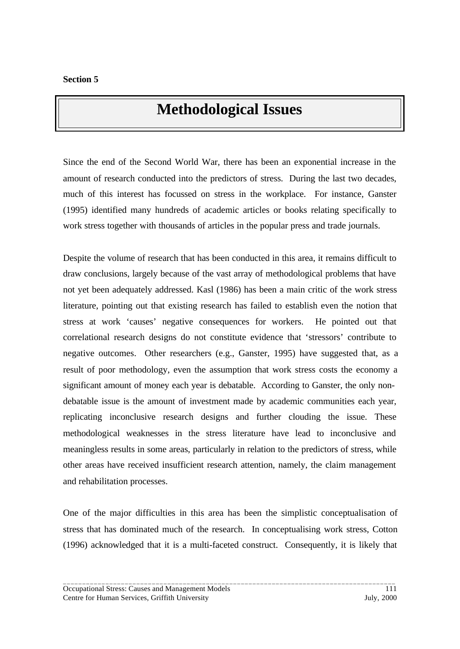# **Methodological Issues**

Since the end of the Second World War, there has been an exponential increase in the amount of research conducted into the predictors of stress. During the last two decades, much of this interest has focussed on stress in the workplace. For instance, Ganster (1995) identified many hundreds of academic articles or books relating specifically to work stress together with thousands of articles in the popular press and trade journals.

Despite the volume of research that has been conducted in this area, it remains difficult to draw conclusions, largely because of the vast array of methodological problems that have not yet been adequately addressed. Kasl (1986) has been a main critic of the work stress literature, pointing out that existing research has failed to establish even the notion that stress at work 'causes' negative consequences for workers. He pointed out that correlational research designs do not constitute evidence that 'stressors' contribute to negative outcomes. Other researchers (e.g., Ganster, 1995) have suggested that, as a result of poor methodology, even the assumption that work stress costs the economy a significant amount of money each year is debatable. According to Ganster, the only nondebatable issue is the amount of investment made by academic communities each year, replicating inconclusive research designs and further clouding the issue. These methodological weaknesses in the stress literature have lead to inconclusive and meaningless results in some areas, particularly in relation to the predictors of stress, while other areas have received insufficient research attention, namely, the claim management and rehabilitation processes.

One of the major difficulties in this area has been the simplistic conceptualisation of stress that has dominated much of the research. In conceptualising work stress, Cotton (1996) acknowledged that it is a multi-faceted construct. Consequently, it is likely that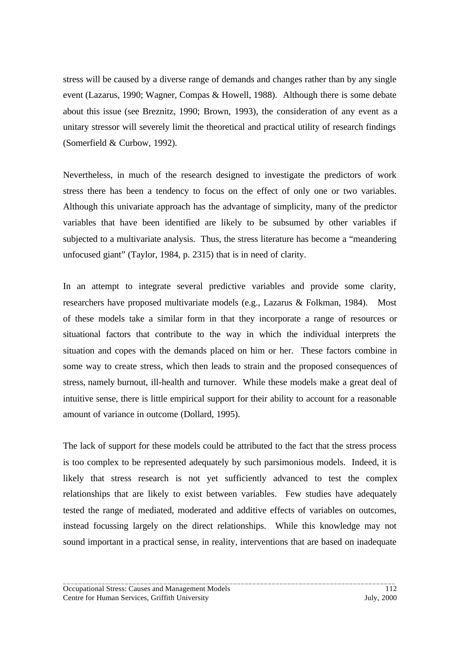stress will be caused by a diverse range of demands and changes rather than by any single event (Lazarus, 1990; Wagner, Compas & Howell, 1988). Although there is some debate about this issue (see Breznitz, 1990; Brown, 1993), the consideration of any event as a unitary stressor will severely limit the theoretical and practical utility of research findings (Somerfield & Curbow, 1992).

Nevertheless, in much of the research designed to investigate the predictors of work stress there has been a tendency to focus on the effect of only one or two variables. Although this univariate approach has the advantage of simplicity, many of the predictor variables that have been identified are likely to be subsumed by other variables if subjected to a multivariate analysis. Thus, the stress literature has become a "meandering unfocused giant" (Taylor, 1984, p. 2315) that is in need of clarity.

In an attempt to integrate several predictive variables and provide some clarity, researchers have proposed multivariate models (e.g., Lazarus & Folkman, 1984). Most of these models take a similar form in that they incorporate a range of resources or situational factors that contribute to the way in which the individual interprets the situation and copes with the demands placed on him or her. These factors combine in some way to create stress, which then leads to strain and the proposed consequences of stress, namely burnout, ill-health and turnover. While these models make a great deal of intuitive sense, there is little empirical support for their ability to account for a reasonable amount of variance in outcome (Dollard, 1995).

The lack of support for these models could be attributed to the fact that the stress process is too complex to be represented adequately by such parsimonious models. Indeed, it is likely that stress research is not yet sufficiently advanced to test the complex relationships that are likely to exist between variables. Few studies have adequately tested the range of mediated, moderated and additive effects of variables on outcomes, instead focussing largely on the direct relationships. While this knowledge may not sound important in a practical sense, in reality, interventions that are based on inadequate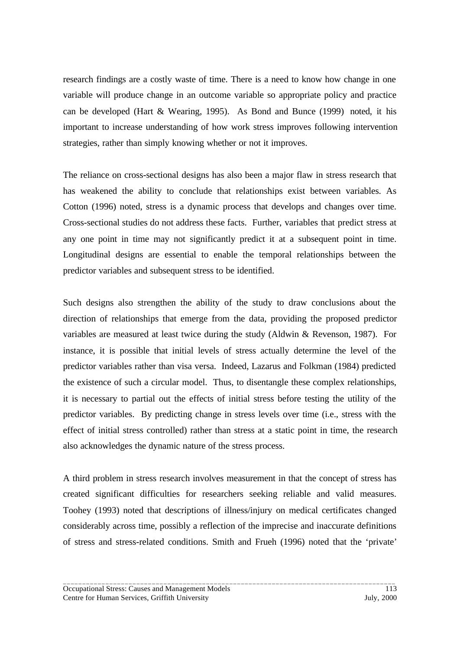research findings are a costly waste of time. There is a need to know how change in one variable will produce change in an outcome variable so appropriate policy and practice can be developed (Hart & Wearing, 1995). As Bond and Bunce (1999) noted, it his important to increase understanding of how work stress improves following intervention strategies, rather than simply knowing whether or not it improves.

The reliance on cross-sectional designs has also been a major flaw in stress research that has weakened the ability to conclude that relationships exist between variables. As Cotton (1996) noted, stress is a dynamic process that develops and changes over time. Cross-sectional studies do not address these facts. Further, variables that predict stress at any one point in time may not significantly predict it at a subsequent point in time. Longitudinal designs are essential to enable the temporal relationships between the predictor variables and subsequent stress to be identified.

Such designs also strengthen the ability of the study to draw conclusions about the direction of relationships that emerge from the data, providing the proposed predictor variables are measured at least twice during the study (Aldwin & Revenson, 1987). For instance, it is possible that initial levels of stress actually determine the level of the predictor variables rather than visa versa. Indeed, Lazarus and Folkman (1984) predicted the existence of such a circular model. Thus, to disentangle these complex relationships, it is necessary to partial out the effects of initial stress before testing the utility of the predictor variables. By predicting change in stress levels over time (i.e., stress with the effect of initial stress controlled) rather than stress at a static point in time, the research also acknowledges the dynamic nature of the stress process.

A third problem in stress research involves measurement in that the concept of stress has created significant difficulties for researchers seeking reliable and valid measures. Toohey (1993) noted that descriptions of illness/injury on medical certificates changed considerably across time, possibly a reflection of the imprecise and inaccurate definitions of stress and stress-related conditions. Smith and Frueh (1996) noted that the 'private'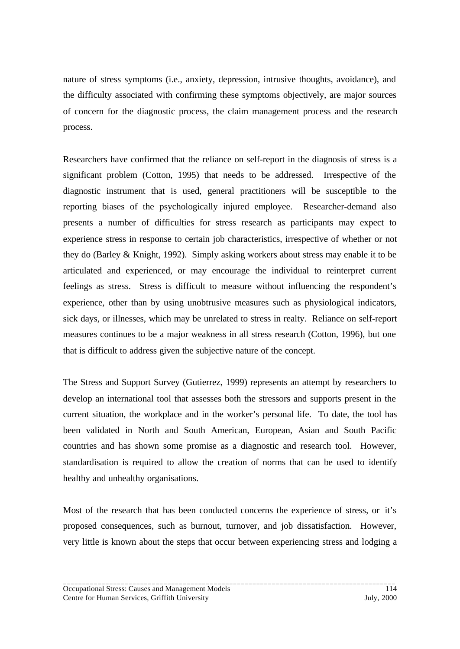nature of stress symptoms (i.e., anxiety, depression, intrusive thoughts, avoidance), and the difficulty associated with confirming these symptoms objectively, are major sources of concern for the diagnostic process, the claim management process and the research process.

Researchers have confirmed that the reliance on self-report in the diagnosis of stress is a significant problem (Cotton, 1995) that needs to be addressed. Irrespective of the diagnostic instrument that is used, general practitioners will be susceptible to the reporting biases of the psychologically injured employee. Researcher-demand also presents a number of difficulties for stress research as participants may expect to experience stress in response to certain job characteristics, irrespective of whether or not they do (Barley & Knight, 1992). Simply asking workers about stress may enable it to be articulated and experienced, or may encourage the individual to reinterpret current feelings as stress. Stress is difficult to measure without influencing the respondent's experience, other than by using unobtrusive measures such as physiological indicators, sick days, or illnesses, which may be unrelated to stress in realty. Reliance on self-report measures continues to be a major weakness in all stress research (Cotton, 1996), but one that is difficult to address given the subjective nature of the concept.

The Stress and Support Survey (Gutierrez, 1999) represents an attempt by researchers to develop an international tool that assesses both the stressors and supports present in the current situation, the workplace and in the worker's personal life. To date, the tool has been validated in North and South American, European, Asian and South Pacific countries and has shown some promise as a diagnostic and research tool. However, standardisation is required to allow the creation of norms that can be used to identify healthy and unhealthy organisations.

Most of the research that has been conducted concerns the experience of stress, or it's proposed consequences, such as burnout, turnover, and job dissatisfaction. However, very little is known about the steps that occur between experiencing stress and lodging a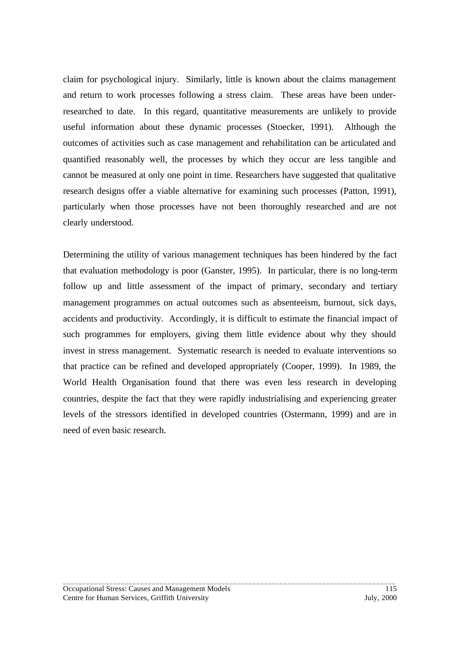claim for psychological injury. Similarly, little is known about the claims management and return to work processes following a stress claim. These areas have been underresearched to date. In this regard, quantitative measurements are unlikely to provide useful information about these dynamic processes (Stoecker, 1991). Although the outcomes of activities such as case management and rehabilitation can be articulated and quantified reasonably well, the processes by which they occur are less tangible and cannot be measured at only one point in time. Researchers have suggested that qualitative research designs offer a viable alternative for examining such processes (Patton, 1991), particularly when those processes have not been thoroughly researched and are not clearly understood.

Determining the utility of various management techniques has been hindered by the fact that evaluation methodology is poor (Ganster, 1995). In particular, there is no long-term follow up and little assessment of the impact of primary, secondary and tertiary management programmes on actual outcomes such as absenteeism, burnout, sick days, accidents and productivity. Accordingly, it is difficult to estimate the financial impact of such programmes for employers, giving them little evidence about why they should invest in stress management. Systematic research is needed to evaluate interventions so that practice can be refined and developed appropriately (Cooper, 1999). In 1989, the World Health Organisation found that there was even less research in developing countries, despite the fact that they were rapidly industrialising and experiencing greater levels of the stressors identified in developed countries (Ostermann, 1999) and are in need of even basic research.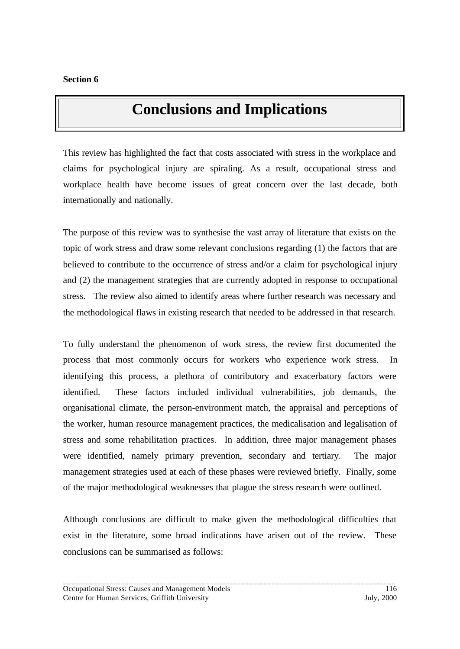## **Conclusions and Implications**

This review has highlighted the fact that costs associated with stress in the workplace and claims for psychological injury are spiraling. As a result, occupational stress and workplace health have become issues of great concern over the last decade, both internationally and nationally.

The purpose of this review was to synthesise the vast array of literature that exists on the topic of work stress and draw some relevant conclusions regarding (1) the factors that are believed to contribute to the occurrence of stress and/or a claim for psychological injury and (2) the management strategies that are currently adopted in response to occupational stress. The review also aimed to identify areas where further research was necessary and the methodological flaws in existing research that needed to be addressed in that research.

To fully understand the phenomenon of work stress, the review first documented the process that most commonly occurs for workers who experience work stress. In identifying this process, a plethora of contributory and exacerbatory factors were identified. These factors included individual vulnerabilities, job demands, the organisational climate, the person-environment match, the appraisal and perceptions of the worker, human resource management practices, the medicalisation and legalisation of stress and some rehabilitation practices. In addition, three major management phases were identified, namely primary prevention, secondary and tertiary. The major management strategies used at each of these phases were reviewed briefly. Finally, some of the major methodological weaknesses that plague the stress research were outlined.

Although conclusions are difficult to make given the methodological difficulties that exist in the literature, some broad indications have arisen out of the review. These conclusions can be summarised as follows: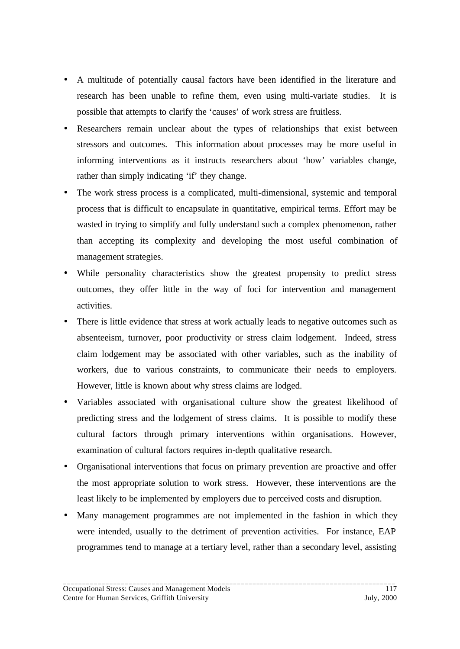- A multitude of potentially causal factors have been identified in the literature and research has been unable to refine them, even using multi-variate studies. It is possible that attempts to clarify the 'causes' of work stress are fruitless.
- Researchers remain unclear about the types of relationships that exist between stressors and outcomes. This information about processes may be more useful in informing interventions as it instructs researchers about 'how' variables change, rather than simply indicating 'if' they change.
- The work stress process is a complicated, multi-dimensional, systemic and temporal process that is difficult to encapsulate in quantitative, empirical terms. Effort may be wasted in trying to simplify and fully understand such a complex phenomenon, rather than accepting its complexity and developing the most useful combination of management strategies.
- While personality characteristics show the greatest propensity to predict stress outcomes, they offer little in the way of foci for intervention and management activities.
- There is little evidence that stress at work actually leads to negative outcomes such as absenteeism, turnover, poor productivity or stress claim lodgement. Indeed, stress claim lodgement may be associated with other variables, such as the inability of workers, due to various constraints, to communicate their needs to employers. However, little is known about why stress claims are lodged.
- Variables associated with organisational culture show the greatest likelihood of predicting stress and the lodgement of stress claims. It is possible to modify these cultural factors through primary interventions within organisations. However, examination of cultural factors requires in-depth qualitative research.
- Organisational interventions that focus on primary prevention are proactive and offer the most appropriate solution to work stress. However, these interventions are the least likely to be implemented by employers due to perceived costs and disruption.
- Many management programmes are not implemented in the fashion in which they were intended, usually to the detriment of prevention activities. For instance, EAP programmes tend to manage at a tertiary level, rather than a secondary level, assisting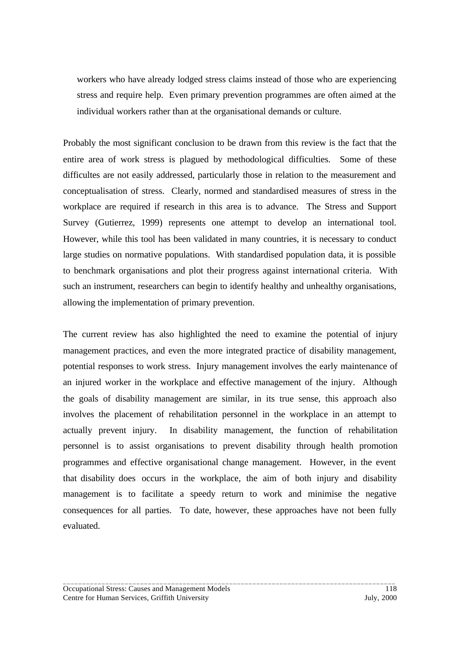workers who have already lodged stress claims instead of those who are experiencing stress and require help. Even primary prevention programmes are often aimed at the individual workers rather than at the organisational demands or culture.

Probably the most significant conclusion to be drawn from this review is the fact that the entire area of work stress is plagued by methodological difficulties. Some of these difficultes are not easily addressed, particularly those in relation to the measurement and conceptualisation of stress. Clearly, normed and standardised measures of stress in the workplace are required if research in this area is to advance. The Stress and Support Survey (Gutierrez, 1999) represents one attempt to develop an international tool. However, while this tool has been validated in many countries, it is necessary to conduct large studies on normative populations. With standardised population data, it is possible to benchmark organisations and plot their progress against international criteria. With such an instrument, researchers can begin to identify healthy and unhealthy organisations, allowing the implementation of primary prevention.

The current review has also highlighted the need to examine the potential of injury management practices, and even the more integrated practice of disability management, potential responses to work stress. Injury management involves the early maintenance of an injured worker in the workplace and effective management of the injury. Although the goals of disability management are similar, in its true sense, this approach also involves the placement of rehabilitation personnel in the workplace in an attempt to actually prevent injury. In disability management, the function of rehabilitation personnel is to assist organisations to prevent disability through health promotion programmes and effective organisational change management. However, in the event that disability does occurs in the workplace, the aim of both injury and disability management is to facilitate a speedy return to work and minimise the negative consequences for all parties. To date, however, these approaches have not been fully evaluated.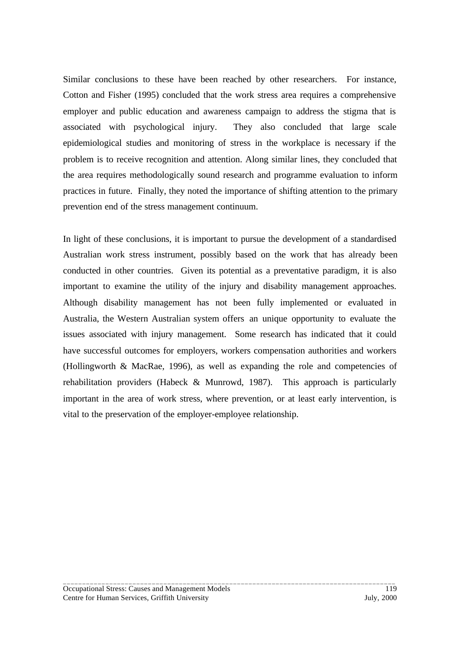Similar conclusions to these have been reached by other researchers. For instance, Cotton and Fisher (1995) concluded that the work stress area requires a comprehensive employer and public education and awareness campaign to address the stigma that is associated with psychological injury. They also concluded that large scale epidemiological studies and monitoring of stress in the workplace is necessary if the problem is to receive recognition and attention. Along similar lines, they concluded that the area requires methodologically sound research and programme evaluation to inform practices in future. Finally, they noted the importance of shifting attention to the primary prevention end of the stress management continuum.

In light of these conclusions, it is important to pursue the development of a standardised Australian work stress instrument, possibly based on the work that has already been conducted in other countries. Given its potential as a preventative paradigm, it is also important to examine the utility of the injury and disability management approaches. Although disability management has not been fully implemented or evaluated in Australia, the Western Australian system offers an unique opportunity to evaluate the issues associated with injury management. Some research has indicated that it could have successful outcomes for employers, workers compensation authorities and workers (Hollingworth & MacRae, 1996), as well as expanding the role and competencies of rehabilitation providers (Habeck & Munrowd, 1987). This approach is particularly important in the area of work stress, where prevention, or at least early intervention, is vital to the preservation of the employer-employee relationship.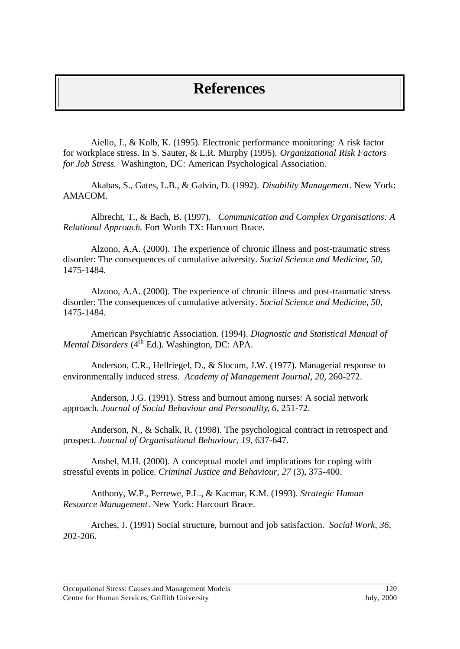### **References**

Aiello, J., & Kolb, K. (1995). Electronic performance monitoring: A risk factor for workplace stress. In S. Sauter, & L.R. Murphy (1995). *Organizational Risk Factors for Job Stress.* Washington, DC: American Psychological Association.

Akabas, S., Gates, L.B., & Galvin, D. (1992). *Disability Management*. New York: AMACOM.

Albrecht, T., & Bach, B. (1997). *Communication and Complex Organisations: A Relational Approach.* Fort Worth TX: Harcourt Brace.

Alzono, A.A. (2000). The experience of chronic illness and post-traumatic stress disorder: The consequences of cumulative adversity. *Social Science and Medicine, 50,* 1475-1484.

Alzono, A.A. (2000). The experience of chronic illness and post-traumatic stress disorder: The consequences of cumulative adversity. *Social Science and Medicine, 50,* 1475-1484.

American Psychiatric Association. (1994). *Diagnostic and Statistical Manual of Mental Disorders* (4<sup>th</sup> Ed.). Washington, DC: APA.

Anderson, C.R., Hellriegel, D., & Slocum, J.W. (1977). Managerial response to environmentally induced stress. *Academy of Management Journal, 20,* 260-272.

Anderson, J.G. (1991). Stress and burnout among nurses: A social network approach. *Journal of Social Behaviour and Personality*, *6*, 251-72.

Anderson, N., & Schalk, R. (1998). The psychological contract in retrospect and prospect. *Journal of Organisational Behaviour, 19,* 637-647.

Anshel, M.H. (2000). A conceptual model and implications for coping with stressful events in police. *Criminal Justice and Behaviour*, *27* (3), 375-400.

Anthony, W.P., Perrewe, P.L., & Kacmar, K.M. (1993). *Strategic Human Resource Management*. New York: Harcourt Brace.

Arches, J. (1991) Social structure, burnout and job satisfaction. *Social Work, 36,* 202-206.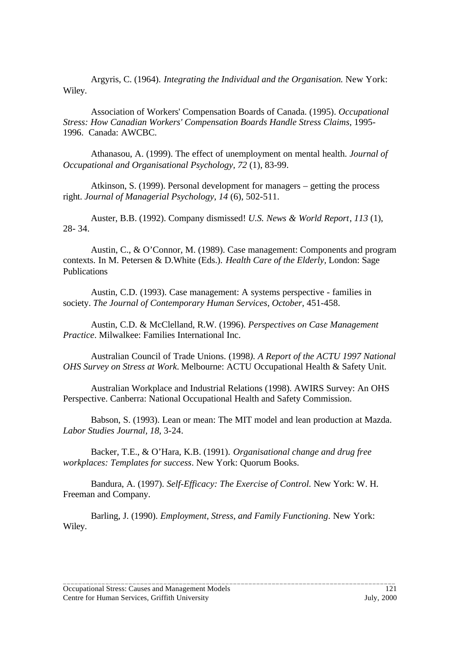Argyris, C. (1964). *Integrating the Individual and the Organisation.* New York: Wiley.

Association of Workers' Compensation Boards of Canada. (1995). *Occupational* **Stress: How Canadian Workers' Compensation Boards Handle Stress Claims, 1995-**1996. Canada: AWCBC.

Athanasou, A. (1999). The effect of unemployment on mental health. *Journal of Occupational and Organisational Psychology, 72* (1), 83-99.

Atkinson, S. (1999). Personal development for managers – getting the process right. *Journal of Managerial Psychology*, *14* (6), 502-511.

Auster, B.B. (1992). Company dismissed! *U.S. News & World Report*, *113* (1), 28- 34.

Austin, C., & O'Connor, M. (1989). Case management: Components and program contexts. In M. Petersen & D.White (Eds.). *Health Care of the Elderly,* London: Sage Publications

Austin, C.D. (1993). Case management: A systems perspective - families in society. *The Journal of Contemporary Human Services*, *October*, 451-458.

Austin, C.D. & McClelland, R.W. (1996). *Perspectives on Case Management Practice*. Milwalkee: Families International Inc.

Australian Council of Trade Unions. (1998*). A Report of the ACTU 1997 National OHS Survey on Stress at Work.* Melbourne: ACTU Occupational Health & Safety Unit.

Australian Workplace and Industrial Relations (1998). AWIRS Survey: An OHS Perspective. Canberra: National Occupational Health and Safety Commission.

Babson, S. (1993). Lean or mean: The MIT model and lean production at Mazda. *Labor Studies Journal, 18,* 3-24.

Backer, T.E., & O'Hara, K.B. (1991). *Organisational change and drug free workplaces: Templates for success*. New York: Quorum Books.

Bandura, A. (1997). *Self-Efficacy: The Exercise of Control.* New York: W. H. Freeman and Company.

Barling, J. (1990). *Employment, Stress, and Family Functioning*. New York: Wiley.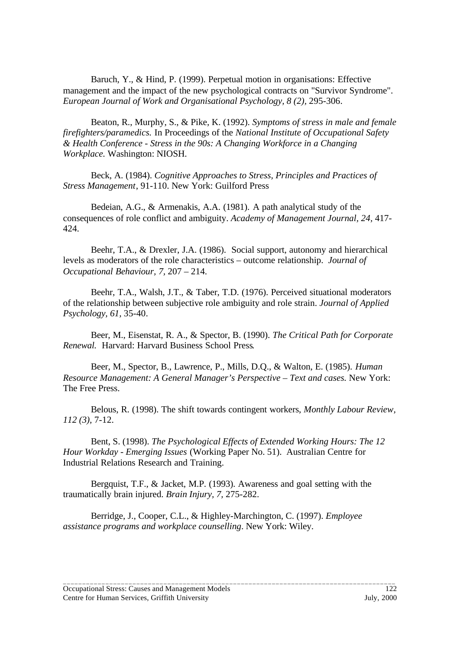Baruch, Y., & Hind, P. (1999). Perpetual motion in organisations: Effective management and the impact of the new psychological contracts on "Survivor Syndrome". *European Journal of Work and Organisational Psychology, 8 (2),* 295-306.

Beaton, R., Murphy, S., & Pike, K. (1992). *Symptoms of stress in male and female firefighters/paramedics.* In Proceedings of the *National Institute of Occupational Safety & Health Conference - Stress in the 90s: A Changing Workforce in a Changing Workplace.* Washington: NIOSH.

Beck, A. (1984). *Cognitive Approaches to Stress, Principles and Practices of Stress Management*, 91-110. New York: Guilford Press

Bedeian, A.G., & Armenakis, A.A. (1981). A path analytical study of the consequences of role conflict and ambiguity. *Academy of Management Journal, 24,* 417- 424.

Beehr, T.A., & Drexler, J.A. (1986). Social support, autonomy and hierarchical levels as moderators of the role characteristics – outcome relationship. *Journal of Occupational Behaviour, 7,* 207 – 214.

Beehr, T.A., Walsh, J.T., & Taber, T.D. (1976). Perceived situational moderators of the relationship between subjective role ambiguity and role strain. *Journal of Applied Psychology, 61,* 35-40.

Beer, M., Eisenstat, R. A., & Spector, B. (1990). *The Critical Path for Corporate Renewal.* Harvard: Harvard Business School Press*.*

Beer, M., Spector, B., Lawrence, P., Mills, D.Q., & Walton, E. (1985). *Human Resource Management: A General Manager's Perspective – Text and cases.* New York: The Free Press.

Belous, R. (1998). The shift towards contingent workers, *Monthly Labour Review, 112 (3),* 7-12.

Bent, S. (1998). *The Psychological Effects of Extended Working Hours: The 12 Hour Workday - Emerging Issues* (Working Paper No. 51).Australian Centre for Industrial Relations Research and Training.

Bergquist, T.F., & Jacket, M.P. (1993). Awareness and goal setting with the traumatically brain injured. *Brain Injury, 7,* 275-282.

Berridge, J., Cooper, C.L., & Highley-Marchington, C. (1997). *Employee assistance programs and workplace counselling*. New York: Wiley.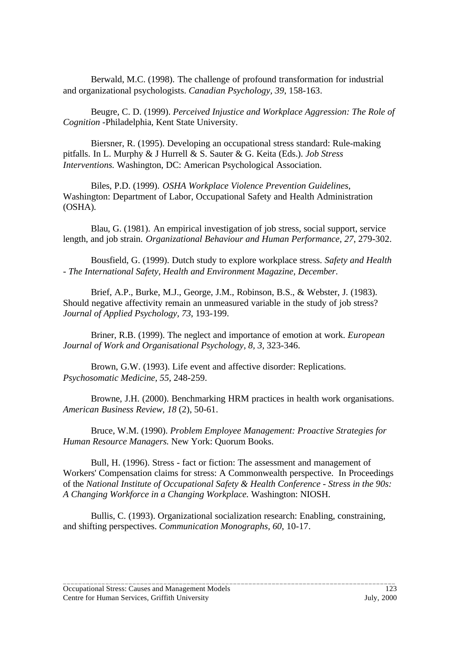Berwald, M.C. (1998). The challenge of profound transformation for industrial and organizational psychologists. *Canadian Psychology, 39*, 158-163.

Beugre, C. D. (1999). *Perceived Injustice and Workplace Aggression: The Role of Cognition* -Philadelphia, Kent State University.

Biersner, R. (1995). Developing an occupational stress standard: Rule-making pitfalls. In L. Murphy & J Hurrell & S. Sauter & G. Keita (Eds.). *Job Stress Interventions.* Washington, DC: American Psychological Association.

Biles, P.D. (1999). *OSHA Workplace Violence Prevention Guidelines*, Washington: Department of Labor, Occupational Safety and Health Administration (OSHA).

Blau, G. (1981). An empirical investigation of job stress, social support, service length, and job strain. *Organizational Behaviour and Human Performance, 27*, 279-302.

Bousfield, G. (1999). Dutch study to explore workplace stress. *Safety and Health - The International Safety, Health and Environment Magazine, December*.

Brief, A.P., Burke, M.J., George, J.M., Robinson, B.S., & Webster, J. (1983). Should negative affectivity remain an unmeasured variable in the study of job stress? *Journal of Applied Psychology, 73*, 193-199.

Briner, R.B. (1999). The neglect and importance of emotion at work. *European Journal of Work and Organisational Psychology, 8, 3,* 323-346.

Brown, G.W. (1993). Life event and affective disorder: Replications. *Psychosomatic Medicine, 55,* 248-259.

Browne, J.H. (2000). Benchmarking HRM practices in health work organisations. *American Business Review, 18* (2), 50-61.

Bruce, W.M. (1990). *Problem Employee Management: Proactive Strategies for Human Resource Managers.* New York: Quorum Books.

Bull, H. (1996). Stress - fact or fiction: The assessment and management of Workers' Compensation claims for stress: A Commonwealth perspective. In Proceedings of the *National Institute of Occupational Safety & Health Conference - Stress in the 90s: A Changing Workforce in a Changing Workplace.* Washington: NIOSH.

Bullis, C. (1993). Organizational socialization research: Enabling, constraining, and shifting perspectives. *Communication Monographs, 60*, 10-17.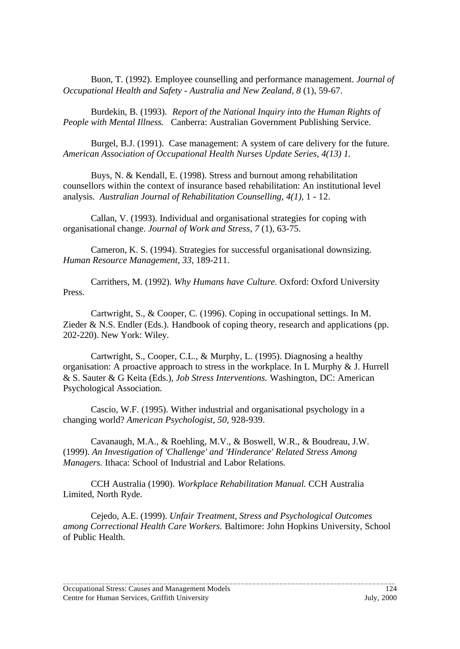Buon, T. (1992). Employee counselling and performance management. *Journal of Occupational Health and Safety - Australia and New Zealand, 8* (1), 59-67.

Burdekin, B. (1993). *Report of the National Inquiry into the Human Rights of People with Mental Illness.* Canberra: Australian Government Publishing Service.

Burgel, B.J. (1991). Case management: A system of care delivery for the future. *American Association of Occupational Health Nurses Update Series, 4(13) 1.*

Buys, N. & Kendall, E. (1998). Stress and burnout among rehabilitation counsellors within the context of insurance based rehabilitation: An institutional level analysis. *Australian Journal of Rehabilitation Counselling, 4(1),* 1 - 12.

Callan, V. (1993). Individual and organisational strategies for coping with organisational change. *Journal of Work and Stress*, *7* (1), 63-75.

Cameron, K. S. (1994). Strategies for successful organisational downsizing. *Human Resource Management, 33,* 189-211.

Carrithers, M. (1992). *Why Humans have Culture.* Oxford: Oxford University Press.

Cartwright, S., & Cooper, C. (1996). Coping in occupational settings. In M. Zieder & N.S. Endler (Eds.). Handbook of coping theory, research and applications (pp. 202-220). New York: Wiley.

Cartwright, S., Cooper, C.L., & Murphy, L. (1995). Diagnosing a healthy organisation: A proactive approach to stress in the workplace. In L Murphy & J. Hurrell & S. Sauter & G Keita (Eds.), *Job Stress Interventions.* Washington, DC: American Psychological Association.

Cascio, W.F. (1995). Wither industrial and organisational psychology in a changing world? *American Psychologist, 50,* 928-939.

Cavanaugh, M.A., & Roehling, M.V., & Boswell, W.R., & Boudreau, J.W. (1999). *An Investigation of 'Challenge' and 'Hinderance' Related Stress Among Managers.* Ithaca: School of Industrial and Labor Relations.

CCH Australia (1990). *Workplace Rehabilitation Manual.* CCH Australia Limited, North Ryde.

Cejedo, A.E. (1999). *Unfair Treatment, Stress and Psychological Outcomes among Correctional Health Care Workers.* Baltimore: John Hopkins University, School of Public Health.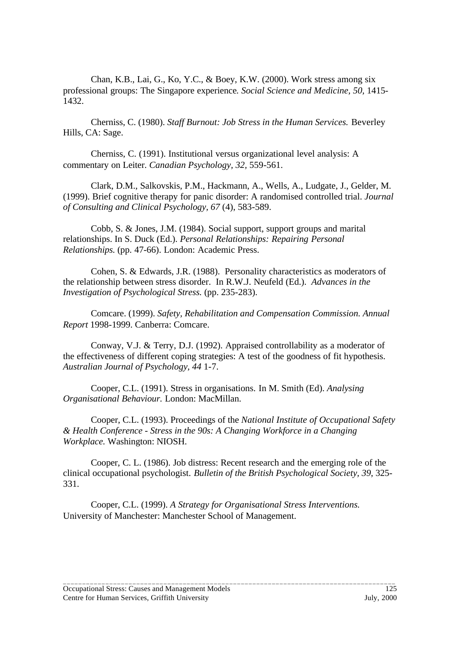Chan, K.B., Lai, G., Ko, Y.C., & Boey, K.W. (2000). Work stress among six professional groups: The Singapore experience*. Social Science and Medicine, 50,* 1415- 1432.

Cherniss, C. (1980). *Staff Burnout: Job Stress in the Human Services.* Beverley Hills, CA: Sage.

Cherniss, C. (1991). Institutional versus organizational level analysis: A commentary on Leiter. *Canadian Psychology, 32,* 559-561.

Clark, D.M., Salkovskis, P.M., Hackmann, A., Wells, A., Ludgate, J., Gelder, M. (1999). Brief cognitive therapy for panic disorder: A randomised controlled trial. *Journal of Consulting and Clinical Psychology, 67* (4), 583-589.

Cobb, S. & Jones, J.M. (1984). Social support, support groups and marital relationships. In S. Duck (Ed.). *Personal Relationships: Repairing Personal Relationships.* (pp. 47-66). London: Academic Press.

Cohen, S. & Edwards, J.R. (1988). Personality characteristics as moderators of the relationship between stress disorder. In R.W.J. Neufeld (Ed.). *Advances in the Investigation of Psychological Stress.* (pp. 235-283).

Comcare. (1999). *Safety, Rehabilitation and Compensation Commission. Annual Report* 1998-1999. Canberra: Comcare.

Conway, V.J. & Terry, D.J. (1992). Appraised controllability as a moderator of the effectiveness of different coping strategies: A test of the goodness of fit hypothesis. *Australian Journal of Psychology, 44* 1-7.

Cooper, C.L. (1991). Stress in organisations. In M. Smith (Ed). *Analysing Organisational Behaviour.* London: MacMillan.

Cooper, C.L. (1993). Proceedings of the *National Institute of Occupational Safety & Health Conference - Stress in the 90s: A Changing Workforce in a Changing Workplace.* Washington: NIOSH.

Cooper, C. L. (1986). Job distress: Recent research and the emerging role of the clinical occupational psychologist. *Bulletin of the British Psychological Society, 39*, 325- 331.

\_\_\_\_\_\_\_\_\_\_\_\_\_\_\_\_\_\_\_\_\_\_\_\_\_\_\_\_\_\_\_\_\_\_\_\_\_\_\_\_\_\_\_\_\_\_\_\_\_\_\_\_\_\_\_\_\_\_\_\_\_\_\_\_\_\_\_\_\_\_\_\_\_\_\_\_\_\_\_\_\_\_\_\_\_\_

Cooper, C.L. (1999). *A Strategy for Organisational Stress Interventions.* University of Manchester: Manchester School of Management.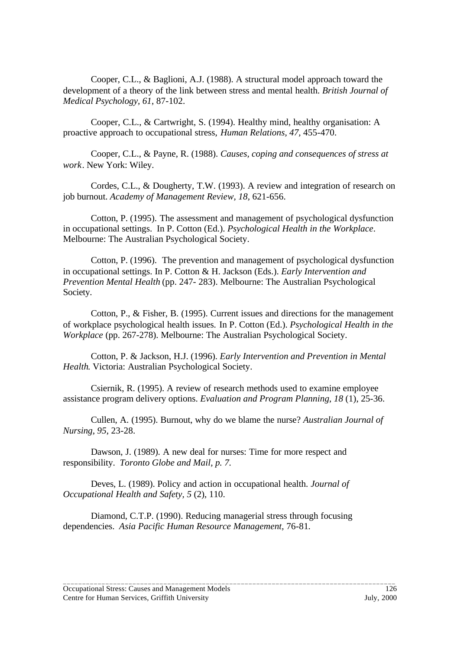Cooper, C.L., & Baglioni, A.J. (1988). A structural model approach toward the development of a theory of the link between stress and mental health. *British Journal of Medical Psychology, 61*, 87-102.

Cooper, C.L., & Cartwright, S. (1994). Healthy mind, healthy organisation: A proactive approach to occupational stress, *Human Relations, 47,* 455-470.

Cooper, C.L., & Payne, R. (1988). *Causes, coping and consequences of stress at work*. New York: Wiley.

Cordes, C.L., & Dougherty, T.W. (1993). A review and integration of research on job burnout. *Academy of Management Review, 18,* 621-656.

Cotton, P. (1995). The assessment and management of psychological dysfunction in occupational settings. In P. Cotton (Ed.). *Psychological Health in the Workplace*. Melbourne: The Australian Psychological Society.

Cotton, P. (1996). The prevention and management of psychological dysfunction in occupational settings. In P. Cotton & H. Jackson (Eds.). *Early Intervention and Prevention Mental Health* (pp. 247- 283). Melbourne: The Australian Psychological Society.

Cotton, P., & Fisher, B. (1995). Current issues and directions for the management of workplace psychological health issues. In P. Cotton (Ed.). *Psychological Health in the Workplace* (pp. 267-278). Melbourne: The Australian Psychological Society.

Cotton, P. & Jackson, H.J. (1996). *Early Intervention and Prevention in Mental Health*. Victoria: Australian Psychological Society.

Csiernik, R. (1995). A review of research methods used to examine employee assistance program delivery options. *Evaluation and Program Planning*, *18* (1), 25-36.

Cullen, A. (1995). Burnout, why do we blame the nurse? *Australian Journal of Nursing*, *95*, 23-28.

Dawson, J. (1989). A new deal for nurses: Time for more respect and responsibility. *Toronto Globe and Mail, p. 7.*

Deves, L. (1989). Policy and action in occupational health. *Journal of Occupational Health and Safety, 5* (2), 110.

Diamond, C.T.P. (1990). Reducing managerial stress through focusing dependencies. *Asia Pacific Human Resource Management,* 76-81*.*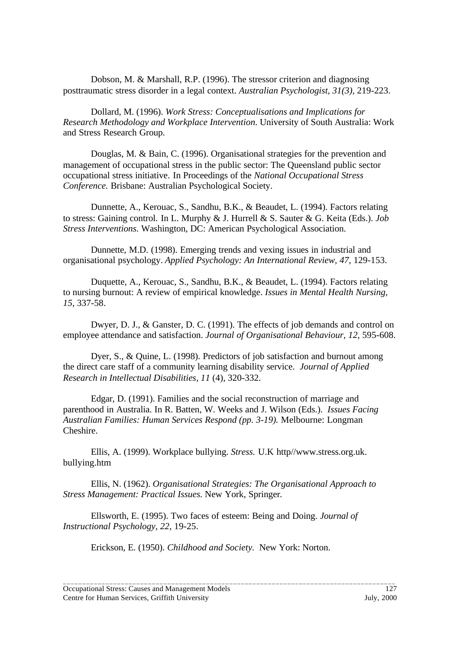Dobson, M. & Marshall, R.P. (1996). The stressor criterion and diagnosing posttraumatic stress disorder in a legal context. *Australian Psychologist, 31(3),* 219-223.

Dollard, M. (1996). *Work Stress: Conceptualisations and Implications for Research Methodology and Workplace Intervention*. University of South Australia: Work and Stress Research Group.

Douglas, M. & Bain, C. (1996). Organisational strategies for the prevention and management of occupational stress in the public sector: The Queensland public sector occupational stress initiative. In Proceedings of the *National Occupational Stress Conference.* Brisbane: Australian Psychological Society.

Dunnette, A., Kerouac, S., Sandhu, B.K., & Beaudet, L. (1994). Factors relating to stress: Gaining control. In L. Murphy & J. Hurrell & S. Sauter & G. Keita (Eds.). *Job Stress Interventions.* Washington, DC: American Psychological Association.

Dunnette, M.D. (1998). Emerging trends and vexing issues in industrial and organisational psychology. *Applied Psychology: An International Review, 47,* 129-153.

Duquette, A., Kerouac, S., Sandhu, B.K., & Beaudet, L. (1994). Factors relating to nursing burnout: A review of empirical knowledge. *Issues in Mental Health Nursing, 15*, 337-58.

Dwyer, D. J., & Ganster, D. C. (1991). The effects of job demands and control on employee attendance and satisfaction. *Journal of Organisational Behaviour, 12,* 595-608.

Dyer, S., & Quine, L. (1998). Predictors of job satisfaction and burnout among the direct care staff of a community learning disability service. *Journal of Applied Research in Intellectual Disabilities, 11* (4), 320-332.

Edgar, D. (1991). Families and the social reconstruction of marriage and parenthood in Australia. In R. Batten, W. Weeks and J. Wilson (Eds.). *Issues Facing Australian Families: Human Services Respond (pp. 3-19).* Melbourne: Longman Cheshire.

Ellis, A. (1999). Workplace bullying. *Stress.* U.K http//www.stress.org.uk. bullying.htm

Ellis, N. (1962). *Organisational Strategies: The Organisational Approach to Stress Management: Practical Issues.* New York, Springer*.*

Ellsworth, E. (1995). Two faces of esteem: Being and Doing. *Journal of Instructional Psychology, 22,* 19-25.

Erickson, E. (1950). *Childhood and Society.* New York: Norton.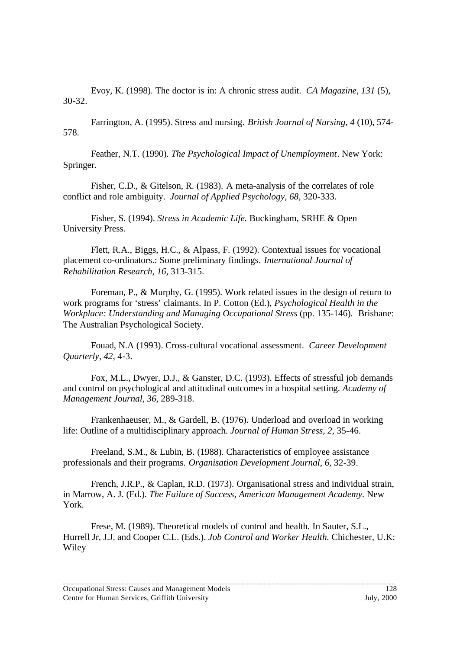Evoy, K. (1998). The doctor is in: A chronic stress audit. *CA Magazine*, *131* (5), 30-32.

Farrington, A. (1995). Stress and nursing. *British Journal of Nursing*, *4* (10), 574- 578.

Feather, N.T. (1990). *The Psychological Impact of Unemployment*. New York: Springer.

Fisher, C.D., & Gitelson, R. (1983). A meta-analysis of the correlates of role conflict and role ambiguity. *Journal of Applied Psychology, 68,* 320-333.

Fisher, S. (1994). *Stress in Academic Life.* Buckingham, SRHE & Open University Press.

Flett, R.A., Biggs, H.C., & Alpass, F. (1992). Contextual issues for vocational placement co-ordinators.: Some preliminary findings. *International Journal of Rehabilitation Research, 16,* 313-315.

Foreman, P., & Murphy, G. (1995). Work related issues in the design of return to work programs for 'stress' claimants. In P. Cotton (Ed.), *Psychological Health in the Workplace: Understanding and Managing Occupational Stress* (pp. 135-146)*.* Brisbane: The Australian Psychological Society.

Fouad, N.A (1993). Cross-cultural vocational assessment*. Career Development Quarterly, 42*, 4-3.

Fox, M.L., Dwyer, D.J., & Ganster, D.C. (1993). Effects of stressful job demands and control on psychological and attitudinal outcomes in a hospital setting. *Academy of Management Journal, 36,* 289-318.

Frankenhaeuser, M., & Gardell, B. (1976). Underload and overload in working life: Outline of a multidisciplinary approach. *Journal of Human Stress, 2,* 35-46.

Freeland, S.M., & Lubin, B. (1988). Characteristics of employee assistance professionals and their programs. *Organisation Development Journal*, *6,* 32-39.

French, J.R.P., & Caplan, R.D. (1973). Organisational stress and individual strain, in Marrow, A. J. (Ed.). *The Failure of Success, American Management Academy.* New York.

Frese, M. (1989). Theoretical models of control and health. In Sauter, S.L., Hurrell Jr, J.J. and Cooper C.L. (Eds.). *Job Control and Worker Health.* Chichester, U.K: Wiley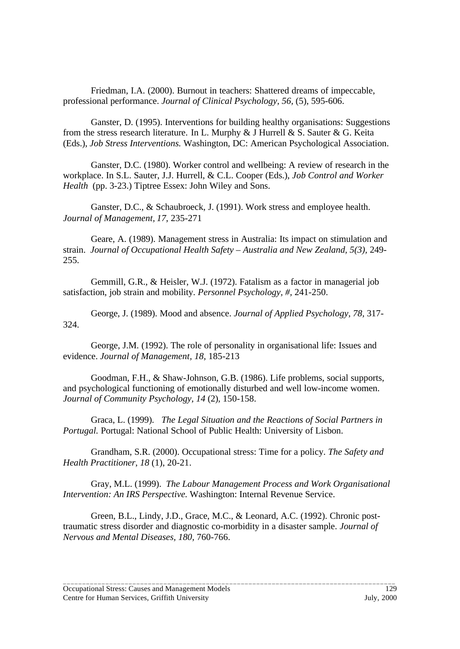Friedman, I.A. (2000). Burnout in teachers: Shattered dreams of impeccable, professional performance. *Journal of Clinical Psychology, 56,* (5), 595-606.

Ganster, D. (1995). Interventions for building healthy organisations: Suggestions from the stress research literature. In L. Murphy & J Hurrell & S. Sauter & G. Keita (Eds.), *Job Stress Interventions.* Washington, DC: American Psychological Association.

Ganster, D.C. (1980). Worker control and wellbeing: A review of research in the workplace. In S.L. Sauter, J.J. Hurrell, & C.L. Cooper (Eds.), *Job Control and Worker Health* (pp. 3-23.) Tiptree Essex: John Wiley and Sons.

Ganster, D.C., & Schaubroeck, J. (1991). Work stress and employee health. *Journal of Management, 17*, 235-271

Geare, A. (1989). Management stress in Australia: Its impact on stimulation and strain. *Journal of Occupational Health Safety – Australia and New Zealand, 5(3),* 249- 255.

Gemmill, G.R., & Heisler, W.J. (1972). Fatalism as a factor in managerial job satisfaction, job strain and mobility. *Personnel Psychology, #,* 241-250.

George, J. (1989). Mood and absence. *Journal of Applied Psychology, 78,* 317- 324.

George, J.M. (1992). The role of personality in organisational life: Issues and evidence. *Journal of Management, 18*, 185-213

Goodman, F.H., & Shaw-Johnson, G.B. (1986). Life problems, social supports, and psychological functioning of emotionally disturbed and well low-income women. *Journal of Community Psychology, 14* (2)*,* 150-158.

Graca, L. (1999). *The Legal Situation and the Reactions of Social Partners in Portugal.* Portugal: National School of Public Health: University of Lisbon.

Grandham, S.R. (2000). Occupational stress: Time for a policy. *The Safety and Health Practitioner*, *18* (1), 20-21.

Gray, M.L. (1999). *The Labour Management Process and Work Organisational Intervention: An IRS Perspective.* Washington: Internal Revenue Service.

Green, B.L., Lindy, J.D., Grace, M.C., & Leonard, A.C. (1992). Chronic posttraumatic stress disorder and diagnostic co-morbidity in a disaster sample. *Journal of Nervous and Mental Diseases, 180,* 760-766.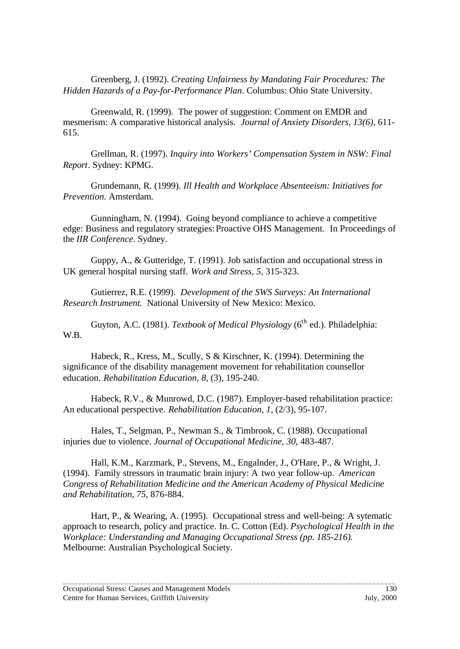Greenberg, J. (1992). *Creating Unfairness by Mandating Fair Procedures: The Hidden Hazards of a Pay-for-Performance Plan*. Columbus: Ohio State University.

Greenwald, R. (1999). The power of suggestion: Comment on EMDR and mesmerism: A comparative historical analysis. *Journal of Anxiety Disorders, 13(6),* 611- 615.

Grellman, R. (1997). *Inquiry into Workers' Compensation System in NSW: Final Report*. Sydney: KPMG.

Grundemann, R. (1999). *Ill Health and Workplace Absenteeism: Initiatives for Prevention.* Amsterdam.

Gunningham, N. (1994). Going beyond compliance to achieve a competitive edge: Business and regulatory strategies:Proactive OHS Management. In Proceedings of the *IIR Conference*. Sydney.

Guppy, A., & Gutteridge, T. (1991). Job satisfaction and occupational stress in UK general hospital nursing staff. *Work and Stress, 5,* 315-323.

Gutierrez, R.E. (1999). *Development of the SWS Surveys: An International Research Instrument.* National University of New Mexico: Mexico.

Guyton, A.C. (1981). *Textbook of Medical Physiology* (6<sup>th</sup> ed.). Philadelphia: W.B.

Habeck, R., Kress, M., Scully, S & Kirschner, K. (1994). Determining the significance of the disability management movement for rehabilitation counsellor education. *Rehabilitation Education, 8,* (3), 195-240.

Habeck, R.V., & Munrowd, D.C. (1987). Employer-based rehabilitation practice: An educational perspective. *Rehabilitation Education, 1,* (2/3), 95-107.

Hales, T., Selgman, P., Newman S., & Timbrook, C. (1988). Occupational injuries due to violence. *Journal of Occupational Medicine, 30*, 483-487.

Hall, K.M., Karzmark, P., Stevens, M., Engalnder, J., O'Hare, P., & Wright, J. (1994). Family stressors in traumatic brain injury: A two year follow-up. *American Congress of Rehabilitation Medicine and the American Academy of Physical Medicine and Rehabilitation, 75,* 876-884.

Hart, P., & Wearing, A. (1995). Occupational stress and well-being: A sytematic approach to research, policy and practice. In. C. Cotton (Ed). *Psychological Health in the Workplace: Understanding and Managing Occupational Stress (pp. 185-216).* Melbourne: Australian Psychological Society.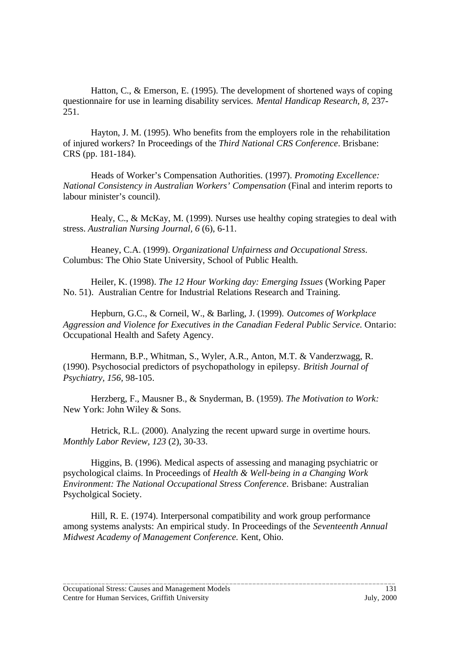Hatton, C., & Emerson, E. (1995). The development of shortened ways of coping questionnaire for use in learning disability services. *Mental Handicap Research, 8,* 237- 251.

Hayton, J. M. (1995). Who benefits from the employers role in the rehabilitation of injured workers? In Proceedings of the *Third National CRS Conference*. Brisbane: CRS (pp. 181-184).

Heads of Worker's Compensation Authorities. (1997). *Promoting Excellence: National Consistency in Australian Workers' Compensation* (Final and interim reports to labour minister's council).

Healy, C., & McKay, M. (1999). Nurses use healthy coping strategies to deal with stress. *Australian Nursing Journal, 6* (6), 6-11.

Heaney, C.A. (1999). *Organizational Unfairness and Occupational Stress*. Columbus: The Ohio State University, School of Public Health.

Heiler, K. (1998). *The 12 Hour Working day: Emerging Issues* (Working Paper No. 51). Australian Centre for Industrial Relations Research and Training.

Hepburn, G.C., & Corneil, W., & Barling, J. (1999). *Outcomes of Workplace Aggression and Violence for Executives in the Canadian Federal Public Service.* Ontario: Occupational Health and Safety Agency.

Hermann, B.P., Whitman, S., Wyler, A.R., Anton, M.T. & Vanderzwagg, R. (1990). Psychosocial predictors of psychopathology in epilepsy. *British Journal of Psychiatry, 156,* 98-105.

Herzberg, F., Mausner B., & Snyderman, B. (1959). *The Motivation to Work:* New York: John Wiley & Sons.

Hetrick, R.L. (2000). Analyzing the recent upward surge in overtime hours. *Monthly Labor Review, 123* (2), 30-33.

Higgins, B. (1996). Medical aspects of assessing and managing psychiatric or psychological claims. In Proceedings of *Health & Well-being in a Changing Work Environment: The National Occupational Stress Conference*. Brisbane: Australian Psycholgical Society.

Hill, R. E. (1974). Interpersonal compatibility and work group performance among systems analysts: An empirical study. In Proceedings of the *Seventeenth Annual Midwest Academy of Management Conference.* Kent, Ohio.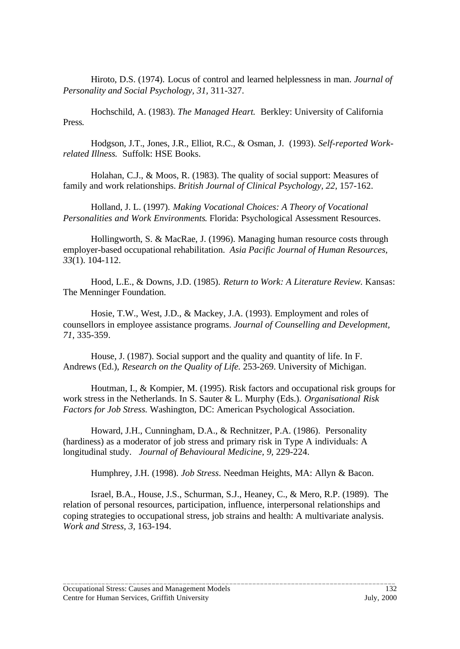Hiroto, D.S. (1974). Locus of control and learned helplessness in man. *Journal of Personality and Social Psychology, 31,* 311-327.

Hochschild, A. (1983). *The Managed Heart.* Berkley: University of California Press*.*

Hodgson, J.T., Jones, J.R., Elliot, R.C., & Osman, J. (1993). *Self-reported Workrelated Illness.* Suffolk: HSE Books.

Holahan, C.J., & Moos, R. (1983). The quality of social support: Measures of family and work relationships. *British Journal of Clinical Psychology, 22,* 157-162.

Holland, J. L. (1997). *Making Vocational Choices: A Theory of Vocational Personalities and Work Environments*. Florida: Psychological Assessment Resources.

Hollingworth, S. & MacRae, J. (1996). Managing human resource costs through employer-based occupational rehabilitation. *Asia Pacific Journal of Human Resources, 33*(1). 104-112.

Hood, L.E., & Downs, J.D. (1985). *Return to Work: A Literature Review.* Kansas: The Menninger Foundation.

Hosie, T.W., West, J.D., & Mackey, J.A. (1993). Employment and roles of counsellors in employee assistance programs. *Journal of Counselling and Development, 71*, 335-359.

House, J. (1987). Social support and the quality and quantity of life. In F. Andrews (Ed.), *Research on the Quality of Life.* 253-269. University of Michigan.

Houtman, I., & Kompier, M. (1995). Risk factors and occupational risk groups for work stress in the Netherlands. In S. Sauter & L. Murphy (Eds.). *Organisational Risk Factors for Job Stress.* Washington, DC: American Psychological Association.

Howard, J.H., Cunningham, D.A., & Rechnitzer, P.A. (1986). Personality (hardiness) as a moderator of job stress and primary risk in Type A individuals: A longitudinal study. *Journal of Behavioural Medicine, 9,* 229-224.

Humphrey, J.H. (1998). *Job Stress*. Needman Heights, MA: Allyn & Bacon.

Israel, B.A., House, J.S., Schurman, S.J., Heaney, C., & Mero, R.P. (1989). The relation of personal resources, participation, influence, interpersonal relationships and coping strategies to occupational stress, job strains and health: A multivariate analysis. *Work and Stress, 3,* 163-194.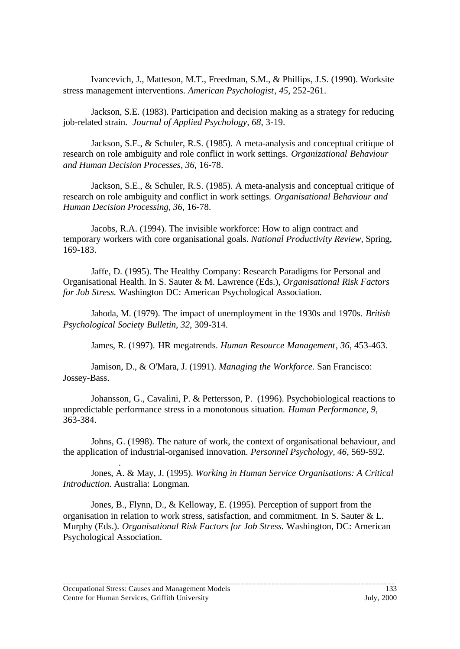Ivancevich, J., Matteson, M.T., Freedman, S.M., & Phillips, J.S. (1990). Worksite stress management interventions. *American Psychologist*, *45*, 252-261.

Jackson, S.E. (1983). Participation and decision making as a strategy for reducing job-related strain. *Journal of Applied Psychology, 68*, 3-19.

Jackson, S.E., & Schuler, R.S. (1985). A meta-analysis and conceptual critique of research on role ambiguity and role conflict in work settings. *Organizational Behaviour and Human Decision Processes, 36*, 16-78.

Jackson, S.E., & Schuler, R.S. (1985). A meta-analysis and conceptual critique of research on role ambiguity and conflict in work settings. *Organisational Behaviour and Human Decision Processing, 36,* 16-78.

Jacobs, R.A. (1994). The invisible workforce: How to align contract and temporary workers with core organisational goals. *National Productivity Review,* Spring, 169-183.

Jaffe, D. (1995). The Healthy Company: Research Paradigms for Personal and Organisational Health. In S. Sauter & M. Lawrence (Eds.), *Organisational Risk Factors for Job Stress.* Washington DC: American Psychological Association.

Jahoda, M. (1979). The impact of unemployment in the 1930s and 1970s. *British Psychological Society Bulletin, 32*, 309-314.

James, R. (1997). HR megatrends. *Human Resource Management*, *36*, 453-463.

Jamison, D., & O'Mara, J. (1991). *Managing the Workforce.* San Francisco: Jossey-Bass.

Johansson, G., Cavalini, P. & Pettersson, P. (1996). Psychobiological reactions to unpredictable performance stress in a monotonous situation. *Human Performance, 9,* 363-384.

Johns, G. (1998). The nature of work, the context of organisational behaviour, and the application of industrial-organised innovation. *Personnel Psychology, 46*, 569-592.

Jones, A. & May, J. (1995). *Working in Human Service Organisations: A Critical Introduction.* Australia: Longman.

Jones, B., Flynn, D., & Kelloway, E. (1995). Perception of support from the organisation in relation to work stress, satisfaction, and commitment. In S. Sauter & L. Murphy (Eds.). *Organisational Risk Factors for Job Stress.* Washington, DC: American Psychological Association.

\_\_\_\_\_\_\_\_\_\_\_\_\_\_\_\_\_\_\_\_\_\_\_\_\_\_\_\_\_\_\_\_\_\_\_\_\_\_\_\_\_\_\_\_\_\_\_\_\_\_\_\_\_\_\_\_\_\_\_\_\_\_\_\_\_\_\_\_\_\_\_\_\_\_\_\_\_\_\_\_\_\_\_\_\_\_

.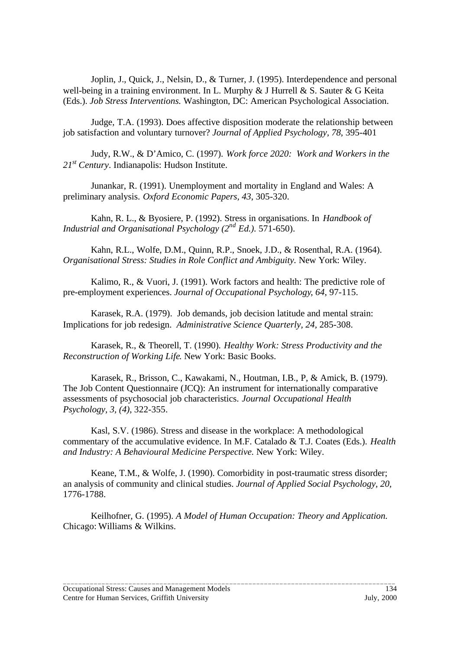Joplin, J., Quick, J., Nelsin, D., & Turner, J. (1995). Interdependence and personal well-being in a training environment. In L. Murphy & J Hurrell & S. Sauter & G Keita (Eds.). *Job Stress Interventions.* Washington, DC: American Psychological Association.

Judge, T.A. (1993). Does affective disposition moderate the relationship between job satisfaction and voluntary turnover? *Journal of Applied Psychology, 78*, 395-401

Judy, R.W., & D'Amico, C. (1997). *Work force 2020: Work and Workers in the 21st Century*. Indianapolis: Hudson Institute.

Junankar, R. (1991). Unemployment and mortality in England and Wales: A preliminary analysis. *Oxford Economic Papers, 43*, 305-320.

Kahn, R. L., & Byosiere, P. (1992). Stress in organisations. In *Handbook of Industrial and Organisational Psychology (2nd Ed.).* 571-650).

Kahn, R.L., Wolfe, D.M., Quinn, R.P., Snoek, J.D., & Rosenthal, R.A. (1964). *Organisational Stress: Studies in Role Conflict and Ambiguity.* New York: Wiley.

Kalimo, R., & Vuori, J. (1991). Work factors and health: The predictive role of pre-employment experiences. *Journal of Occupational Psychology*, *64*, 97-115.

Karasek, R.A. (1979). Job demands, job decision latitude and mental strain: Implications for job redesign. *Administrative Science Quarterly, 24,* 285-308.

Karasek, R., & Theorell, T. (1990). *Healthy Work: Stress Productivity and the Reconstruction of Working Life*. New York: Basic Books.

Karasek, R., Brisson, C., Kawakami, N., Houtman, I.B., P, & Amick, B. (1979). The Job Content Questionnaire (JCQ): An instrument for internationally comparative assessments of psychosocial job characteristics. *Journal Occupational Health Psychology, 3, (4),* 322-355.

Kasl, S.V. (1986). Stress and disease in the workplace: A methodological commentary of the accumulative evidence. In M.F. Catalado & T.J. Coates (Eds.). *Health and Industry: A Behavioural Medicine Perspective.* New York: Wiley.

Keane, T.M., & Wolfe, J. (1990). Comorbidity in post-traumatic stress disorder; an analysis of community and clinical studies. *Journal of Applied Social Psychology, 20,* 1776-1788.

Keilhofner, G. (1995). *A Model of Human Occupation: Theory and Application.* Chicago: Williams & Wilkins.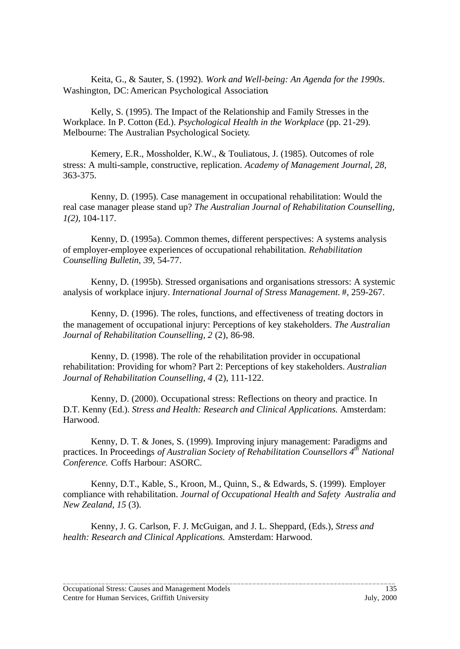Keita, G., & Sauter, S. (1992). *Work and Well-being: An Agenda for the 1990s*. Washington, DC:American Psychological Association*.*

Kelly, S. (1995). The Impact of the Relationship and Family Stresses in the Workplace. In P. Cotton (Ed.). *Psychological Health in the Workplace* (pp. 21-29). Melbourne: The Australian Psychological Society.

Kemery, E.R., Mossholder, K.W., & Touliatous, J. (1985). Outcomes of role stress: A multi-sample, constructive, replication. *Academy of Management Journal, 28,* 363-375.

Kenny, D. (1995). Case management in occupational rehabilitation: Would the real case manager please stand up? *The Australian Journal of Rehabilitation Counselling*, *1(2),* 104-117.

Kenny, D. (1995a). Common themes, different perspectives: A systems analysis of employer-employee experiences of occupational rehabilitation. *Rehabilitation Counselling Bulletin, 39,* 54-77.

Kenny, D. (1995b). Stressed organisations and organisations stressors: A systemic analysis of workplace injury. *International Journal of Stress Management.* #, 259-267.

Kenny, D. (1996). The roles, functions, and effectiveness of treating doctors in the management of occupational injury: Perceptions of key stakeholders. *The Australian Journal of Rehabilitation Counselling, 2* (2), 86-98.

Kenny, D. (1998). The role of the rehabilitation provider in occupational rehabilitation: Providing for whom? Part 2: Perceptions of key stakeholders. *Australian Journal of Rehabilitation Counselling, 4* (2), 111-122.

Kenny, D. (2000). Occupational stress: Reflections on theory and practice. In D.T. Kenny (Ed.). *Stress and Health: Research and Clinical Applications.* Amsterdam: Harwood.

Kenny, D. T. & Jones, S. (1999). Improving injury management: Paradigms and practices. In Proceedings *of Australian Society of Rehabilitation Counsellors 4th National Conference.* Coffs Harbour: ASORC.

Kenny, D.T., Kable, S., Kroon, M., Quinn, S., & Edwards, S. (1999). Employer compliance with rehabilitation. *Journal of Occupational Health and Safety Australia and New Zealand, 15* (3).

\_\_\_\_\_\_\_\_\_\_\_\_\_\_\_\_\_\_\_\_\_\_\_\_\_\_\_\_\_\_\_\_\_\_\_\_\_\_\_\_\_\_\_\_\_\_\_\_\_\_\_\_\_\_\_\_\_\_\_\_\_\_\_\_\_\_\_\_\_\_\_\_\_\_\_\_\_\_\_\_\_\_\_\_\_\_

Kenny, J. G. Carlson, F. J. McGuigan, and J. L. Sheppard, (Eds.), *Stress and health: Research and Clinical Applications.* Amsterdam: Harwood.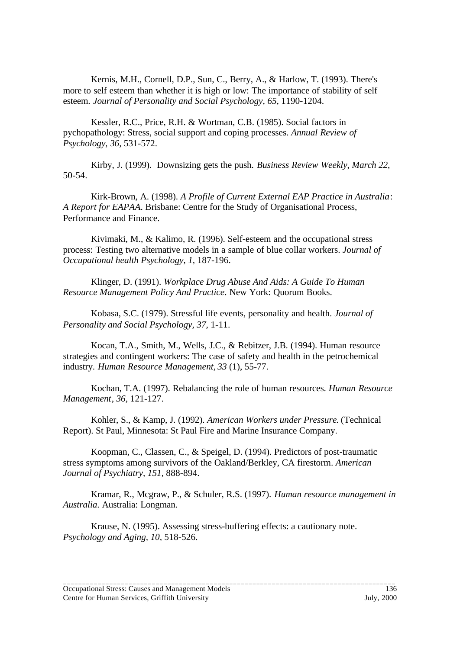Kernis, M.H., Cornell, D.P., Sun, C., Berry, A., & Harlow, T. (1993). There's more to self esteem than whether it is high or low: The importance of stability of self esteem. *Journal of Personality and Social Psychology, 65,* 1190-1204.

Kessler, R.C., Price, R.H. & Wortman, C.B. (1985). Social factors in pychopathology: Stress, social support and coping processes. *Annual Review of Psychology, 36,* 531-572.

Kirby, J. (1999). Downsizing gets the push. *Business Review Weekly*, *March 22*, 50-54.

Kirk-Brown, A. (1998). *A Profile of Current External EAP Practice in Australia*: *A Report for EAPAA*. Brisbane: Centre for the Study of Organisational Process, Performance and Finance.

Kivimaki, M., & Kalimo, R. (1996). Self-esteem and the occupational stress process: Testing two alternative models in a sample of blue collar workers. *Journal of Occupational health Psychology, 1,* 187-196.

Klinger, D. (1991). *Workplace Drug Abuse And Aids: A Guide To Human Resource Management Policy And Practice*. New York: Quorum Books.

Kobasa, S.C. (1979). Stressful life events, personality and health. *Journal of Personality and Social Psychology, 37,* 1-11.

Kocan, T.A., Smith, M., Wells, J.C., & Rebitzer, J.B. (1994). Human resource strategies and contingent workers: The case of safety and health in the petrochemical industry. *Human Resource Management, 33* (1), 55-77.

Kochan, T.A. (1997). Rebalancing the role of human resources. *Human Resource Management*, *36*, 121-127.

Kohler, S., & Kamp, J. (1992). *American Workers under Pressure*. (Technical Report). St Paul, Minnesota: St Paul Fire and Marine Insurance Company.

Koopman, C., Classen, C., & Speigel, D. (1994). Predictors of post-traumatic stress symptoms among survivors of the Oakland/Berkley, CA firestorm. *American Journal of Psychiatry, 151,* 888-894.

Kramar, R., Mcgraw, P., & Schuler, R.S. (1997). *Human resource management in Australia*. Australia: Longman.

\_\_\_\_\_\_\_\_\_\_\_\_\_\_\_\_\_\_\_\_\_\_\_\_\_\_\_\_\_\_\_\_\_\_\_\_\_\_\_\_\_\_\_\_\_\_\_\_\_\_\_\_\_\_\_\_\_\_\_\_\_\_\_\_\_\_\_\_\_\_\_\_\_\_\_\_\_\_\_\_\_\_\_\_\_\_

Krause, N. (1995). Assessing stress-buffering effects: a cautionary note. *Psychology and Aging, 10,* 518-526.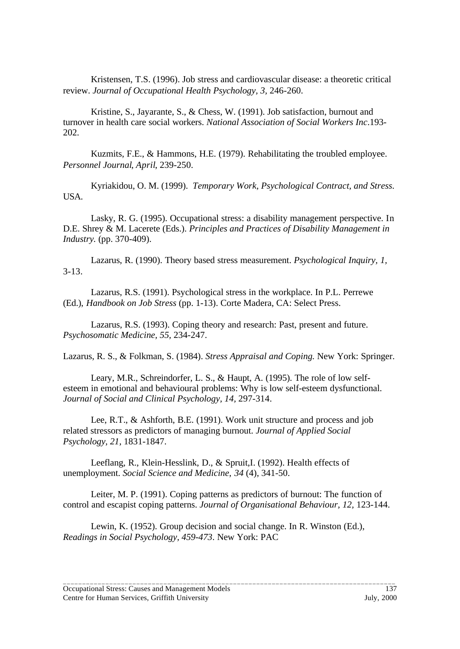Kristensen, T.S. (1996). Job stress and cardiovascular disease: a theoretic critical review. *Journal of Occupational Health Psychology, 3,* 246-260.

Kristine, S., Jayarante, S., & Chess, W. (1991). Job satisfaction, burnout and turnover in health care social workers. *National Association of Social Workers Inc*.193- 202.

Kuzmits, F.E., & Hammons, H.E. (1979). Rehabilitating the troubled employee. *Personnel Journal*, *April*, 239-250.

Kyriakidou, O. M. (1999). *Temporary Work, Psychological Contract, and Stress.* USA.

Lasky, R. G. (1995). Occupational stress: a disability management perspective. In D.E. Shrey & M. Lacerete (Eds.). *Principles and Practices of Disability Management in Industry.* (pp. 370-409).

Lazarus, R. (1990). Theory based stress measurement. *Psychological Inquiry, 1,* 3-13.

Lazarus, R.S. (1991). Psychological stress in the workplace. In P.L. Perrewe (Ed.), *Handbook on Job Stress* (pp. 1-13). Corte Madera, CA: Select Press.

Lazarus, R.S. (1993). Coping theory and research: Past, present and future. *Psychosomatic Medicine, 55,* 234-247.

Lazarus, R. S., & Folkman, S. (1984). *Stress Appraisal and Coping.* New York: Springer.

Leary, M.R., Schreindorfer, L. S., & Haupt, A. (1995). The role of low selfesteem in emotional and behavioural problems: Why is low self-esteem dysfunctional. *Journal of Social and Clinical Psychology, 14,* 297-314.

Lee, R.T., & Ashforth, B.E. (1991). Work unit structure and process and job related stressors as predictors of managing burnout. *Journal of Applied Social Psychology, 21,* 1831-1847.

Leeflang, R., Klein-Hesslink, D., & Spruit,I. (1992). Health effects of unemployment. *Social Science and Medicine*, *34* (4), 341-50.

Leiter, M. P. (1991). Coping patterns as predictors of burnout: The function of control and escapist coping patterns. *Journal of Organisational Behaviour, 12,* 123-144.

\_\_\_\_\_\_\_\_\_\_\_\_\_\_\_\_\_\_\_\_\_\_\_\_\_\_\_\_\_\_\_\_\_\_\_\_\_\_\_\_\_\_\_\_\_\_\_\_\_\_\_\_\_\_\_\_\_\_\_\_\_\_\_\_\_\_\_\_\_\_\_\_\_\_\_\_\_\_\_\_\_\_\_\_\_\_

Lewin, K. (1952). Group decision and social change. In R. Winston (Ed.), *Readings in Social Psychology, 459-473*. New York: PAC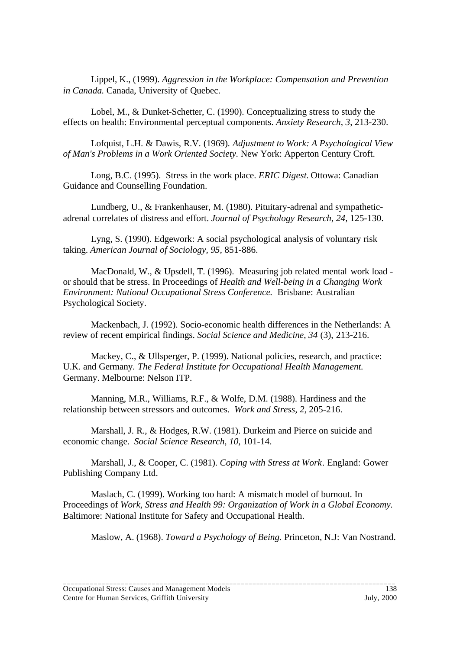Lippel, K., (1999). *Aggression in the Workplace: Compensation and Prevention in Canada.* Canada, University of Quebec.

Lobel, M., & Dunket-Schetter, C. (1990). Conceptualizing stress to study the effects on health: Environmental perceptual components. *Anxiety Research*, *3*, 213-230.

Lofquist, L.H. & Dawis, R.V. (1969). *Adjustment to Work: A Psychological View of Man's Problems in a Work Oriented Society.* New York: Apperton Century Croft.

Long, B.C. (1995). Stress in the work place. *ERIC Digest.* Ottowa: Canadian Guidance and Counselling Foundation.

Lundberg, U., & Frankenhauser, M. (1980). Pituitary-adrenal and sympatheticadrenal correlates of distress and effort. *Journal of Psychology Research, 24,* 125-130.

Lyng, S. (1990). Edgework: A social psychological analysis of voluntary risk taking. *American Journal of Sociology, 95,* 851-886.

MacDonald, W., & Upsdell, T. (1996). Measuring job related mental work load or should that be stress. In Proceedings of *Health and Well-being in a Changing Work Environment: National Occupational Stress Conference.* Brisbane: Australian Psychological Society.

Mackenbach, J. (1992). Socio-economic health differences in the Netherlands: A review of recent empirical findings. *Social Science and Medicine*, *34* (3), 213-216.

Mackey, C., & Ullsperger, P. (1999). National policies, research, and practice: U.K. and Germany. *The Federal Institute for Occupational Health Management.* Germany. Melbourne: Nelson ITP.

Manning, M.R., Williams, R.F., & Wolfe, D.M. (1988). Hardiness and the relationship between stressors and outcomes. *Work and Stress, 2,* 205-216.

Marshall, J. R., & Hodges, R.W. (1981). Durkeim and Pierce on suicide and economic change. *Social Science Research*, *10,* 101-14.

Marshall, J., & Cooper, C. (1981). *Coping with Stress at Work*. England: Gower Publishing Company Ltd.

Maslach, C. (1999). Working too hard: A mismatch model of burnout. In Proceedings of *Work, Stress and Health 99: Organization of Work in a Global Economy.* Baltimore: National Institute for Safety and Occupational Health.

\_\_\_\_\_\_\_\_\_\_\_\_\_\_\_\_\_\_\_\_\_\_\_\_\_\_\_\_\_\_\_\_\_\_\_\_\_\_\_\_\_\_\_\_\_\_\_\_\_\_\_\_\_\_\_\_\_\_\_\_\_\_\_\_\_\_\_\_\_\_\_\_\_\_\_\_\_\_\_\_\_\_\_\_\_\_

Maslow, A. (1968). *Toward a Psychology of Being.* Princeton, N.J: Van Nostrand.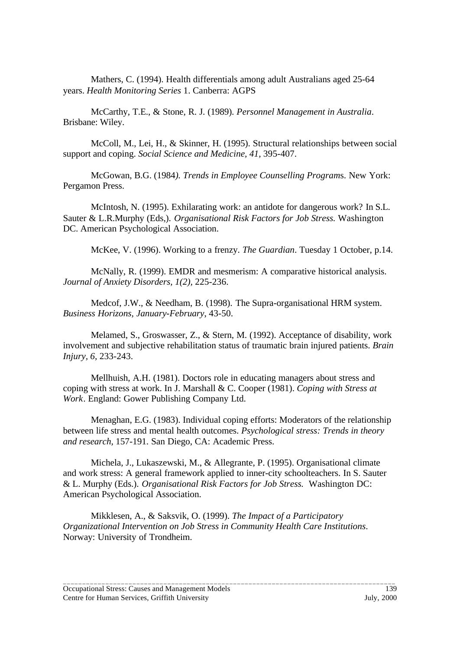Mathers, C. (1994). Health differentials among adult Australians aged 25-64 years. *Health Monitoring Series* 1. Canberra: AGPS

McCarthy, T.E., & Stone, R. J. (1989). *Personnel Management in Australia*. Brisbane: Wiley.

McColl, M., Lei, H., & Skinner, H. (1995). Structural relationships between social support and coping. *Social Science and Medicine, 41,* 395-407.

McGowan, B.G. (1984*). Trends in Employee Counselling Program*s. New York: Pergamon Press.

McIntosh, N. (1995). Exhilarating work: an antidote for dangerous work? In S.L. Sauter & L.R.Murphy (Eds,). *Organisational Risk Factors for Job Stress.* Washington DC. American Psychological Association.

McKee, V. (1996). Working to a frenzy. *The Guardian*. Tuesday 1 October, p.14.

McNally, R. (1999). EMDR and mesmerism: A comparative historical analysis. *Journal of Anxiety Disorders, 1(2),* 225-236.

Medcof, J.W., & Needham, B. (1998). The Supra-organisational HRM system. *Business Horizons, January-February*, 43-50.

Melamed, S., Groswasser, Z., & Stern, M. (1992). Acceptance of disability, work involvement and subjective rehabilitation status of traumatic brain injured patients. *Brain Injury, 6,* 233-243.

Mellhuish, A.H. (1981). Doctors role in educating managers about stress and coping with stress at work. In J. Marshall & C. Cooper (1981). *Coping with Stress at Work*. England: Gower Publishing Company Ltd.

Menaghan, E.G. (1983). Individual coping efforts: Moderators of the relationship between life stress and mental health outcomes. *Psychological stress: Trends in theory and research,* 157-191. San Diego, CA: Academic Press.

Michela, J., Lukaszewski, M., & Allegrante, P. (1995). Organisational climate and work stress: A general framework applied to inner-city schoolteachers. In S. Sauter & L. Murphy (Eds.). *Organisational Risk Factors for Job Stress.* Washington DC: American Psychological Association.

Mikklesen, A., & Saksvik, O. (1999). *The Impact of a Participatory Organizational Intervention on Job Stress in Community Health Care Institutions*. Norway: University of Trondheim.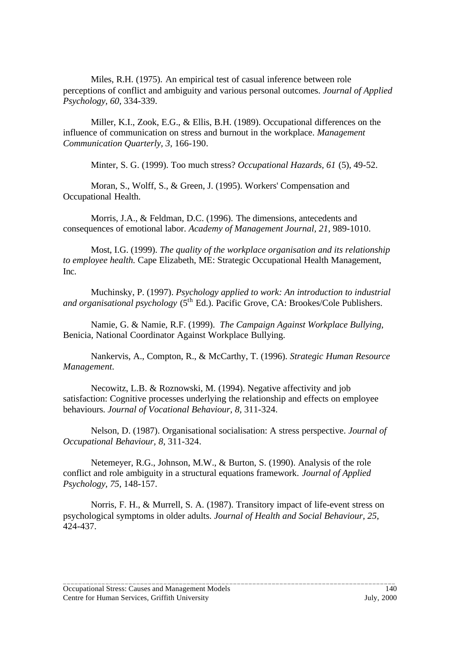Miles, R.H. (1975). An empirical test of casual inference between role perceptions of conflict and ambiguity and various personal outcomes. *Journal of Applied Psychology, 60,* 334-339.

Miller, K.I., Zook, E.G., & Ellis, B.H. (1989). Occupational differences on the influence of communication on stress and burnout in the workplace. *Management Communication Quarterly, 3,* 166-190.

Minter, S. G. (1999). Too much stress? *Occupational Hazards, 61* (5), 49-52.

Moran, S., Wolff, S., & Green, J. (1995). Workers' Compensation and Occupational Health.

Morris, J.A., & Feldman, D.C. (1996). The dimensions, antecedents and consequences of emotional labor. *Academy of Management Journal, 21,* 989-1010.

Most, I.G. (1999). *The quality of the workplace organisation and its relationship to employee health.* Cape Elizabeth, ME: Strategic Occupational Health Management, Inc.

Muchinsky, P. (1997). *Psychology applied to work: An introduction to industrial* and organisational psychology (5<sup>th</sup> Ed.). Pacific Grove, CA: Brookes/Cole Publishers.

Namie, G. & Namie, R.F. (1999). *The Campaign Against Workplace Bullying*, Benicia, National Coordinator Against Workplace Bullying.

Nankervis, A., Compton, R., & McCarthy, T. (1996). *Strategic Human Resource Management.*

Necowitz, L.B. & Roznowski, M. (1994). Negative affectivity and job satisfaction: Cognitive processes underlying the relationship and effects on employee behaviours. *Journal of Vocational Behaviour, 8,* 311-324.

Nelson, D. (1987). Organisational socialisation: A stress perspective. *Journal of Occupational Behaviour, 8*, 311-324.

Netemeyer, R.G., Johnson, M.W., & Burton, S. (1990). Analysis of the role conflict and role ambiguity in a structural equations framework. *Journal of Applied Psychology, 75,* 148-157.

Norris, F. H., & Murrell, S. A. (1987). Transitory impact of life-event stress on psychological symptoms in older adults. *Journal of Health and Social Behaviour, 25,* 424-437.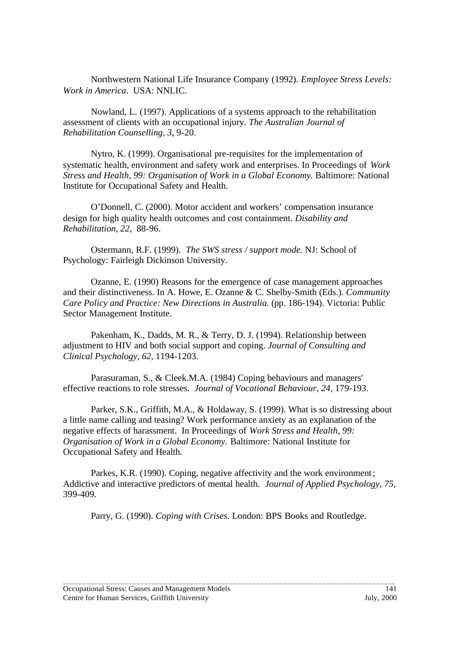Northwestern National Life Insurance Company (1992). *Employee Stress Levels: Work in America*. USA: NNLIC.

Nowland, L. (1997). Applications of a systems approach to the rehabilitation assessment of clients with an occupational injury. *The Australian Journal of Rehabilitation Counselling, 3,* 9-20.

Nytro, K. (1999). Organisational pre-requisites for the implementation of systematic health, environment and safety work and enterprises. In Proceedings of *Work Stress and Health, 99: Organisation of Work in a Global Economy. Baltimore: National* Institute for Occupational Safety and Health.

O'Donnell, C. (2000). Motor accident and workers' compensation insurance design for high quality health outcomes and cost containment. *Disability and Rehabilitation, 22,* 88-96.

Ostermann, R.F. (1999). *The SWS stress / support mode.* NJ: School of Psychology: Fairleigh Dickinson University.

Ozanne, E. (1990) Reasons for the emergence of case management approaches and their distinctiveness. In A. Howe, E. Ozanne & C. Shelby-Smith (Eds.). *Community Care Policy and Practice: New Directions in Australia.* (pp. 186-194). Victoria: Public Sector Management Institute.

Pakenham, K., Dadds, M. R., & Terry, D. J. (1994). Relationship between adjustment to HIV and both social support and coping. *Journal of Consulting and Clinical Psychology, 62,* 1194-1203.

Parasuraman, S., & Cleek.M.A. (1984) Coping behaviours and managers' effective reactions to role stresses. *Journal of Vocational Behaviour, 24*, 179-193.

Parker, S.K., Griffith, M.A., & Holdaway, S. (1999). What is so distressing about a little name calling and teasing? Work performance anxiety as an explanation of the negative effects of harassment. In Proceedings of *Work Stress and Health, 99: Organisation of Work in a Global Economy.* Baltimore: National Institute for Occupational Safety and Health.

Parkes, K.R. (1990). Coping, negative affectivity and the work environment; Addictive and interactive predictors of mental health. *Journal of Applied Psychology, 75,* 399-409*.*

Parry, G. (1990). *Coping with Crises.* London: BPS Books and Routledge.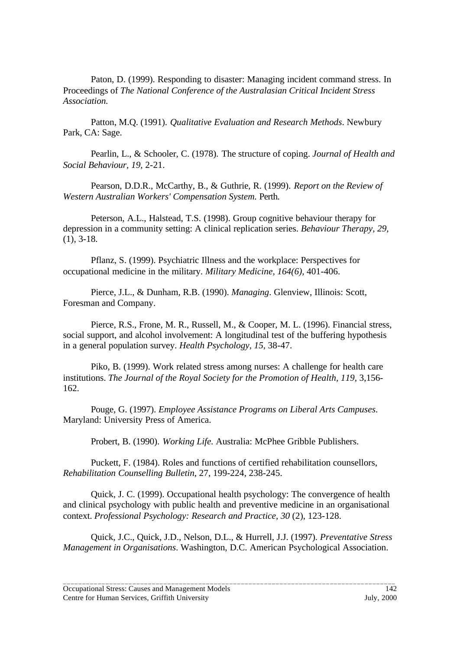Paton, D. (1999). Responding to disaster: Managing incident command stress. In Proceedings of *The National Conference of the Australasian Critical Incident Stress Association.*

Patton, M.Q. (1991). *Qualitative Evaluation and Research Methods*. Newbury Park, CA: Sage.

Pearlin, L., & Schooler, C. (1978). The structure of coping. *Journal of Health and Social Behaviour, 19,* 2-21.

Pearson, D.D.R., McCarthy, B., & Guthrie, R. (1999). *Report on the Review of Western Australian Workers' Compensation System.* Perth.

Peterson, A.L., Halstead, T.S. (1998). Group cognitive behaviour therapy for depression in a community setting: A clinical replication series. *Behaviour Therapy, 29,* (1), 3-18.

Pflanz, S. (1999). Psychiatric Illness and the workplace: Perspectives for occupational medicine in the military. *Military Medicine, 164(6),* 401-406.

Pierce, J.L., & Dunham, R.B. (1990). *Managing*. Glenview, Illinois: Scott, Foresman and Company.

Pierce, R.S., Frone, M. R., Russell, M., & Cooper, M. L. (1996). Financial stress, social support, and alcohol involvement: A longitudinal test of the buffering hypothesis in a general population survey. *Health Psychology, 15,* 38-47.

Piko, B. (1999). Work related stress among nurses: A challenge for health care institutions. *The Journal of the Royal Society for the Promotion of Health, 119, 3,156-*162.

Pouge, G. (1997). *Employee Assistance Programs on Liberal Arts Campuses*. Maryland: University Press of America.

Probert, B. (1990). *Working Life.* Australia: McPhee Gribble Publishers.

Puckett, F. (1984). Roles and functions of certified rehabilitation counsellors, *Rehabilitation Counselling Bulletin*, 27, 199-224, 238-245.

Quick, J. C. (1999). Occupational health psychology: The convergence of health and clinical psychology with public health and preventive medicine in an organisational context. *Professional Psychology: Research and Practice, 30* (2), 123-128.

Quick, J.C., Quick, J.D., Nelson, D.L., & Hurrell, J.J. (1997). *Preventative Stress Management in Organisations*. Washington, D.C. American Psychological Association.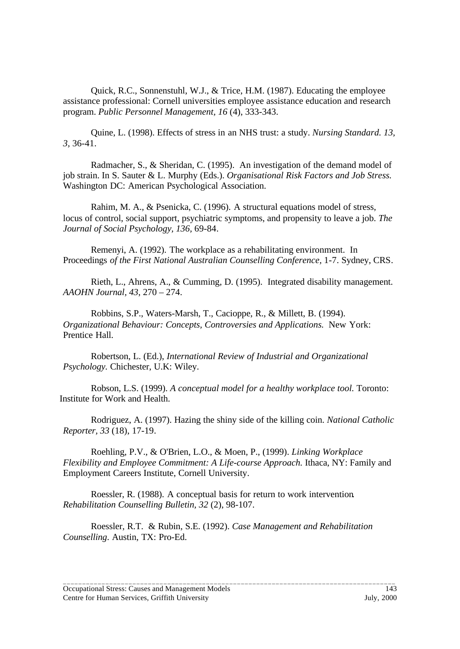Quick, R.C., Sonnenstuhl, W.J., & Trice, H.M. (1987). Educating the employee assistance professional: Cornell universities employee assistance education and research program. *Public Personnel Management, 16* (4), 333-343.

Quine, L. (1998). Effects of stress in an NHS trust: a study. *Nursing Standard. 13, 3,* 36-41.

Radmacher, S., & Sheridan, C. (1995). An investigation of the demand model of job strain. In S. Sauter & L. Murphy (Eds.). *Organisational Risk Factors and Job Stress.* Washington DC: American Psychological Association.

Rahim, M. A., & Psenicka, C. (1996). A structural equations model of stress, locus of control, social support, psychiatric symptoms, and propensity to leave a job. *The Journal of Social Psychology, 136,* 69-84.

Remenyi, A. (1992). The workplace as a rehabilitating environment. In Proceedings *of the First National Australian Counselling Conference,* 1-7. Sydney, CRS*.*

Rieth, L., Ahrens, A., & Cumming, D. (1995). Integrated disability management. *AAOHN Journal, 43*, 270 – 274.

Robbins, S.P., Waters-Marsh, T., Cacioppe, R., & Millett, B. (1994). *Organizational Behaviour: Concepts, Controversies and Applications.* New York: Prentice Hall.

Robertson, L. (Ed.), *International Review of Industrial and Organizational Psychology.* Chichester, U.K: Wiley.

Robson, L.S. (1999). *A conceptual model for a healthy workplace tool.* Toronto: Institute for Work and Health.

Rodriguez, A. (1997). Hazing the shiny side of the killing coin. *National Catholic Reporter, 33* (18), 17-19.

Roehling, P.V., & O'Brien, L.O., & Moen, P., (1999). *Linking Workplace Flexibility and Employee Commitment: A Life-course Approach. Ithaca, NY: Family and* Employment Careers Institute, Cornell University.

Roessler, R. (1988). A conceptual basis for return to work intervention*. Rehabilitation Counselling Bulletin, 32* (2), 98-107.

Roessler, R.T. & Rubin, S.E. (1992). *Case Management and Rehabilitation Counselling*. Austin, TX: Pro-Ed.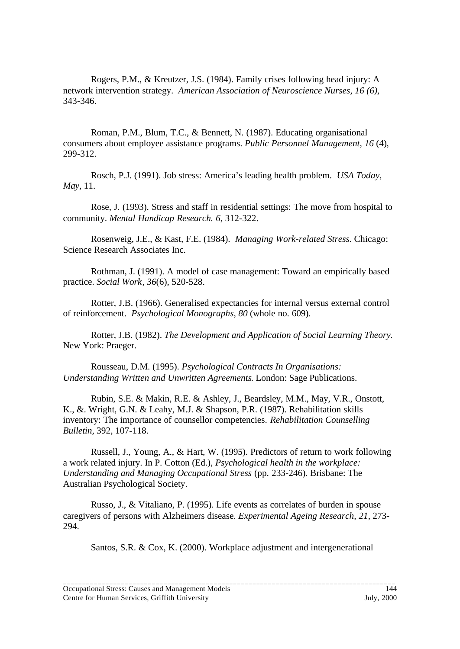Rogers, P.M., & Kreutzer, J.S. (1984). Family crises following head injury: A network intervention strategy. *American Association of Neuroscience Nurses, 16 (6),* 343-346.

Roman, P.M., Blum, T.C., & Bennett, N. (1987). Educating organisational consumers about employee assistance programs. *Public Personnel Management, 16* (4), 299-312.

Rosch, P.J. (1991). Job stress: America's leading health problem. *USA Today, May*, 11.

Rose, J. (1993). Stress and staff in residential settings: The move from hospital to community. *Mental Handicap Research. 6,* 312-322.

Rosenweig, J.E., & Kast, F.E. (1984). *Managing Work-related Stress.* Chicago: Science Research Associates Inc.

Rothman, J. (1991). A model of case management: Toward an empirically based practice. *Social Work*, *36*(6), 520-528.

Rotter, J.B. (1966). Generalised expectancies for internal versus external control of reinforcement. *Psychological Monographs, 80* (whole no. 609).

Rotter, J.B. (1982). *The Development and Application of Social Learning Theory.* New York: Praeger.

Rousseau, D.M. (1995). *Psychological Contracts In Organisations: Understanding Written and Unwritten Agreements*. London: Sage Publications.

Rubin, S.E. & Makin, R.E. & Ashley, J., Beardsley, M.M., May, V.R., Onstott, K., &. Wright, G.N. & Leahy, M.J. & Shapson, P.R. (1987). Rehabilitation skills inventory: The importance of counsellor competencies. *Rehabilitation Counselling Bulletin,* 392, 107-118.

Russell, J., Young, A., & Hart, W. (1995). Predictors of return to work following a work related injury. In P. Cotton (Ed.), *Psychological health in the workplace: Understanding and Managing Occupational Stress* (pp. 233-246)*.* Brisbane: The Australian Psychological Society.

Russo, J., & Vitaliano, P. (1995). Life events as correlates of burden in spouse caregivers of persons with Alzheimers disease. *Experimental Ageing Research, 21,* 273- 294.

Santos, S.R. & Cox, K. (2000). Workplace adjustment and intergenerational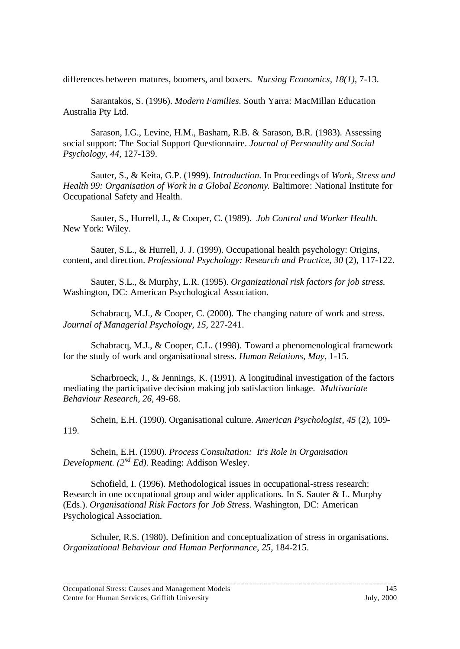differences between matures, boomers, and boxers. *Nursing Economics, 18(1),* 7-13.

Sarantakos, S. (1996). *Modern Families.* South Yarra: MacMillan Education Australia Pty Ltd.

Sarason, I.G., Levine, H.M., Basham, R.B. & Sarason, B.R. (1983). Assessing social support: The Social Support Questionnaire. *Journal of Personality and Social Psychology, 44,* 127-139.

Sauter, S., & Keita, G.P. (1999). *Introduction.* In Proceedings of *Work, Stress and Health 99: Organisation of Work in a Global Economy*. Baltimore: National Institute for Occupational Safety and Health.

Sauter, S., Hurrell, J., & Cooper, C. (1989). *Job Control and Worker Health*. New York: Wiley.

Sauter, S.L., & Hurrell, J. J. (1999). Occupational health psychology: Origins, content, and direction. *Professional Psychology: Research and Practice*, *30* (2), 117-122.

Sauter, S.L., & Murphy, L.R. (1995). *Organizational risk factors for job stress.* Washington, DC: American Psychological Association.

Schabracq, M.J., & Cooper, C. (2000). The changing nature of work and stress. *Journal of Managerial Psychology, 15,* 227-241.

Schabracq, M.J., & Cooper, C.L. (1998). Toward a phenomenological framework for the study of work and organisational stress. *Human Relations, May,* 1-15.

Scharbroeck, J., & Jennings, K. (1991). A longitudinal investigation of the factors mediating the participative decision making job satisfaction linkage. *Multivariate Behaviour Research, 26,* 49-68.

Schein, E.H. (1990). Organisational culture. *American Psychologist*, *45* (2), 109- 119.

Schein, E.H. (1990). *Process Consultation: It's Role in Organisation Development. (2nd Ed).* Reading: Addison Wesley.

Schofield, I. (1996). Methodological issues in occupational-stress research: Research in one occupational group and wider applications. In S. Sauter & L. Murphy (Eds.). *Organisational Risk Factors for Job Stress.* Washington, DC: American Psychological Association.

Schuler, R.S. (1980). Definition and conceptualization of stress in organisations. *Organizational Behaviour and Human Performance, 25,* 184-215.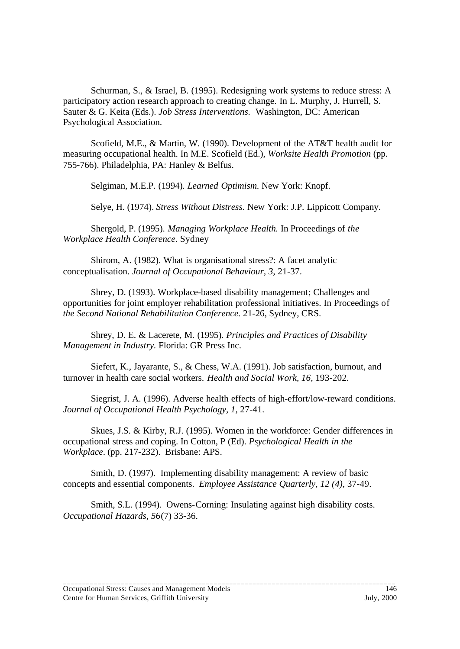Schurman, S., & Israel, B. (1995). Redesigning work systems to reduce stress: A participatory action research approach to creating change. In L. Murphy, J. Hurrell, S. Sauter & G. Keita (Eds.). *Job Stress Interventions.* Washington, DC: American Psychological Association.

Scofield, M.E., & Martin, W. (1990). Development of the AT&T health audit for measuring occupational health. In M.E. Scofield (Ed.), *Worksite Health Promotion* (pp. 755-766). Philadelphia, PA: Hanley & Belfus.

Selgiman, M.E.P. (1994). *Learned Optimism.* New York: Knopf.

Selye, H. (1974). *Stress Without Distress*. New York: J.P. Lippicott Company.

Shergold, P. (1995). *Managing Workplace Health.* In Proceedings of *the Workplace Health Conference*. Sydney

Shirom, A. (1982). What is organisational stress?: A facet analytic conceptualisation. *Journal of Occupational Behaviour, 3,* 21-37.

Shrey, D. (1993). Workplace-based disability management; Challenges and opportunities for joint employer rehabilitation professional initiatives. In Proceedings of *the Second National Rehabilitation Conference.* 21-26, Sydney, CRS.

Shrey, D. E. & Lacerete, M. (1995). *Principles and Practices of Disability Management in Industry.* Florida: GR Press Inc.

Siefert, K., Jayarante, S., & Chess, W.A. (1991). Job satisfaction, burnout, and turnover in health care social workers. *Health and Social Work, 16,* 193-202.

Siegrist, J. A. (1996). Adverse health effects of high-effort/low-reward conditions. *Journal of Occupational Health Psychology, 1,* 27-41.

Skues, J.S. & Kirby, R.J. (1995). Women in the workforce: Gender differences in occupational stress and coping. In Cotton, P (Ed). *Psychological Health in the Workplace*. (pp. 217-232). Brisbane: APS.

Smith, D. (1997). Implementing disability management: A review of basic concepts and essential components. *Employee Assistance Quarterly, 12 (4)*, 37-49.

Smith, S.L. (1994). Owens-Corning: Insulating against high disability costs. *Occupational Hazards, 56*(7) 33-36.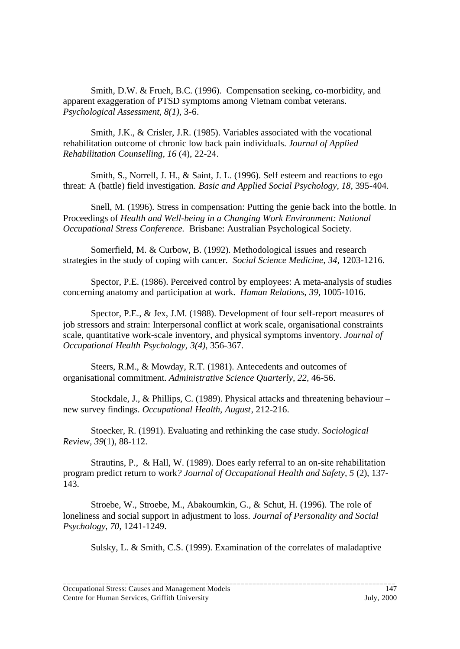Smith, D.W. & Frueh, B.C. (1996). Compensation seeking, co-morbidity, and apparent exaggeration of PTSD symptoms among Vietnam combat veterans. *Psychological Assessment, 8(1),* 3-6.

Smith, J.K., & Crisler, J.R. (1985). Variables associated with the vocational rehabilitation outcome of chronic low back pain individuals. *Journal of Applied Rehabilitation Counselling, 16* (4), 22-24.

Smith, S., Norrell, J. H., & Saint, J. L. (1996). Self esteem and reactions to ego threat: A (battle) field investigation. *Basic and Applied Social Psychology, 18,* 395-404.

Snell, M. (1996). Stress in compensation: Putting the genie back into the bottle. In Proceedings of *Health and Well-being in a Changing Work Environment: National Occupational Stress Conference.* Brisbane: Australian Psychological Society.

Somerfield, M. & Curbow, B. (1992). Methodological issues and research strategies in the study of coping with cancer. *Social Science Medicine, 34,* 1203-1216.

Spector, P.E. (1986). Perceived control by employees: A meta-analysis of studies concerning anatomy and participation at work. *Human Relations, 39*, 1005-1016.

Spector, P.E., & Jex, J.M. (1988). Development of four self-report measures of job stressors and strain: Interpersonal conflict at work scale, organisational constraints scale, quantitative work-scale inventory, and physical symptoms inventory. *Journal of Occupational Health Psychology, 3(4),* 356-367.

Steers, R.M., & Mowday, R.T. (1981). Antecedents and outcomes of organisational commitment. *Administrative Science Quarterly, 22,* 46-56.

Stockdale, J., & Phillips, C. (1989). Physical attacks and threatening behaviour – new survey findings. *Occupational Health, August*, 212-216.

Stoecker, R. (1991). Evaluating and rethinking the case study. *Sociological Review, 39*(1), 88-112.

Strautins, P., & Hall, W. (1989). Does early referral to an on-site rehabilitation program predict return to work*? Journal of Occupational Health and Safety, 5* (2)*,* 137- 143.

Stroebe, W., Stroebe, M., Abakoumkin, G., & Schut, H. (1996). The role of loneliness and social support in adjustment to loss. *Journal of Personality and Social Psychology, 70,* 1241-1249.

Sulsky, L. & Smith, C.S. (1999). Examination of the correlates of maladaptive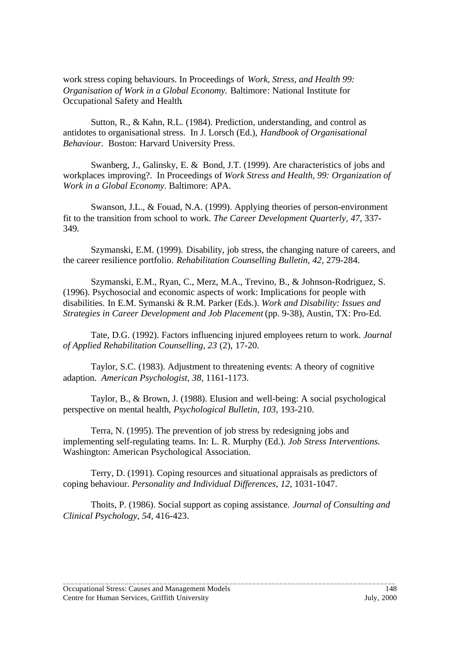work stress coping behaviours. In Proceedings of *Work, Stress, and Health 99: Organisation of Work in a Global Economy.* Baltimore: National Institute for Occupational Safety and Health.

Sutton, R., & Kahn, R.L. (1984). Prediction, understanding, and control as antidotes to organisational stress. In J. Lorsch (Ed.), *Handbook of Organisational Behaviour.* Boston: Harvard University Press.

Swanberg, J., Galinsky, E. & Bond, J.T. (1999). Are characteristics of jobs and workplaces improving?. In Proceedings of *Work Stress and Health, 99: Organization of Work in a Global Economy.* Baltimore: APA.

Swanson, J.L., & Fouad, N.A. (1999). Applying theories of person-environment fit to the transition from school to work. *The Career Development Quarterly, 47,* 337- 349*.*

Szymanski, E.M. (1999). Disability, job stress, the changing nature of careers, and the career resilience portfolio. *Rehabilitation Counselling Bulletin, 42,* 279-284.

Szymanski, E.M., Ryan, C., Merz, M.A., Trevino, B., & Johnson-Rodriguez, S. (1996). Psychosocial and economic aspects of work: Implications for people with disabilities. In E.M. Symanski & R.M. Parker (Eds.). *Work and Disability: Issues and Strategies in Career Development and Job Placement* (pp. 9-38), Austin, TX: Pro-Ed.

Tate, D.G. (1992). Factors influencing injured employees return to work. *Journal of Applied Rehabilitation Counselling, 23* (2), 17-20.

Taylor, S.C. (1983). Adjustment to threatening events: A theory of cognitive adaption. *American Psychologist, 38,* 1161-1173.

Taylor, B., & Brown, J. (1988). Elusion and well-being: A social psychological perspective on mental health, *Psychological Bulletin, 103,* 193-210.

Terra, N. (1995). The prevention of job stress by redesigning jobs and implementing self-regulating teams. In: L. R. Murphy (Ed.). *Job Stress Interventions.* Washington: American Psychological Association.

Terry, D. (1991). Coping resources and situational appraisals as predictors of coping behaviour. *Personality and Individual Differences, 12,* 1031-1047.

Thoits, P. (1986). Social support as coping assistance. *Journal of Consulting and Clinical Psychology, 54,* 416-423.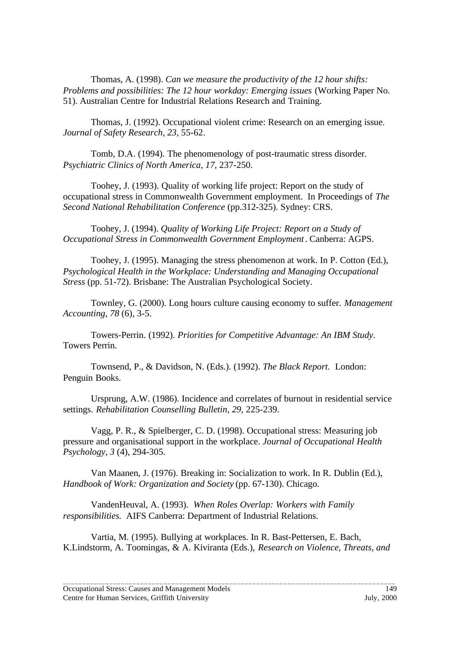Thomas, A. (1998). *Can we measure the productivity of the 12 hour shifts: Problems and possibilities: The 12 hour workday: Emerging issues* (Working Paper No. 51). Australian Centre for Industrial Relations Research and Training.

Thomas, J. (1992). Occupational violent crime: Research on an emerging issue. *Journal of Safety Research, 23,* 55-62.

Tomb, D.A. (1994). The phenomenology of post-traumatic stress disorder*. Psychiatric Clinics of North America, 17*, 237-250.

Toohey, J. (1993). Quality of working life project: Report on the study of occupational stress in Commonwealth Government employment. In Proceedings of *The Second National Rehabilitation Conference* (pp.312-325). Sydney: CRS.

Toohey, J. (1994). *Quality of Working Life Project: Report on a Study of Occupational Stress in Commonwealth Government Employment*. Canberra: AGPS.

Toohey, J. (1995). Managing the stress phenomenon at work. In P. Cotton (Ed.), *Psychological Health in the Workplace: Understanding and Managing Occupational Stress* (pp. 51-72). Brisbane: The Australian Psychological Society.

Townley, G. (2000). Long hours culture causing economy to suffer. *Management Accounting*, *78* (6), 3-5.

Towers-Perrin. (1992). *Priorities for Competitive Advantage: An IBM Study.* Towers Perrin.

Townsend, P., & Davidson, N. (Eds.). (1992). *The Black Report.* London: Penguin Books.

Ursprung, A.W. (1986). Incidence and correlates of burnout in residential service settings. *Rehabilitation Counselling Bulletin, 29,* 225-239.

Vagg, P. R., & Spielberger, C. D. (1998). Occupational stress: Measuring job pressure and organisational support in the workplace. *Journal of Occupational Health Psychology, 3* (4), 294-305.

Van Maanen, J. (1976). Breaking in: Socialization to work. In R. Dublin (Ed.), *Handbook of Work: Organization and Society* (pp. 67-130). Chicago.

VandenHeuval, A. (1993). *When Roles Overlap: Workers with Family responsibilities.* AIFS Canberra: Department of Industrial Relations.

Vartia, M. (1995). Bullying at workplaces. In R. Bast-Pettersen, E. Bach, K.Lindstorm, A. Toomingas, & A. Kiviranta (Eds.), *Research on Violence, Threats, and*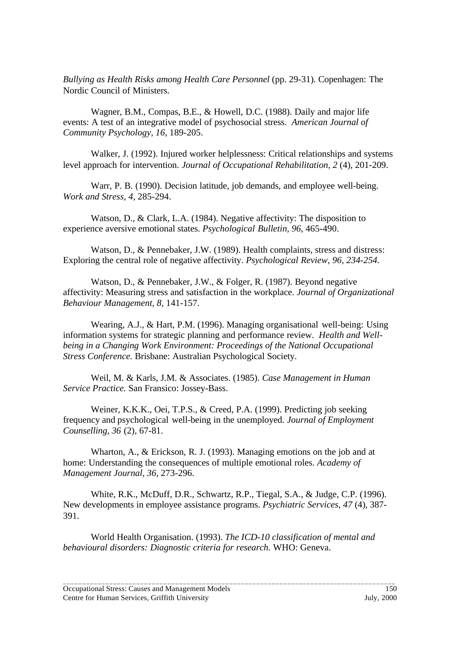*Bullying as Health Risks among Health Care Personnel* (pp. 29-31)*.* Copenhagen: The Nordic Council of Ministers.

Wagner, B.M., Compas, B.E., & Howell, D.C. (1988). Daily and major life events: A test of an integrative model of psychosocial stress. *American Journal of Community Psychology, 16,* 189-205.

Walker, J. (1992). Injured worker helplessness: Critical relationships and systems level approach for intervention. *Journal of Occupational Rehabilitation*, *2* (4), 201-209.

Warr, P. B. (1990). Decision latitude, job demands, and employee well-being. *Work and Stress, 4,* 285-294.

Watson, D., & Clark, L.A. (1984). Negative affectivity: The disposition to experience aversive emotional states. *Psychological Bulletin, 96*, 465-490.

Watson, D., & Pennebaker, J.W. (1989). Health complaints, stress and distress: Exploring the central role of negative affectivity. *Psychological Review, 96, 234-254.*

Watson, D., & Pennebaker, J.W., & Folger, R. (1987). Beyond negative affectivity: Measuring stress and satisfaction in the workplace. *Journal of Organizational Behaviour Management, 8,* 141-157.

Wearing, A.J., & Hart, P.M. (1996). Managing organisational well-being: Using information systems for strategic planning and performance review. *Health and Wellbeing in a Changing Work Environment: Proceedings of the National Occupational Stress Conference.* Brisbane: Australian Psychological Society.

Weil, M. & Karls, J.M. & Associates. (1985). *Case Management in Human Service Practice.* San Fransico: Jossey-Bass.

Weiner, K.K.K., Oei, T.P.S., & Creed, P.A. (1999). Predicting job seeking frequency and psychological well-being in the unemployed. *Journal of Employment Counselling, 36* (2), 67-81.

Wharton, A., & Erickson, R. J. (1993). Managing emotions on the job and at home: Understanding the consequences of multiple emotional roles. *Academy of Management Journal, 36,* 273-296.

White, R.K., McDuff, D.R., Schwartz, R.P., Tiegal, S.A., & Judge, C.P. (1996). New developments in employee assistance programs. *Psychiatric Services, 47* (4), 387- 391.

World Health Organisation. (1993). *The ICD-10 classification of mental and behavioural disorders: Diagnostic criteria for research.* WHO: Geneva.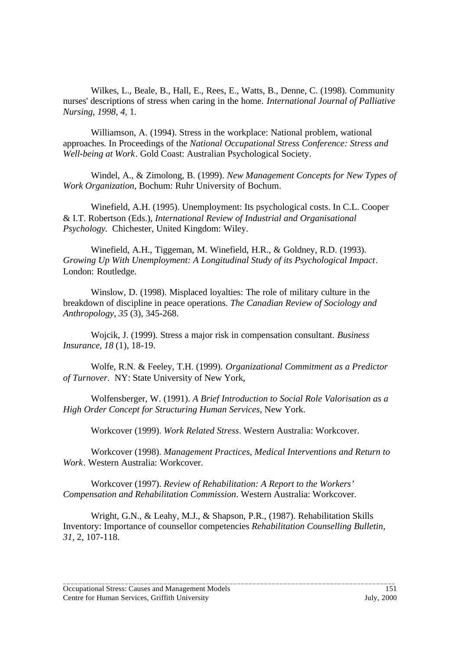Wilkes, L., Beale, B., Hall, E., Rees, E., Watts, B., Denne, C. (1998). Community nurses' descriptions of stress when caring in the home. *International Journal of Palliative Nursing, 1998, 4,* 1.

Williamson, A. (1994). Stress in the workplace: National problem, wational approaches*.* In Proceedings of the *National Occupational Stress Conference: Stress and Well-being at Work*. Gold Coast: Australian Psychological Society.

Windel, A., & Zimolong, B. (1999). *New Management Concepts for New Types of Work Organization,* Bochum: Ruhr University of Bochum.

Winefield, A.H. (1995). Unemployment: Its psychological costs. In C.L. Cooper & I.T. Robertson (Eds.), *International Review of Industrial and Organisational Psychology.* Chichester, United Kingdom: Wiley.

Winefield, A.H., Tiggeman, M. Winefield, H.R., & Goldney, R.D. (1993). *Growing Up With Unemployment: A Longitudinal Study of its Psychological Impact*. London: Routledge.

Winslow, D. (1998). Misplaced loyalties: The role of military culture in the breakdown of discipline in peace operations. *The Canadian Review of Sociology and Anthropology*, *35* (3), 345-268.

Wojcik, J. (1999). Stress a major risk in compensation consultant. *Business Insurance, 18* (1), 18-19.

Wolfe, R.N. & Feeley, T.H. (1999). *Organizational Commitment as a Predictor of Turnover.* NY: State University of New York,

Wolfensberger, W. (1991). *A Brief Introduction to Social Role Valorisation as a High Order Concept for Structuring Human Services*, New York.

Workcover (1999). *Work Related Stress*. Western Australia: Workcover.

Workcover (1998). *Management Practices, Medical Interventions and Return to Work*. Western Australia: Workcover.

Workcover (1997). *Review of Rehabilitation: A Report to the Workers' Compensation and Rehabilitation Commission*. Western Australia: Workcover.

Wright, G.N., & Leahy, M.J., & Shapson, P.R., (1987). Rehabilitation Skills Inventory: Importance of counsellor competencies *Rehabilitation Counselling Bulletin, 31,* 2, 107-118.